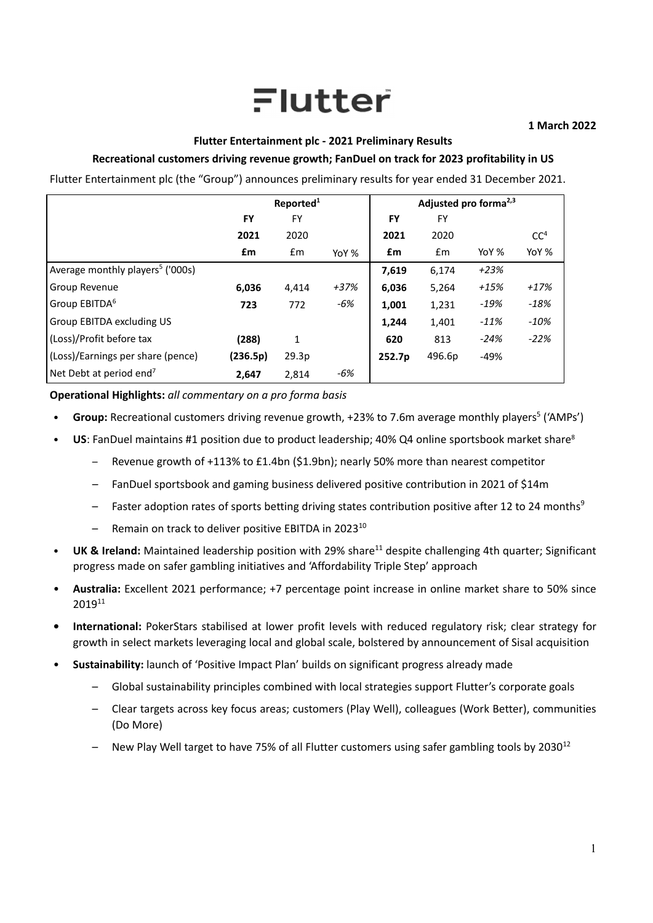# Flutter

# **Flutter Entertainment plc ‐ 2021 Preliminary Results**

# **Recreational customers driving revenue growth; FanDuel on track for 2023 profitability in US**

Flutter Entertainment plc (the "Group") announces preliminary results for year ended 31 December 2021.

|                                              |          | Reported <sup>1</sup> |        |           | Adjusted pro forma <sup>2,3</sup> |        |                 |
|----------------------------------------------|----------|-----------------------|--------|-----------|-----------------------------------|--------|-----------------|
|                                              | FY       | FY                    |        | <b>FY</b> | <b>FY</b>                         |        |                 |
|                                              | 2021     | 2020                  |        | 2021      | 2020                              |        | CC <sup>4</sup> |
|                                              | £m       | £m                    | YoY %  | £m        | Em                                | YoY %  | YoY %           |
| Average monthly players <sup>5</sup> ('000s) |          |                       |        | 7,619     | 6,174                             | $+23%$ |                 |
| Group Revenue                                | 6,036    | 4,414                 | $+37%$ | 6,036     | 5,264                             | $+15%$ | $+17%$          |
| Group EBITDA <sup>6</sup>                    | 723      | 772                   | -6%    | 1,001     | 1,231                             | $-19%$ | $-18%$          |
| Group EBITDA excluding US                    |          |                       |        | 1,244     | 1,401                             | $-11%$ | $-10%$          |
| (Loss)/Profit before tax                     | (288)    | 1                     |        | 620       | 813                               | $-24%$ | $-22%$          |
| (Loss)/Earnings per share (pence)            | (236.5p) | 29.3p                 |        | 252.7p    | 496.6p                            | $-49%$ |                 |
| Net Debt at period end <sup>7</sup>          | 2,647    | 2,814                 | -6%    |           |                                   |        |                 |

**Operational Highlights:** *all commentary on a pro forma basis*

- **Group:** Recreational customers driving revenue growth, +23% to 7.6m average monthly players<sup>5</sup> ('AMPs')
- **US**: FanDuel maintains #1 position due to product leadership; 40% Q4 online sportsbook market share8
	- Revenue growth of +113% to £1.4bn (\$1.9bn); nearly 50% more than nearest competitor
	- FanDuel sportsbook and gaming business delivered positive contribution in 2021 of \$14m
	- $-$  Faster adoption rates of sports betting driving states contribution positive after 12 to 24 months<sup>9</sup>
	- Remain on track to deliver positive EBITDA in 2023<sup>10</sup>
- **UK & Ireland:** Maintained leadership position with 29% share11 despite challenging 4th quarter; Significant progress made on safer gambling initiatives and 'Affordability Triple Step' approach
- **Australia:** Excellent 2021 performance; +7 percentage point increase in online market share to 50% since 201911
- **• International:** PokerStars stabilised at lower profit levels with reduced regulatory risk; clear strategy for growth in select markets leveraging local and global scale, bolstered by announcement of Sisal acquisition
- **Sustainability:** launch of 'Positive Impact Plan' builds on significant progress already made
	- Global sustainability principles combined with local strategies support Flutter's corporate goals
	- Clear targets across key focus areas; customers (Play Well), colleagues (Work Better), communities (Do More)
	- New Play Well target to have 75% of all Flutter customers using safer gambling tools by  $2030^{12}$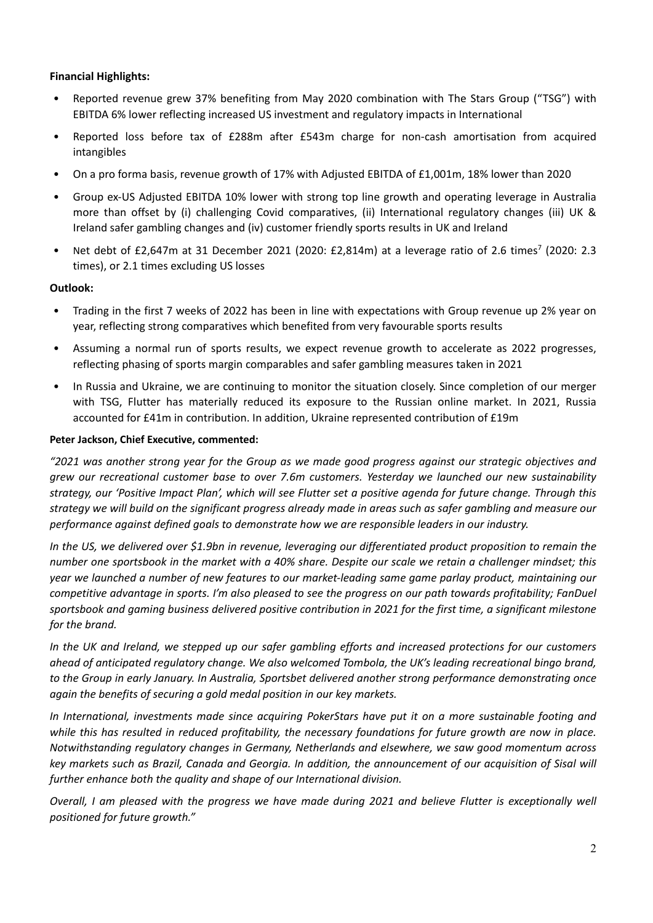# **Financial Highlights:**

- Reported revenue grew 37% benefiting from May 2020 combination with The Stars Group ("TSG") with EBITDA 6% lower reflecting increased US investment and regulatory impacts in International
- Reported loss before tax of £288m after £543m charge for non-cash amortisation from acquired intangibles
- On a pro forma basis, revenue growth of 17% with Adjusted EBITDA of £1,001m, 18% lower than 2020
- Group ex‐US Adjusted EBITDA 10% lower with strong top line growth and operating leverage in Australia more than offset by (i) challenging Covid comparatives, (ii) International regulatory changes (iii) UK & Ireland safer gambling changes and (iv) customer friendly sports results in UK and Ireland
- Net debt of £2,647m at 31 December 2021 (2020: £2,814m) at a leverage ratio of 2.6 times<sup>7</sup> (2020: 2.3 times), or 2.1 times excluding US losses

# **Outlook:**

- Trading in the first 7 weeks of 2022 has been in line with expectations with Group revenue up 2% year on year, reflecting strong comparatives which benefited from very favourable sports results
- Assuming a normal run of sports results, we expect revenue growth to accelerate as 2022 progresses, reflecting phasing of sports margin comparables and safer gambling measures taken in 2021
- In Russia and Ukraine, we are continuing to monitor the situation closely. Since completion of our merger with TSG, Flutter has materially reduced its exposure to the Russian online market. In 2021, Russia accounted for £41m in contribution. In addition, Ukraine represented contribution of £19m

# **Peter Jackson, Chief Executive, commented:**

"2021 was another strong year for the Group as we made good progress against our strategic objectives and *grew our recreational customer base to over 7.6m customers. Yesterday we launched our new sustainability* strategy, our 'Positive Impact Plan', which will see Flutter set a positive agenda for future change. Through this strategy we will build on the significant progress already made in areas such as safer gambling and measure our *performance against defined goals to demonstrate how we are responsible leaders in our industry.*

In the US, we delivered over \$1.9bn in revenue, leveraging our differentiated product proposition to remain the number one sportsbook in the market with a 40% share. Despite our scale we retain a challenger mindset; this year we launched a number of new features to our market-leading same game parlay product, maintaining our competitive advantage in sports. I'm also pleased to see the progress on our path towards profitability; FanDuel sportsbook and gaming business delivered positive contribution in 2021 for the first time, a significant milestone *for the brand.*

In the UK and Ireland, we stepped up our safer gambling efforts and increased protections for our customers *ahead of anticipated regulatory change. We also welcomed Tombola, the UK's leading recreational bingo brand, to the Group in early January. In Australia, Sportsbet delivered another strong performance demonstrating once again the benefits of securing a gold medal position in our key markets.*

*In International, investments made since acquiring PokerStars have put it on a more sustainable footing and* while this has resulted in reduced profitability, the necessary foundations for future growth are now in place. *Notwithstanding regulatory changes in Germany, Netherlands and elsewhere, we saw good momentum across* key markets such as Brazil, Canada and Georgia. In addition, the announcement of our acquisition of Sisal will *further enhance both the quality and shape of our International division.* 

Overall, I am pleased with the progress we have made during 2021 and believe Flutter is exceptionally well *positioned for future growth."*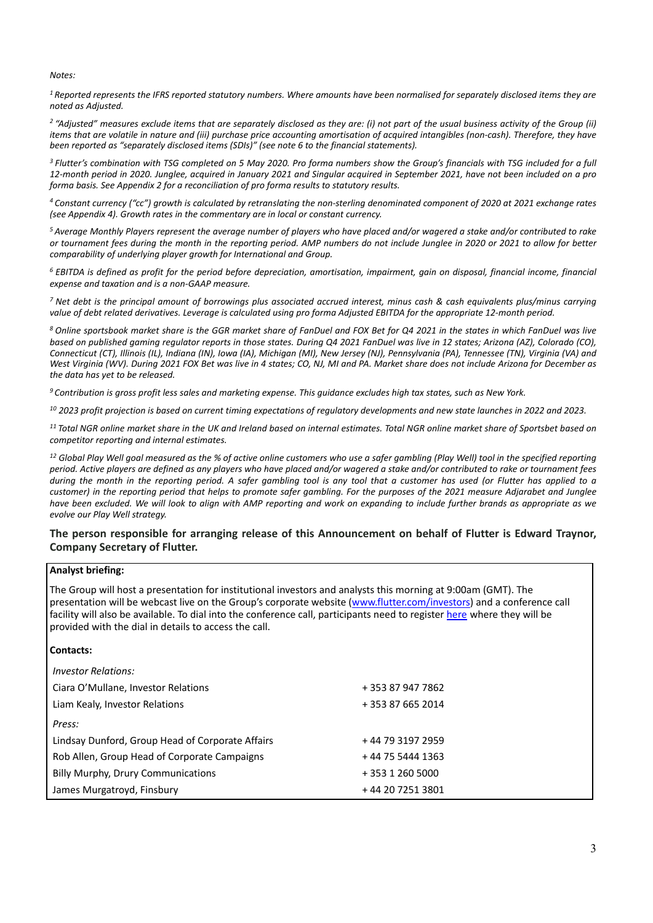*Notes:*

<sup>1</sup> Reported represents the IFRS reported statutory numbers. Where amounts have been normalised for separately disclosed items they are *noted as Adjusted.*

<sup>2</sup> "Adjusted" measures exclude items that are separately disclosed as they are: (i) not part of the usual business activity of the Group (ii) items that are volatile in nature and (iii) purchase price accounting amortisation of acquired intangibles (non-cash). Therefore, they have *been reported as "separately disclosed items (SDIs)" (see note 6 to the financial statements).*

<sup>3</sup> Flutter's combination with TSG completed on 5 May 2020. Pro forma numbers show the Group's financials with TSG included for a full 12-month period in 2020. Junglee, acquired in January 2021 and Singular acquired in September 2021, have not been included on a pro *forma basis. See Appendix 2 for a reconciliation of pro forma results to statutory results.*

4 Constant currency ("cc") growth is calculated by retranslating the non-sterling denominated component of 2020 at 2021 exchange rates *(see Appendix 4). Growth rates in the commentary are in local or constant currency.*

<sup>5</sup> Average Monthly Players represent the average number of players who have placed and/or wagered a stake and/or contributed to rake or tournament fees during the month in the reporting period. AMP numbers do not include Junglee in 2020 or 2021 to allow for better *comparability of underlying player growth for International and Group.*

 $6$  EBITDA is defined as profit for the period before depreciation, amortisation, impairment, gain on disposal, financial income, financial *expense and taxation and is a non‐GAAP measure.*

 $^7$  Net debt is the principal amount of borrowings plus associated accrued interest, minus cash & cash equivalents plus/minus carrying value of debt related derivatives. Leverage is calculated using pro forma Adjusted EBITDA for the appropriate 12-month period.

<sup>8</sup> Online sportsbook market share is the GGR market share of FanDuel and FOX Bet for Q4 2021 in the states in which FanDuel was live based on published gaming regulator reports in those states. During Q4 2021 FanDuel was live in 12 states; Arizona (AZ), Colorado (CO), Connecticut (CT), Illinois (IL), Indiana (IN), Iowa (IA), Michigan (MI), New Jersey (NJ), Pennsylvania (PA), Tennessee (TN), Virginia (VA) and West Virginia (WV). During 2021 FOX Bet was live in 4 states; CO, NJ, MI and PA. Market share does not include Arizona for December as *the data has yet to be released.*

 $9$  Contribution is gross profit less sales and marketing expense. This quidance excludes high tax states, such as New York.

 $10$  2023 profit projection is based on current timing expectations of regulatory developments and new state launches in 2022 and 2023.

<sup>11</sup> Total NGR online market share in the UK and Ireland based on internal estimates. Total NGR online market share of Sportsbet based on *competitor reporting and internal estimates.*

<sup>12</sup> Global Play Well goal measured as the % of active online customers who use a safer gambling (Play Well) tool in the specified reporting period. Active players are defined as any players who have placed and/or wagered a stake and/or contributed to rake or tournament fees during the month in the reporting period. A safer gambling tool is any tool that a customer has used (or Flutter has applied to a customer) in the reporting period that helps to promote safer gambling. For the purposes of the 2021 measure Adjarabet and Junglee have been excluded. We will look to align with AMP reporting and work on expanding to include further brands as appropriate as we *evolve our Play Well strategy.*

# **The person responsible for arranging release of this Announcement on behalf of Flutter is Edward Traynor, Company Secretary of Flutter.**

#### **Analyst briefing:**

The Group will host a presentation for institutional investors and analysts this morning at 9:00am (GMT). The presentation will be webcast live on the Group's corporate website (www.flutter.com/investors) and a conference call facility will also be available. To dial into the conference call, participants need to register here where they will be provided with the dial in details to access the call.

#### **Contacts:**

| <i>Investor Relations:</i>                       |                   |
|--------------------------------------------------|-------------------|
| Ciara O'Mullane, Investor Relations              | + 353 87 947 7862 |
| Liam Kealy, Investor Relations                   | + 353 87 665 2014 |
| Press:                                           |                   |
| Lindsay Dunford, Group Head of Corporate Affairs | +44 79 3197 2959  |
| Rob Allen, Group Head of Corporate Campaigns     | + 44 75 5444 1363 |
| Billy Murphy, Drury Communications               | + 353 1 260 5000  |
| James Murgatroyd, Finsbury                       | +44 20 7251 3801  |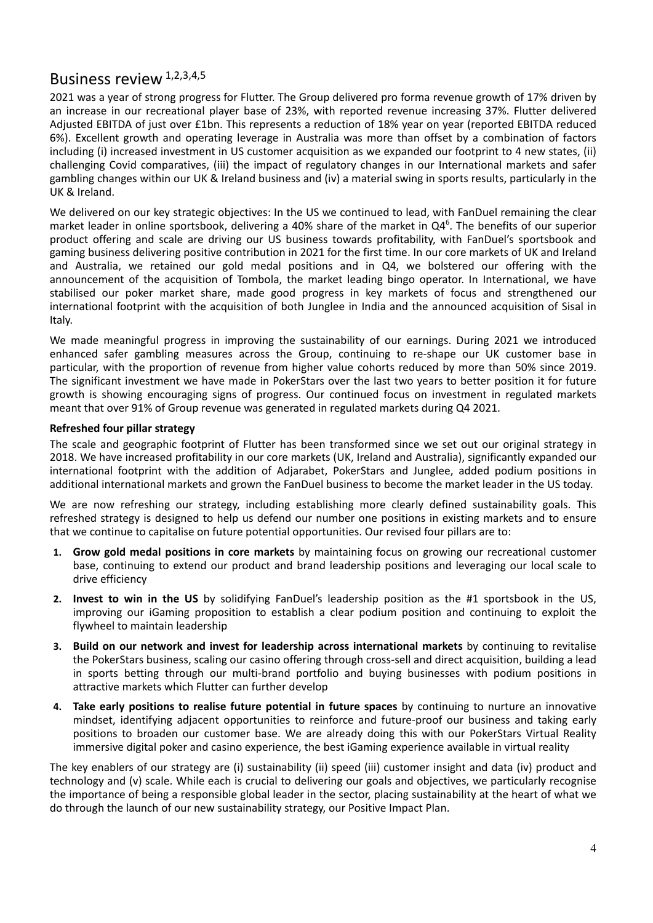# Business review 1,2,3,4,5

2021 was a year of strong progress for Flutter. The Group delivered pro forma revenue growth of 17% driven by an increase in our recreational player base of 23%, with reported revenue increasing 37%. Flutter delivered Adjusted EBITDA of just over £1bn. This represents a reduction of 18% year on year (reported EBITDA reduced 6%). Excellent growth and operating leverage in Australia was more than offset by a combination of factors including (i) increased investment in US customer acquisition as we expanded our footprint to 4 new states, (ii) challenging Covid comparatives, (iii) the impact of regulatory changes in our International markets and safer gambling changes within our UK & Ireland business and (iv) a material swing in sports results, particularly in the UK & Ireland.

We delivered on our key strategic objectives: In the US we continued to lead, with FanDuel remaining the clear market leader in online sportsbook, delivering a 40% share of the market in  $Q4<sup>6</sup>$ . The benefits of our superior product offering and scale are driving our US business towards profitability, with FanDuel's sportsbook and gaming business delivering positive contribution in 2021 for the first time. In our core markets of UK and Ireland and Australia, we retained our gold medal positions and in Q4, we bolstered our offering with the announcement of the acquisition of Tombola, the market leading bingo operator. In International, we have stabilised our poker market share, made good progress in key markets of focus and strengthened our international footprint with the acquisition of both Junglee in India and the announced acquisition of Sisal in Italy.

We made meaningful progress in improving the sustainability of our earnings. During 2021 we introduced enhanced safer gambling measures across the Group, continuing to re‐shape our UK customer base in particular, with the proportion of revenue from higher value cohorts reduced by more than 50% since 2019. The significant investment we have made in PokerStars over the last two years to better position it for future growth is showing encouraging signs of progress. Our continued focus on investment in regulated markets meant that over 91% of Group revenue was generated in regulated markets during Q4 2021.

# **Refreshed four pillar strategy**

The scale and geographic footprint of Flutter has been transformed since we set out our original strategy in 2018. We have increased profitability in our core markets (UK, Ireland and Australia), significantly expanded our international footprint with the addition of Adjarabet, PokerStars and Junglee, added podium positions in additional international markets and grown the FanDuel business to become the market leader in the US today.

We are now refreshing our strategy, including establishing more clearly defined sustainability goals. This refreshed strategy is designed to help us defend our number one positions in existing markets and to ensure that we continue to capitalise on future potential opportunities. Our revised four pillars are to:

- **1. Grow gold medal positions in core markets** by maintaining focus on growing our recreational customer base, continuing to extend our product and brand leadership positions and leveraging our local scale to drive efficiency
- **2. Invest to win in the US** by solidifying FanDuel's leadership position as the #1 sportsbook in the US, improving our iGaming proposition to establish a clear podium position and continuing to exploit the flywheel to maintain leadership
- **3. Build on our network and invest for leadership across international markets** by continuing to revitalise the PokerStars business, scaling our casino offering through cross‐sell and direct acquisition, building a lead in sports betting through our multi‐brand portfolio and buying businesses with podium positions in attractive markets which Flutter can further develop
- **4. Take early positions to realise future potential in future spaces** by continuing to nurture an innovative mindset, identifying adjacent opportunities to reinforce and future‐proof our business and taking early positions to broaden our customer base. We are already doing this with our PokerStars Virtual Reality immersive digital poker and casino experience, the best iGaming experience available in virtual reality

The key enablers of our strategy are (i) sustainability (ii) speed (iii) customer insight and data (iv) product and technology and (v) scale. While each is crucial to delivering our goals and objectives, we particularly recognise the importance of being a responsible global leader in the sector, placing sustainability at the heart of what we do through the launch of our new sustainability strategy, our Positive Impact Plan.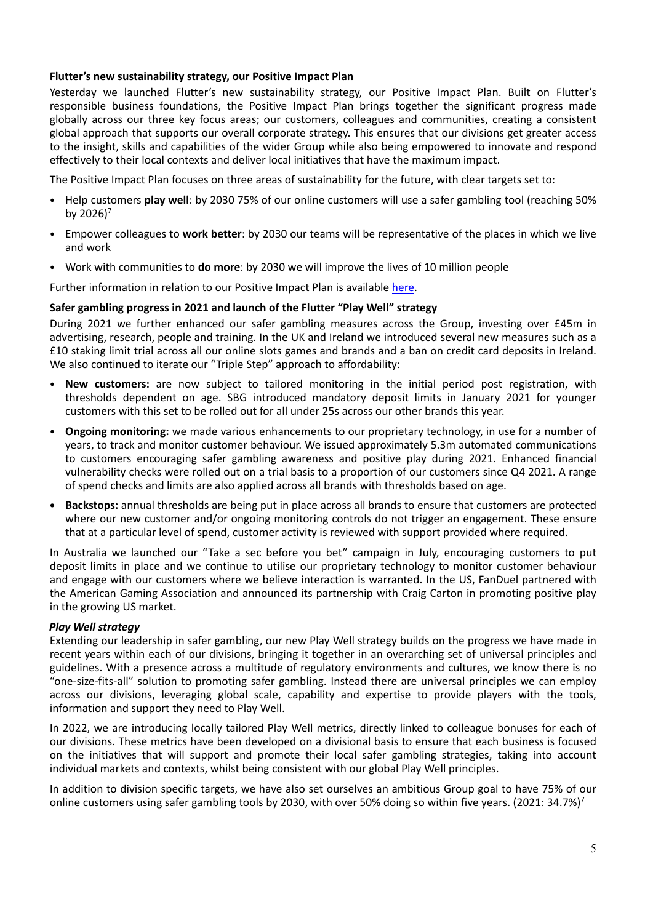# **Flutter's new sustainability strategy, our Positive Impact Plan**

Yesterday we launched Flutter's new sustainability strategy, our Positive Impact Plan. Built on Flutter's responsible business foundations, the Positive Impact Plan brings together the significant progress made globally across our three key focus areas; our customers, colleagues and communities, creating a consistent global approach that supports our overall corporate strategy. This ensures that our divisions get greater access to the insight, skills and capabilities of the wider Group while also being empowered to innovate and respond effectively to their local contexts and deliver local initiatives that have the maximum impact.

The Positive Impact Plan focuses on three areas of sustainability for the future, with clear targets set to:

- Help customers **play well**: by 2030 75% of our online customers will use a safer gambling tool (reaching 50% by  $2026$ <sup>7</sup>
- Empower colleagues to **work better**: by 2030 our teams will be representative of the places in which we live and work
- Work with communities to **do more**: by 2030 we will improve the lives of 10 million people

Further information in relation to our Positive Impact Plan is available here.

# **Safer gambling progress in 2021 and launch of the Flutter "Play Well" strategy**

During 2021 we further enhanced our safer gambling measures across the Group, investing over £45m in advertising, research, people and training. In the UK and Ireland we introduced several new measures such as a £10 staking limit trial across all our online slots games and brands and a ban on credit card deposits in Ireland. We also continued to iterate our "Triple Step" approach to affordability:

- **New customers:** are now subject to tailored monitoring in the initial period post registration, with thresholds dependent on age. SBG introduced mandatory deposit limits in January 2021 for younger customers with this set to be rolled out for all under 25s across our other brands this year.
- **Ongoing monitoring:** we made various enhancements to our proprietary technology, in use for a number of years, to track and monitor customer behaviour. We issued approximately 5.3m automated communications to customers encouraging safer gambling awareness and positive play during 2021. Enhanced financial vulnerability checks were rolled out on a trial basis to a proportion of our customers since Q4 2021. A range of spend checks and limits are also applied across all brands with thresholds based on age.
- **• Backstops:** annual thresholds are being put in place across all brands to ensure that customers are protected where our new customer and/or ongoing monitoring controls do not trigger an engagement. These ensure that at a particular level of spend, customer activity is reviewed with support provided where required.

In Australia we launched our "Take a sec before you bet" campaign in July, encouraging customers to put deposit limits in place and we continue to utilise our proprietary technology to monitor customer behaviour and engage with our customers where we believe interaction is warranted. In the US, FanDuel partnered with the American Gaming Association and announced its partnership with Craig Carton in promoting positive play in the growing US market.

# *Play Well strategy*

Extending our leadership in safer gambling, our new Play Well strategy builds on the progress we have made in recent years within each of our divisions, bringing it together in an overarching set of universal principles and guidelines. With a presence across a multitude of regulatory environments and cultures, we know there is no "one‐size‐fits‐all" solution to promoting safer gambling. Instead there are universal principles we can employ across our divisions, leveraging global scale, capability and expertise to provide players with the tools, information and support they need to Play Well.

In 2022, we are introducing locally tailored Play Well metrics, directly linked to colleague bonuses for each of our divisions. These metrics have been developed on a divisional basis to ensure that each business is focused on the initiatives that will support and promote their local safer gambling strategies, taking into account individual markets and contexts, whilst being consistent with our global Play Well principles.

In addition to division specific targets, we have also set ourselves an ambitious Group goal to have 75% of our online customers using safer gambling tools by 2030, with over 50% doing so within five years. (2021: 34.7%)<sup>7</sup>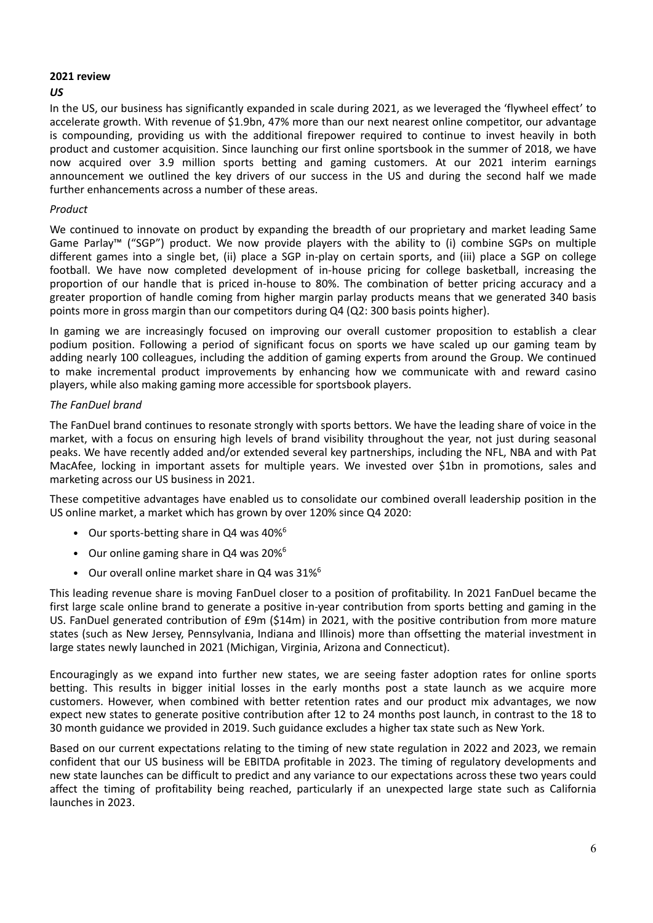# **2021 review**

# *US*

In the US, our business has significantly expanded in scale during 2021, as we leveraged the 'flywheel effect' to accelerate growth. With revenue of \$1.9bn, 47% more than our next nearest online competitor, our advantage is compounding, providing us with the additional firepower required to continue to invest heavily in both product and customer acquisition. Since launching our first online sportsbook in the summer of 2018, we have now acquired over 3.9 million sports betting and gaming customers. At our 2021 interim earnings announcement we outlined the key drivers of our success in the US and during the second half we made further enhancements across a number of these areas.

# *Product*

We continued to innovate on product by expanding the breadth of our proprietary and market leading Same Game Parlay™ ("SGP") product. We now provide players with the ability to (i) combine SGPs on multiple different games into a single bet, (ii) place a SGP in‐play on certain sports, and (iii) place a SGP on college football. We have now completed development of in‐house pricing for college basketball, increasing the proportion of our handle that is priced in‐house to 80%. The combination of better pricing accuracy and a greater proportion of handle coming from higher margin parlay products means that we generated 340 basis points more in gross margin than our competitors during Q4 (Q2: 300 basis points higher).

In gaming we are increasingly focused on improving our overall customer proposition to establish a clear podium position. Following a period of significant focus on sports we have scaled up our gaming team by adding nearly 100 colleagues, including the addition of gaming experts from around the Group. We continued to make incremental product improvements by enhancing how we communicate with and reward casino players, while also making gaming more accessible for sportsbook players.

# *The FanDuel brand*

The FanDuel brand continues to resonate strongly with sports bettors. We have the leading share of voice in the market, with a focus on ensuring high levels of brand visibility throughout the year, not just during seasonal peaks. We have recently added and/or extended several key partnerships, including the NFL, NBA and with Pat MacAfee, locking in important assets for multiple years. We invested over \$1bn in promotions, sales and marketing across our US business in 2021.

These competitive advantages have enabled us to consolidate our combined overall leadership position in the US online market, a market which has grown by over 120% since Q4 2020:

- Our sports-betting share in Q4 was 40%<sup>6</sup>
- Our online gaming share in Q4 was  $20\%^6$
- Our overall online market share in O4 was 31%<sup>6</sup>

This leading revenue share is moving FanDuel closer to a position of profitability. In 2021 FanDuel became the first large scale online brand to generate a positive in-year contribution from sports betting and gaming in the US. FanDuel generated contribution of £9m (\$14m) in 2021, with the positive contribution from more mature states (such as New Jersey, Pennsylvania, Indiana and Illinois) more than offsetting the material investment in large states newly launched in 2021 (Michigan, Virginia, Arizona and Connecticut).

Encouragingly as we expand into further new states, we are seeing faster adoption rates for online sports betting. This results in bigger initial losses in the early months post a state launch as we acquire more customers. However, when combined with better retention rates and our product mix advantages, we now expect new states to generate positive contribution after 12 to 24 months post launch, in contrast to the 18 to 30 month guidance we provided in 2019. Such guidance excludes a higher tax state such as New York.

Based on our current expectations relating to the timing of new state regulation in 2022 and 2023, we remain confident that our US business will be EBITDA profitable in 2023. The timing of regulatory developments and new state launches can be difficult to predict and any variance to our expectations across these two years could affect the timing of profitability being reached, particularly if an unexpected large state such as California launches in 2023.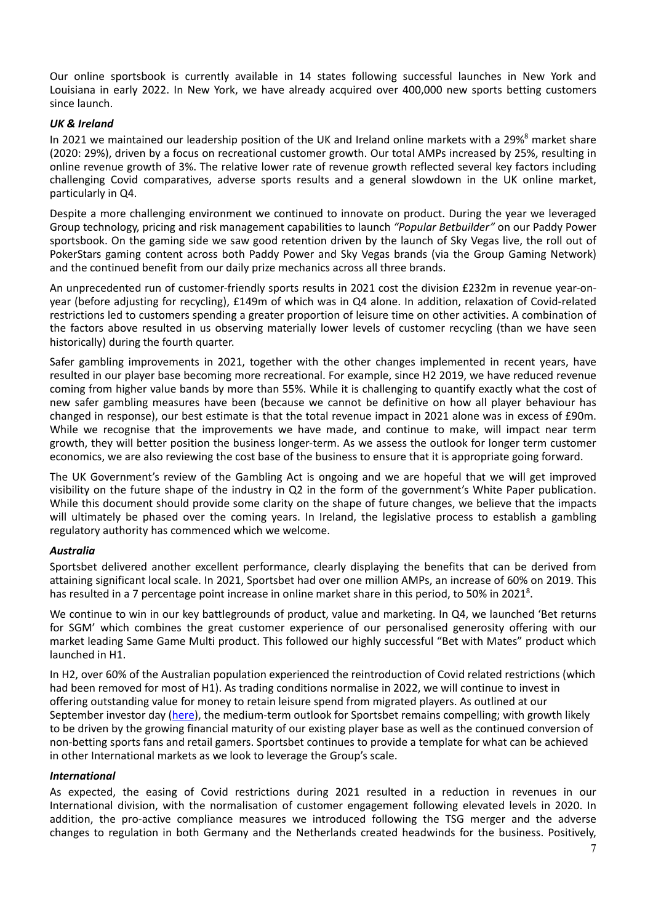Our online sportsbook is currently available in 14 states following successful launches in New York and Louisiana in early 2022. In New York, we have already acquired over 400,000 new sports betting customers since launch.

# *UK & Ireland*

In 2021 we maintained our leadership position of the UK and Ireland online markets with a 29%<sup>8</sup> market share (2020: 29%), driven by a focus on recreational customer growth. Our total AMPs increased by 25%, resulting in online revenue growth of 3%. The relative lower rate of revenue growth reflected several key factors including challenging Covid comparatives, adverse sports results and a general slowdown in the UK online market, particularly in Q4.

Despite a more challenging environment we continued to innovate on product. During the year we leveraged Group technology, pricing and risk management capabilities to launch *"Popular Betbuilder"* on our Paddy Power sportsbook. On the gaming side we saw good retention driven by the launch of Sky Vegas live, the roll out of PokerStars gaming content across both Paddy Power and Sky Vegas brands (via the Group Gaming Network) and the continued benefit from our daily prize mechanics across all three brands.

An unprecedented run of customer-friendly sports results in 2021 cost the division £232m in revenue year-onyear (before adjusting for recycling), £149m of which was in Q4 alone. In addition, relaxation of Covid‐related restrictions led to customers spending a greater proportion of leisure time on other activities. A combination of the factors above resulted in us observing materially lower levels of customer recycling (than we have seen historically) during the fourth quarter.

Safer gambling improvements in 2021, together with the other changes implemented in recent years, have resulted in our player base becoming more recreational. For example, since H2 2019, we have reduced revenue coming from higher value bands by more than 55%. While it is challenging to quantify exactly what the cost of new safer gambling measures have been (because we cannot be definitive on how all player behaviour has changed in response), our best estimate is that the total revenue impact in 2021 alone was in excess of £90m. While we recognise that the improvements we have made, and continue to make, will impact near term growth, they will better position the business longer‐term. As we assess the outlook for longer term customer economics, we are also reviewing the cost base of the business to ensure that it is appropriate going forward.

The UK Government's review of the Gambling Act is ongoing and we are hopeful that we will get improved visibility on the future shape of the industry in Q2 in the form of the government's White Paper publication. While this document should provide some clarity on the shape of future changes, we believe that the impacts will ultimately be phased over the coming years. In Ireland, the legislative process to establish a gambling regulatory authority has commenced which we welcome.

# *Australia*

Sportsbet delivered another excellent performance, clearly displaying the benefits that can be derived from attaining significant local scale. In 2021, Sportsbet had over one million AMPs, an increase of 60% on 2019. This has resulted in a 7 percentage point increase in online market share in this period, to 50% in 2021<sup>8</sup>.

We continue to win in our key battlegrounds of product, value and marketing. In Q4, we launched 'Bet returns for SGM' which combines the great customer experience of our personalised generosity offering with our market leading Same Game Multi product. This followed our highly successful "Bet with Mates" product which launched in H1.

In H2, over 60% of the Australian population experienced the reintroduction of Covid related restrictions (which had been removed for most of H1). As trading conditions normalise in 2022, we will continue to invest in offering outstanding value for money to retain leisure spend from migrated players. As outlined at our September investor day (here), the medium-term outlook for Sportsbet remains compelling; with growth likely to be driven by the growing financial maturity of our existing player base as well as the continued conversion of non‐betting sports fans and retail gamers. Sportsbet continues to provide a template for what can be achieved in other International markets as we look to leverage the Group's scale.

# *International*

As expected, the easing of Covid restrictions during 2021 resulted in a reduction in revenues in our International division, with the normalisation of customer engagement following elevated levels in 2020. In addition, the pro-active compliance measures we introduced following the TSG merger and the adverse changes to regulation in both Germany and the Netherlands created headwinds for the business. Positively,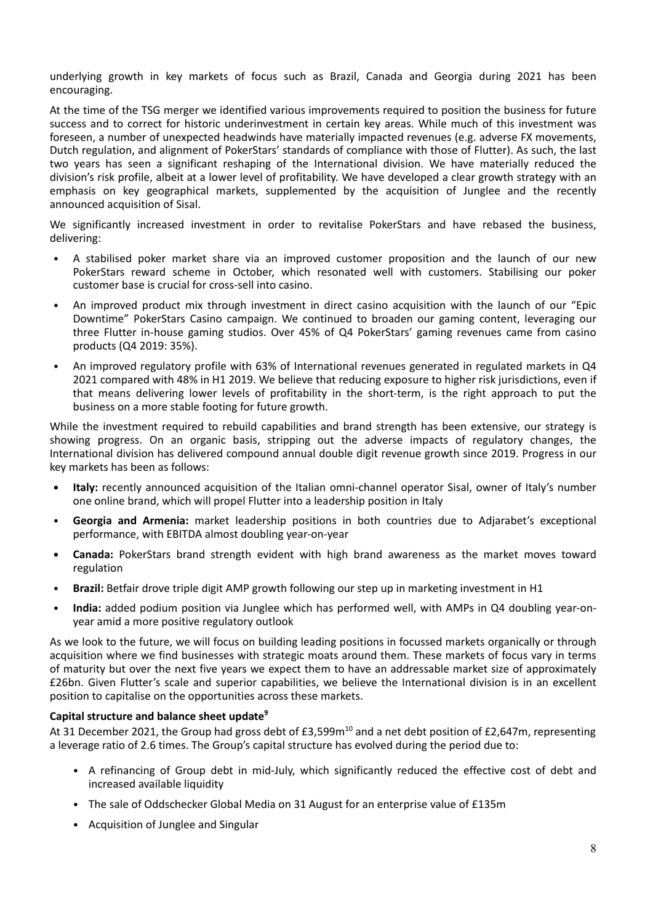underlying growth in key markets of focus such as Brazil, Canada and Georgia during 2021 has been encouraging.

At the time of the TSG merger we identified various improvements required to position the business for future success and to correct for historic underinvestment in certain key areas. While much of this investment was foreseen, a number of unexpected headwinds have materially impacted revenues (e.g. adverse FX movements, Dutch regulation, and alignment of PokerStars' standards of compliance with those of Flutter). As such, the last two years has seen a significant reshaping of the International division. We have materially reduced the division's risk profile, albeit at a lower level of profitability. We have developed a clear growth strategy with an emphasis on key geographical markets, supplemented by the acquisition of Junglee and the recently announced acquisition of Sisal.

We significantly increased investment in order to revitalise PokerStars and have rebased the business, delivering:

- A stabilised poker market share via an improved customer proposition and the launch of our new PokerStars reward scheme in October, which resonated well with customers. Stabilising our poker customer base is crucial for cross‐sell into casino.
- An improved product mix through investment in direct casino acquisition with the launch of our "Epic Downtime" PokerStars Casino campaign. We continued to broaden our gaming content, leveraging our three Flutter in‐house gaming studios. Over 45% of Q4 PokerStars' gaming revenues came from casino products (Q4 2019: 35%).
- An improved regulatory profile with 63% of International revenues generated in regulated markets in Q4 2021 compared with 48% in H1 2019. We believe that reducing exposure to higher risk jurisdictions, even if that means delivering lower levels of profitability in the short-term, is the right approach to put the business on a more stable footing for future growth.

While the investment required to rebuild capabilities and brand strength has been extensive, our strategy is showing progress. On an organic basis, stripping out the adverse impacts of regulatory changes, the International division has delivered compound annual double digit revenue growth since 2019. Progress in our key markets has been as follows:

- **Italy:** recently announced acquisition of the Italian omni-channel operator Sisal, owner of Italy's number one online brand, which will propel Flutter into a leadership position in Italy
- **Georgia and Armenia:** market leadership positions in both countries due to Adjarabet's exceptional performance, with EBITDA almost doubling year‐on‐year
- **• Canada:** PokerStars brand strength evident with high brand awareness as the market moves toward regulation
- **Brazil:** Betfair drove triple digit AMP growth following our step up in marketing investment in H1
- **India:** added podium position via Junglee which has performed well, with AMPs in Q4 doubling year‐on‐ year amid a more positive regulatory outlook

As we look to the future, we will focus on building leading positions in focussed markets organically or through acquisition where we find businesses with strategic moats around them. These markets of focus vary in terms of maturity but over the next five years we expect them to have an addressable market size of approximately £26bn. Given Flutter's scale and superior capabilities, we believe the International division is in an excellent position to capitalise on the opportunities across these markets.

# **Capital structure and balance sheet update9**

At 31 December 2021, the Group had gross debt of  $£3.599m^{10}$  and a net debt position of £2,647m, representing a leverage ratio of 2.6 times. The Group's capital structure has evolved during the period due to:

- A refinancing of Group debt in mid-July, which significantly reduced the effective cost of debt and increased available liquidity
- The sale of Oddschecker Global Media on 31 August for an enterprise value of £135m
- Acquisition of Junglee and Singular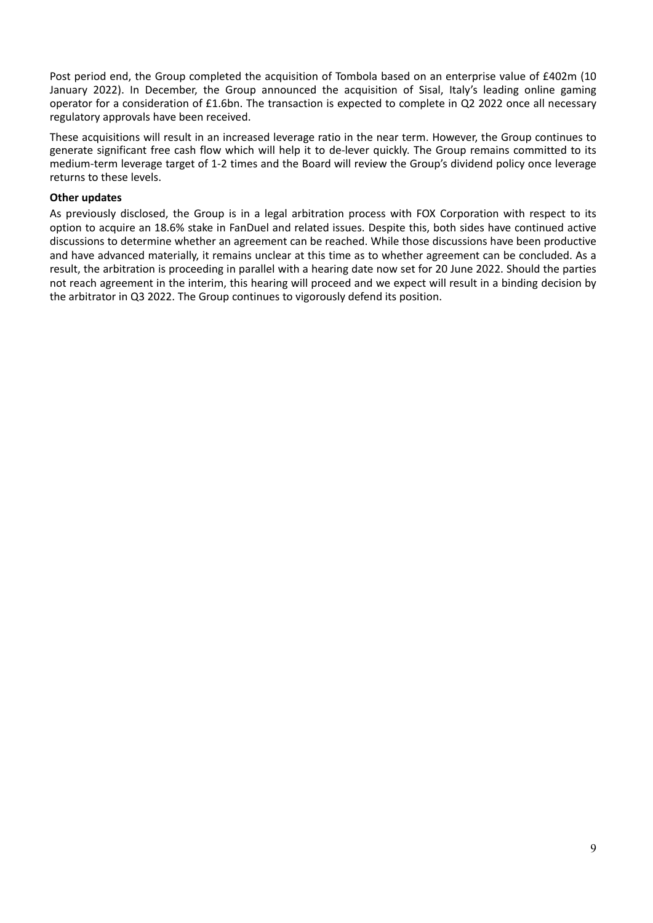Post period end, the Group completed the acquisition of Tombola based on an enterprise value of £402m (10 January 2022). In December, the Group announced the acquisition of Sisal, Italy's leading online gaming operator for a consideration of £1.6bn. The transaction is expected to complete in Q2 2022 once all necessary regulatory approvals have been received.

These acquisitions will result in an increased leverage ratio in the near term. However, the Group continues to generate significant free cash flow which will help it to de‐lever quickly. The Group remains committed to its medium‐term leverage target of 1‐2 times and the Board will review the Group's dividend policy once leverage returns to these levels.

# **Other updates**

As previously disclosed, the Group is in a legal arbitration process with FOX Corporation with respect to its option to acquire an 18.6% stake in FanDuel and related issues. Despite this, both sides have continued active discussions to determine whether an agreement can be reached. While those discussions have been productive and have advanced materially, it remains unclear at this time as to whether agreement can be concluded. As a result, the arbitration is proceeding in parallel with a hearing date now set for 20 June 2022. Should the parties not reach agreement in the interim, this hearing will proceed and we expect will result in a binding decision by the arbitrator in Q3 2022. The Group continues to vigorously defend its position.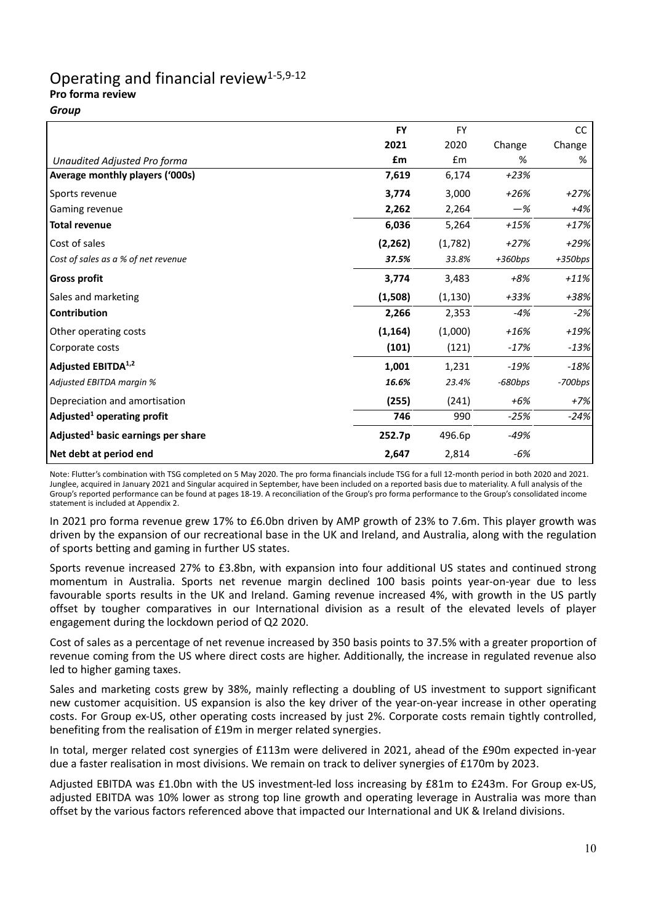# Operating and financial review<sup>1-5,9-12</sup> **Pro forma review**

*Group*

|                                                | <b>FY</b> | <b>FY</b> |           | <sub>CC</sub> |
|------------------------------------------------|-----------|-----------|-----------|---------------|
|                                                | 2021      | 2020      | Change    | Change        |
| Unaudited Adjusted Pro forma                   | £m        | Em        | %         | %             |
| Average monthly players ('000s)                | 7,619     | 6,174     | $+23%$    |               |
| Sports revenue                                 | 3,774     | 3,000     | $+26%$    | $+27%$        |
| <b>Gaming revenue</b>                          | 2,262     | 2,264     | $-\%$     | +4%           |
| Total revenue                                  | 6,036     | 5,264     | $+15%$    | $+17%$        |
| Cost of sales                                  | (2, 262)  | (1,782)   | $+27%$    | $+29%$        |
| Cost of sales as a % of net revenue            | 37.5%     | 33.8%     | $+360bps$ | $+350bps$     |
| <b>Gross profit</b>                            | 3,774     | 3,483     | +8%       | $+11%$        |
| Sales and marketing                            | (1,508)   | (1, 130)  | +33%      | +38%          |
| <b>Contribution</b>                            | 2,266     | 2,353     | $-4%$     | $-2%$         |
| Other operating costs                          | (1, 164)  | (1,000)   | $+16%$    | +19%          |
| Corporate costs                                | (101)     | (121)     | $-17%$    | $-13%$        |
| Adjusted EBITDA <sup>1,2</sup>                 | 1,001     | 1,231     | $-19%$    | $-18%$        |
| Adjusted EBITDA margin %                       | 16.6%     | 23.4%     | $-680bps$ | $-700bps$     |
| Depreciation and amortisation                  | (255)     | (241)     | $+6%$     | $+7%$         |
| Adjusted <sup>1</sup> operating profit         | 746       | 990       | $-25%$    | $-24%$        |
| Adjusted <sup>1</sup> basic earnings per share | 252.7p    | 496.6p    | -49%      |               |
| Net debt at period end                         | 2,647     | 2,814     | $-6%$     |               |

Note: Flutter's combination with TSG completed on 5 May 2020. The pro forma financials include TSG for a full 12‐month period in both 2020 and 2021. Junglee, acquired in January 2021 and Singular acquired in September, have been included on a reported basis due to materiality. A full analysis of the Group's reported performance can be found at pages 18‐19. A reconciliation of the Group's pro forma performance to the Group's consolidated income statement is included at Appendix 2.

In 2021 pro forma revenue grew 17% to £6.0bn driven by AMP growth of 23% to 7.6m. This player growth was driven by the expansion of our recreational base in the UK and Ireland, and Australia, along with the regulation of sports betting and gaming in further US states.

Sports revenue increased 27% to £3.8bn, with expansion into four additional US states and continued strong momentum in Australia. Sports net revenue margin declined 100 basis points year‐on‐year due to less favourable sports results in the UK and Ireland. Gaming revenue increased 4%, with growth in the US partly offset by tougher comparatives in our International division as a result of the elevated levels of player engagement during the lockdown period of Q2 2020.

Cost of sales as a percentage of net revenue increased by 350 basis points to 37.5% with a greater proportion of revenue coming from the US where direct costs are higher. Additionally, the increase in regulated revenue also led to higher gaming taxes.

Sales and marketing costs grew by 38%, mainly reflecting a doubling of US investment to support significant new customer acquisition. US expansion is also the key driver of the year-on-year increase in other operating costs. For Group ex‐US, other operating costs increased by just 2%. Corporate costs remain tightly controlled, benefiting from the realisation of £19m in merger related synergies.

In total, merger related cost synergies of £113m were delivered in 2021, ahead of the £90m expected in‐year due a faster realisation in most divisions. We remain on track to deliver synergies of £170m by 2023.

Adjusted EBITDA was £1.0bn with the US investment-led loss increasing by £81m to £243m. For Group ex-US, adjusted EBITDA was 10% lower as strong top line growth and operating leverage in Australia was more than offset by the various factors referenced above that impacted our International and UK & Ireland divisions.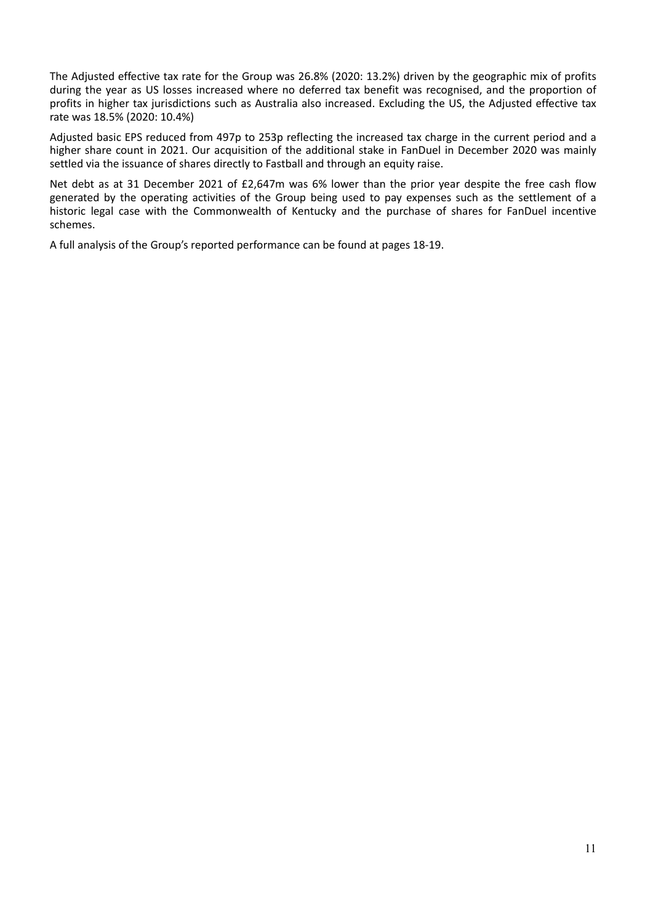The Adjusted effective tax rate for the Group was 26.8% (2020: 13.2%) driven by the geographic mix of profits during the year as US losses increased where no deferred tax benefit was recognised, and the proportion of profits in higher tax jurisdictions such as Australia also increased. Excluding the US, the Adjusted effective tax rate was 18.5% (2020: 10.4%)

Adjusted basic EPS reduced from 497p to 253p reflecting the increased tax charge in the current period and a higher share count in 2021. Our acquisition of the additional stake in FanDuel in December 2020 was mainly settled via the issuance of shares directly to Fastball and through an equity raise.

Net debt as at 31 December 2021 of £2,647m was 6% lower than the prior year despite the free cash flow generated by the operating activities of the Group being used to pay expenses such as the settlement of a historic legal case with the Commonwealth of Kentucky and the purchase of shares for FanDuel incentive schemes.

A full analysis of the Group's reported performance can be found at pages 18‐19.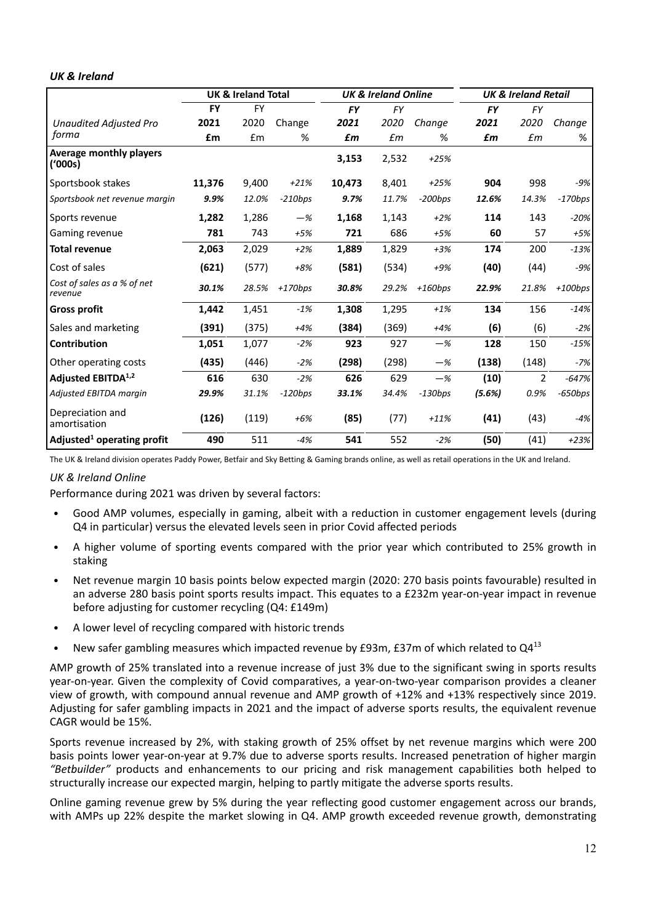# *UK & Ireland*

|                                           | <b>UK &amp; Ireland Total</b> |           |           |           | <b>UK &amp; Ireland Online</b> |           | <b>UK &amp; Ireland Retail</b> |                |           |  |  |
|-------------------------------------------|-------------------------------|-----------|-----------|-----------|--------------------------------|-----------|--------------------------------|----------------|-----------|--|--|
|                                           | <b>FY</b>                     | <b>FY</b> |           | <b>FY</b> | FY                             |           | <b>FY</b>                      | <b>FY</b>      |           |  |  |
| <b>Unaudited Adjusted Pro</b>             | 2021                          | 2020      | Change    | 2021      | 2020                           | Change    | 2021                           | 2020           | Change    |  |  |
| forma                                     | £m                            | £m        | %         | £m        | $\pounds m$                    | %         | £m                             | £m             | %         |  |  |
| <b>Average monthly players</b><br>('000s) |                               |           |           | 3,153     | 2,532                          | $+25%$    |                                |                |           |  |  |
| Sportsbook stakes                         | 11,376                        | 9,400     | $+21%$    | 10,473    | 8,401                          | $+25%$    | 904                            | 998            | -9%       |  |  |
| Sportsbook net revenue margin             | 9.9%                          | 12.0%     | $-210bps$ | 9.7%      | 11.7%                          | $-200bps$ | 12.6%                          | 14.3%          | $-170bps$ |  |  |
| Sports revenue                            | 1,282                         | 1,286     | $-\%$     | 1,168     | 1,143                          | $+2%$     | 114                            | 143            | $-20%$    |  |  |
| Gaming revenue                            | 781                           | 743       | $+5%$     | 721       | 686                            | $+5%$     | 60                             | 57             | $+5%$     |  |  |
| <b>Total revenue</b>                      | 2,063                         | 2,029     | $+2%$     | 1,889     | 1,829                          | $+3%$     | 174                            | 200            | $-13%$    |  |  |
| Cost of sales                             | (621)                         | (577)     | $+8%$     | (581)     | (534)                          | $+9%$     | (40)                           | (44)           | $-9%$     |  |  |
| Cost of sales as a % of net<br>revenue    | 30.1%                         | 28.5%     | $+170bps$ | 30.8%     | 29.2%                          | $+160bps$ | 22.9%                          | 21.8%          | $+100bps$ |  |  |
| <b>Gross profit</b>                       | 1,442                         | 1,451     | $-1%$     | 1,308     | 1,295                          | $+1%$     | 134                            | 156            | $-14%$    |  |  |
| Sales and marketing                       | (391)                         | (375)     | $+4%$     | (384)     | (369)                          | $+4%$     | (6)                            | (6)            | $-2%$     |  |  |
| <b>Contribution</b>                       | 1,051                         | 1,077     | $-2%$     | 923       | 927                            | $-\%$     | 128                            | 150            | $-15%$    |  |  |
| Other operating costs                     | (435)                         | (446)     | $-2%$     | (298)     | (298)                          | $-\%$     | (138)                          | (148)          | -7%       |  |  |
| Adjusted EBITDA <sup>1,2</sup>            | 616                           | 630       | $-2%$     | 626       | 629                            | $-\%$     | (10)                           | $\overline{2}$ | $-647%$   |  |  |
| Adjusted EBITDA margin                    | 29.9%                         | 31.1%     | $-120bps$ | 33.1%     | 34.4%                          | $-130bps$ | (5.6%)                         | 0.9%           | $-650bps$ |  |  |
| Depreciation and<br>amortisation          | (126)                         | (119)     | $+6%$     | (85)      | (77)                           | $+11%$    | (41)                           | (43)           | -4%       |  |  |
| Adjusted <sup>1</sup> operating profit    | 490                           | 511       | $-4%$     | 541       | 552                            | $-2%$     | (50)                           | (41)           | $+23%$    |  |  |

The UK & Ireland division operates Paddy Power, Betfair and Sky Betting & Gaming brands online, as well as retail operations in the UK and Ireland.

# *UK & Ireland Online*

Performance during 2021 was driven by several factors:

- Good AMP volumes, especially in gaming, albeit with a reduction in customer engagement levels (during Q4 in particular) versus the elevated levels seen in prior Covid affected periods
- A higher volume of sporting events compared with the prior year which contributed to 25% growth in staking
- Net revenue margin 10 basis points below expected margin (2020: 270 basis points favourable) resulted in an adverse 280 basis point sports results impact. This equates to a £232m year-on-year impact in revenue before adjusting for customer recycling (Q4: £149m)
- A lower level of recycling compared with historic trends
- New safer gambling measures which impacted revenue by £93m, £37m of which related to Q4<sup>13</sup>

AMP growth of 25% translated into a revenue increase of just 3% due to the significant swing in sports results year-on-year. Given the complexity of Covid comparatives, a year-on-two-year comparison provides a cleaner view of growth, with compound annual revenue and AMP growth of +12% and +13% respectively since 2019. Adjusting for safer gambling impacts in 2021 and the impact of adverse sports results, the equivalent revenue CAGR would be 15%.

Sports revenue increased by 2%, with staking growth of 25% offset by net revenue margins which were 200 basis points lower year‐on‐year at 9.7% due to adverse sports results. Increased penetration of higher margin *"Betbuilder"* products and enhancements to our pricing and risk management capabilities both helped to structurally increase our expected margin, helping to partly mitigate the adverse sports results.

Online gaming revenue grew by 5% during the year reflecting good customer engagement across our brands, with AMPs up 22% despite the market slowing in Q4. AMP growth exceeded revenue growth, demonstrating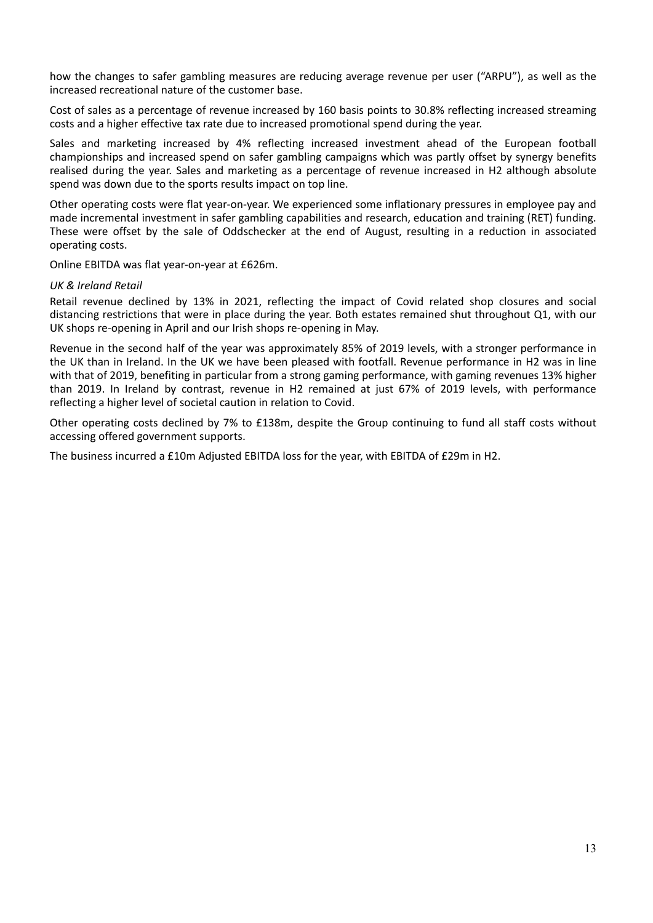how the changes to safer gambling measures are reducing average revenue per user ("ARPU"), as well as the increased recreational nature of the customer base.

Cost of sales as a percentage of revenue increased by 160 basis points to 30.8% reflecting increased streaming costs and a higher effective tax rate due to increased promotional spend during the year.

Sales and marketing increased by 4% reflecting increased investment ahead of the European football championships and increased spend on safer gambling campaigns which was partly offset by synergy benefits realised during the year. Sales and marketing as a percentage of revenue increased in H2 although absolute spend was down due to the sports results impact on top line.

Other operating costs were flat year‐on‐year. We experienced some inflationary pressures in employee pay and made incremental investment in safer gambling capabilities and research, education and training (RET) funding. These were offset by the sale of Oddschecker at the end of August, resulting in a reduction in associated operating costs.

Online EBITDA was flat year‐on‐year at £626m.

#### *UK & Ireland Retail*

Retail revenue declined by 13% in 2021, reflecting the impact of Covid related shop closures and social distancing restrictions that were in place during the year. Both estates remained shut throughout Q1, with our UK shops re‐opening in April and our Irish shops re‐opening in May.

Revenue in the second half of the year was approximately 85% of 2019 levels, with a stronger performance in the UK than in Ireland. In the UK we have been pleased with footfall. Revenue performance in H2 was in line with that of 2019, benefiting in particular from a strong gaming performance, with gaming revenues 13% higher than 2019. In Ireland by contrast, revenue in H2 remained at just 67% of 2019 levels, with performance reflecting a higher level of societal caution in relation to Covid.

Other operating costs declined by 7% to £138m, despite the Group continuing to fund all staff costs without accessing offered government supports.

The business incurred a £10m Adjusted EBITDA loss for the year, with EBITDA of £29m in H2.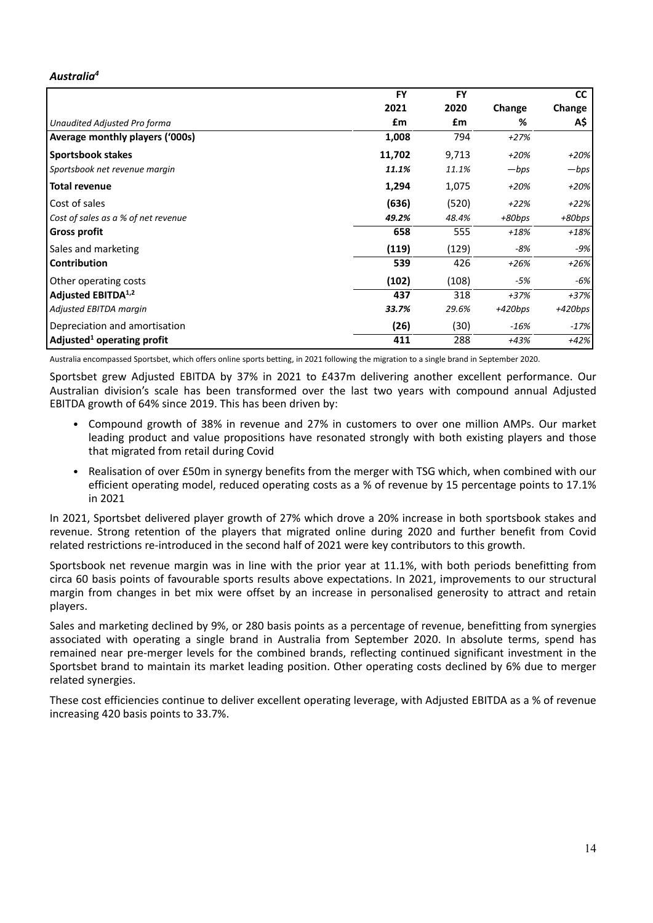# *Australia4*

|                                        | <b>FY</b> | <b>FY</b> |           | <b>CC</b> |
|----------------------------------------|-----------|-----------|-----------|-----------|
|                                        | 2021      | 2020      | Change    | Change    |
| Unaudited Adjusted Pro forma           | £m        | £m        | %         | A\$       |
| Average monthly players ('000s)        | 1,008     | 794       | +27%      |           |
| <b>Sportsbook stakes</b>               | 11,702    | 9,713     | $+20%$    | $+20%$    |
| Sportsbook net revenue margin          | 11.1%     | 11.1%     | $-bps$    | —bps      |
| Total revenue                          | 1,294     | 1,075     | $+20%$    | $+20%$    |
| Cost of sales                          | (636)     | (520)     | $+22%$    | $+22%$    |
| Cost of sales as a % of net revenue    | 49.2%     | 48.4%     | +80bps    | $+80bps$  |
| <b>Gross profit</b>                    | 658       | 555       | $+18%$    | $+18%$    |
| Sales and marketing                    | (119)     | (129)     | -8%       | -9%       |
| <b>Contribution</b>                    | 539       | 426       | $+26%$    | $+26%$    |
| <b>Other operating costs</b>           | (102)     | (108)     | -5%       | -6%       |
| Adjusted EBITDA <sup>1,2</sup>         | 437       | 318       | $+37%$    | $+37%$    |
| Adjusted EBITDA margin                 | 33.7%     | 29.6%     | $+420bps$ | $+420bps$ |
| Depreciation and amortisation          | (26)      | (30)      | -16%      | $-17%$    |
| Adjusted <sup>1</sup> operating profit | 411       | 288       | $+43%$    | $+42%$    |

Australia encompassed Sportsbet, which offers online sports betting, in 2021 following the migration to a single brand in September 2020.

Sportsbet grew Adjusted EBITDA by 37% in 2021 to £437m delivering another excellent performance. Our Australian division's scale has been transformed over the last two years with compound annual Adjusted EBITDA growth of 64% since 2019. This has been driven by:

- Compound growth of 38% in revenue and 27% in customers to over one million AMPs. Our market leading product and value propositions have resonated strongly with both existing players and those that migrated from retail during Covid
- Realisation of over £50m in synergy benefits from the merger with TSG which, when combined with our efficient operating model, reduced operating costs as a % of revenue by 15 percentage points to 17.1% in 2021

In 2021, Sportsbet delivered player growth of 27% which drove a 20% increase in both sportsbook stakes and revenue. Strong retention of the players that migrated online during 2020 and further benefit from Covid related restrictions re-introduced in the second half of 2021 were key contributors to this growth.

Sportsbook net revenue margin was in line with the prior year at 11.1%, with both periods benefitting from circa 60 basis points of favourable sports results above expectations. In 2021, improvements to our structural margin from changes in bet mix were offset by an increase in personalised generosity to attract and retain players.

Sales and marketing declined by 9%, or 280 basis points as a percentage of revenue, benefitting from synergies associated with operating a single brand in Australia from September 2020. In absolute terms, spend has remained near pre‐merger levels for the combined brands, reflecting continued significant investment in the Sportsbet brand to maintain its market leading position. Other operating costs declined by 6% due to merger related synergies.

These cost efficiencies continue to deliver excellent operating leverage, with Adjusted EBITDA as a % of revenue increasing 420 basis points to 33.7%.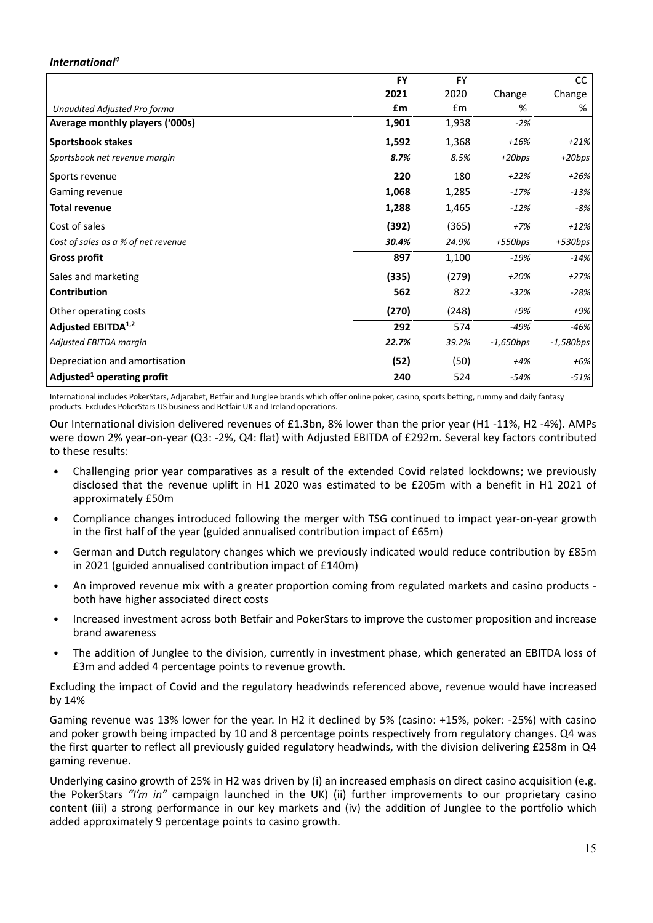# *International4*

|                                        | <b>FY</b> | <b>FY</b> |             | <b>CC</b>   |
|----------------------------------------|-----------|-----------|-------------|-------------|
|                                        | 2021      | 2020      | Change      | Change      |
| Unaudited Adjusted Pro forma           | £m        | £m        | %           | %           |
| Average monthly players ('000s)        | 1,901     | 1,938     | $-2%$       |             |
| <b>Sportsbook stakes</b>               | 1,592     | 1,368     | $+16%$      | $+21%$      |
| Sportsbook net revenue margin          | 8.7%      | 8.5%      | $+20bps$    | $+20bps$    |
| Sports revenue                         | 220       | 180       | $+22%$      | $+26%$      |
| Gaming revenue                         | 1,068     | 1,285     | $-17%$      | $-13%$      |
| <b>Total revenue</b>                   | 1,288     | 1,465     | $-12%$      | -8%         |
| Cost of sales                          | (392)     | (365)     | $+7%$       | $+12%$      |
| Cost of sales as a % of net revenue    | 30.4%     | 24.9%     | $+550bps$   | $+530bps$   |
| <b>Gross profit</b>                    | 897       | 1,100     | -19%        | $-14%$      |
| Sales and marketing                    | (335)     | (279)     | $+20%$      | $+27%$      |
| Contribution                           | 562       | 822       | $-32%$      | -28%        |
| Other operating costs                  | (270)     | (248)     | $+9%$       | $+9%$       |
| Adjusted EBITDA <sup>1,2</sup>         | 292       | 574       | $-49%$      | $-46%$      |
| Adjusted EBITDA margin                 | 22.7%     | 39.2%     | $-1,650bps$ | $-1,580bps$ |
| Depreciation and amortisation          | (52)      | (50)      | $+4%$       | +6%         |
| Adjusted <sup>1</sup> operating profit | 240       | 524       | -54%        | $-51%$      |

International includes PokerStars, Adjarabet, Betfair and Junglee brands which offer online poker, casino, sports betting, rummy and daily fantasy products. Excludes PokerStars US business and Betfair UK and Ireland operations.

Our International division delivered revenues of £1.3bn, 8% lower than the prior year (H1 ‐11%, H2 ‐4%). AMPs were down 2% year-on-year (Q3: -2%, Q4: flat) with Adjusted EBITDA of £292m. Several key factors contributed to these results:

- Challenging prior year comparatives as a result of the extended Covid related lockdowns; we previously disclosed that the revenue uplift in H1 2020 was estimated to be £205m with a benefit in H1 2021 of approximately £50m
- Compliance changes introduced following the merger with TSG continued to impact year‐on‐year growth in the first half of the year (guided annualised contribution impact of £65m)
- German and Dutch regulatory changes which we previously indicated would reduce contribution by £85m in 2021 (guided annualised contribution impact of £140m)
- An improved revenue mix with a greater proportion coming from regulated markets and casino products ‐ both have higher associated direct costs
- Increased investment across both Betfair and PokerStars to improve the customer proposition and increase brand awareness
- The addition of Junglee to the division, currently in investment phase, which generated an EBITDA loss of £3m and added 4 percentage points to revenue growth.

Excluding the impact of Covid and the regulatory headwinds referenced above, revenue would have increased by 14%

Gaming revenue was 13% lower for the year. In H2 it declined by 5% (casino: +15%, poker: ‐25%) with casino and poker growth being impacted by 10 and 8 percentage points respectively from regulatory changes. Q4 was the first quarter to reflect all previously guided regulatory headwinds, with the division delivering £258m in Q4 gaming revenue.

Underlying casino growth of 25% in H2 was driven by (i) an increased emphasis on direct casino acquisition (e.g. the PokerStars *"I'm in"* campaign launched in the UK) (ii) further improvements to our proprietary casino content (iii) a strong performance in our key markets and (iv) the addition of Junglee to the portfolio which added approximately 9 percentage points to casino growth.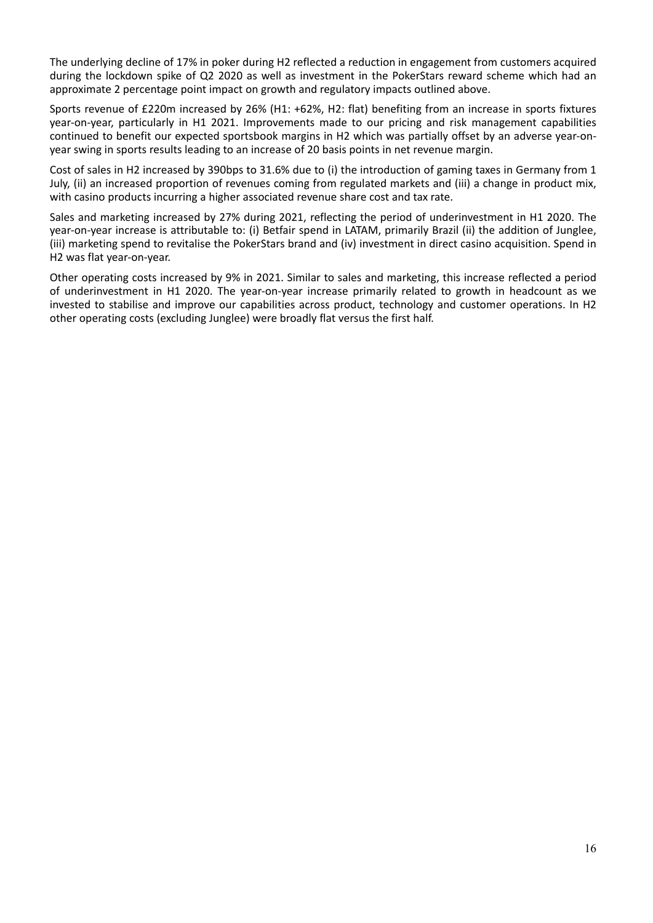The underlying decline of 17% in poker during H2 reflected a reduction in engagement from customers acquired during the lockdown spike of Q2 2020 as well as investment in the PokerStars reward scheme which had an approximate 2 percentage point impact on growth and regulatory impacts outlined above.

Sports revenue of £220m increased by 26% (H1: +62%, H2: flat) benefiting from an increase in sports fixtures year-on-year, particularly in H1 2021. Improvements made to our pricing and risk management capabilities continued to benefit our expected sportsbook margins in H2 which was partially offset by an adverse year‐on‐ year swing in sports results leading to an increase of 20 basis points in net revenue margin.

Cost of sales in H2 increased by 390bps to 31.6% due to (i) the introduction of gaming taxes in Germany from 1 July, (ii) an increased proportion of revenues coming from regulated markets and (iii) a change in product mix, with casino products incurring a higher associated revenue share cost and tax rate.

Sales and marketing increased by 27% during 2021, reflecting the period of underinvestment in H1 2020. The year-on-year increase is attributable to: (i) Betfair spend in LATAM, primarily Brazil (ii) the addition of Junglee, (iii) marketing spend to revitalise the PokerStars brand and (iv) investment in direct casino acquisition. Spend in H2 was flat year‐on‐year.

Other operating costs increased by 9% in 2021. Similar to sales and marketing, this increase reflected a period of underinvestment in H1 2020. The year-on-year increase primarily related to growth in headcount as we invested to stabilise and improve our capabilities across product, technology and customer operations. In H2 other operating costs (excluding Junglee) were broadly flat versus the first half.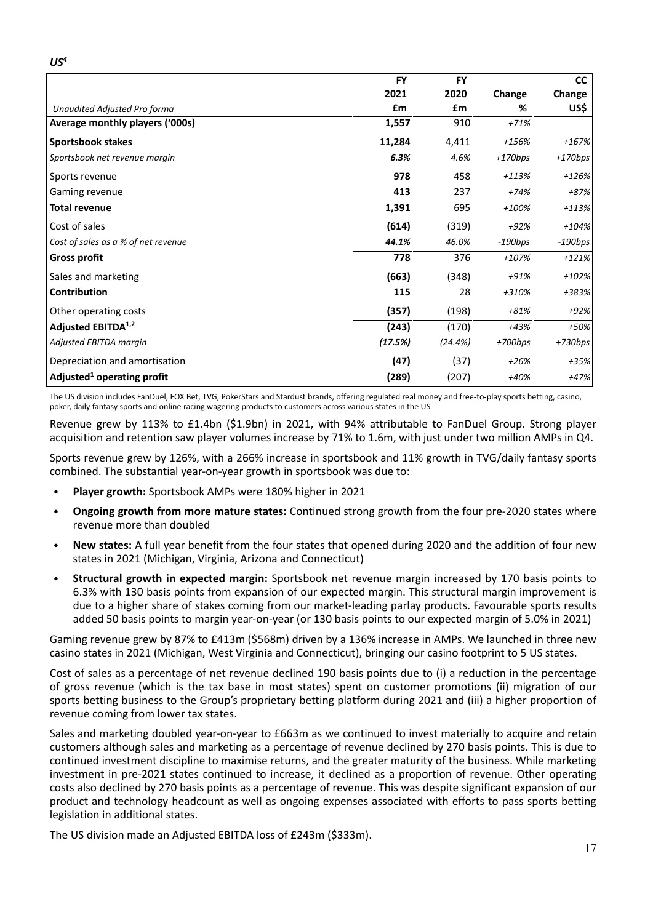|                                        | <b>FY</b> | <b>FY</b> |           | cc        |
|----------------------------------------|-----------|-----------|-----------|-----------|
|                                        | 2021      | 2020      | Change    | Change    |
| Unaudited Adjusted Pro forma           | £m        | £m        | %         | US\$      |
| Average monthly players ('000s)        | 1,557     | 910       | $+71%$    |           |
| <b>Sportsbook stakes</b>               | 11,284    | 4,411     | +156%     | $+167%$   |
| Sportsbook net revenue margin          | 6.3%      | 4.6%      | $+170bps$ | $+170bps$ |
| Sports revenue                         | 978       | 458       | $+113%$   | $+126%$   |
| Gaming revenue                         | 413       | 237       | $+74%$    | +87%      |
| <b>Total revenue</b>                   | 1,391     | 695       | $+100%$   | $+113%$   |
| Cost of sales                          | (614)     | (319)     | $+92%$    | $+104%$   |
| Cost of sales as a % of net revenue    | 44.1%     | 46.0%     | $-190bps$ | $-190bps$ |
| <b>Gross profit</b>                    | 778       | 376       | $+107%$   | $+121%$   |
| Sales and marketing                    | (663)     | (348)     | +91%      | $+102%$   |
| <b>Contribution</b>                    | 115       | 28        | +310%     | +383%     |
| Other operating costs                  | (357)     | (198)     | $+81%$    | $+92%$    |
| Adjusted EBITDA <sup>1,2</sup>         | (243)     | (170)     | $+43%$    | +50%      |
| Adjusted EBITDA margin                 | (17.5%)   | (24.4%)   | $+700bps$ | +730bps   |
| Depreciation and amortisation          | (47)      | (37)      | $+26%$    | $+35%$    |
| Adjusted <sup>1</sup> operating profit | (289)     | (207)     | $+40%$    | $+47%$    |

The US division includes FanDuel, FOX Bet, TVG, PokerStars and Stardust brands, offering regulated real money and free-to-play sports betting, casino, poker, daily fantasy sports and online racing wagering products to customers across various states in the US

Revenue grew by 113% to £1.4bn (\$1.9bn) in 2021, with 94% attributable to FanDuel Group. Strong player acquisition and retention saw player volumes increase by 71% to 1.6m, with just under two million AMPs in Q4.

Sports revenue grew by 126%, with a 266% increase in sportsbook and 11% growth in TVG/daily fantasy sports combined. The substantial year-on-year growth in sportsbook was due to:

- **Player growth:** Sportsbook AMPs were 180% higher in 2021
- **Ongoing growth from more mature states:** Continued strong growth from the four pre‐2020 states where revenue more than doubled
- **New states:** A full year benefit from the four states that opened during 2020 and the addition of four new states in 2021 (Michigan, Virginia, Arizona and Connecticut)
- **Structural growth in expected margin:** Sportsbook net revenue margin increased by 170 basis points to 6.3% with 130 basis points from expansion of our expected margin. This structural margin improvement is due to a higher share of stakes coming from our market-leading parlay products. Favourable sports results added 50 basis points to margin year-on-year (or 130 basis points to our expected margin of 5.0% in 2021)

Gaming revenue grew by 87% to £413m (\$568m) driven by a 136% increase in AMPs. We launched in three new casino states in 2021 (Michigan, West Virginia and Connecticut), bringing our casino footprint to 5 US states.

Cost of sales as a percentage of net revenue declined 190 basis points due to (i) a reduction in the percentage of gross revenue (which is the tax base in most states) spent on customer promotions (ii) migration of our sports betting business to the Group's proprietary betting platform during 2021 and (iii) a higher proportion of revenue coming from lower tax states.

Sales and marketing doubled year-on-year to £663m as we continued to invest materially to acquire and retain customers although sales and marketing as a percentage of revenue declined by 270 basis points. This is due to continued investment discipline to maximise returns, and the greater maturity of the business. While marketing investment in pre‐2021 states continued to increase, it declined as a proportion of revenue. Other operating costs also declined by 270 basis points as a percentage of revenue. This was despite significant expansion of our product and technology headcount as well as ongoing expenses associated with efforts to pass sports betting legislation in additional states.

The US division made an Adjusted EBITDA loss of £243m (\$333m).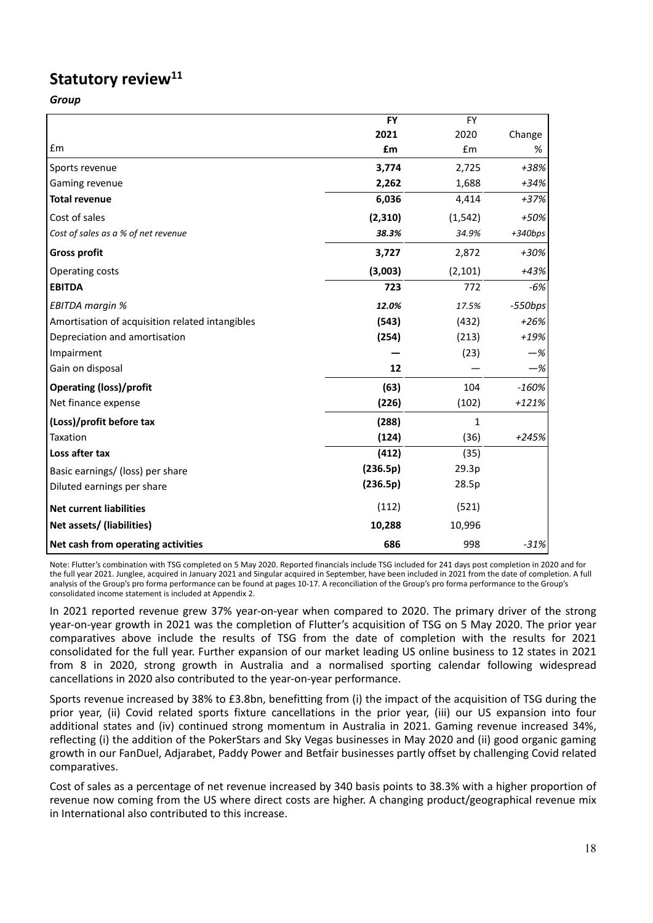# **Statutory review11**

*Group*

|                                                 | <b>FY</b> | <b>FY</b> |           |
|-------------------------------------------------|-----------|-----------|-----------|
|                                                 | 2021      | 2020      | Change    |
| £m                                              | £m        | £m        | %         |
| Sports revenue                                  | 3,774     | 2,725     | +38%      |
| Gaming revenue                                  | 2,262     | 1,688     | $+34%$    |
| <b>Total revenue</b>                            | 6,036     | 4,414     | $+37%$    |
| Cost of sales                                   | (2, 310)  | (1, 542)  | +50%      |
| Cost of sales as a % of net revenue             | 38.3%     | 34.9%     | $+340bps$ |
| <b>Gross profit</b>                             | 3,727     | 2,872     | +30%      |
| Operating costs                                 | (3,003)   | (2, 101)  | $+43%$    |
| <b>EBITDA</b>                                   | 723       | 772       | $-6%$     |
| EBITDA margin %                                 | 12.0%     | 17.5%     | $-550bps$ |
| Amortisation of acquisition related intangibles | (543)     | (432)     | $+26%$    |
| Depreciation and amortisation                   | (254)     | (213)     | +19%      |
| Impairment                                      |           | (23)      | $-\%$     |
| Gain on disposal                                | 12        |           | $-\%$     |
| <b>Operating (loss)/profit</b>                  | (63)      | 104       | $-160%$   |
| Net finance expense                             | (226)     | (102)     | $+121%$   |
| (Loss)/profit before tax                        | (288)     | 1         |           |
| Taxation                                        | (124)     | (36)      | $+245%$   |
| Loss after tax                                  | (412)     | (35)      |           |
| Basic earnings/ (loss) per share                | (236.5p)  | 29.3p     |           |
| Diluted earnings per share                      | (236.5p)  | 28.5p     |           |
| <b>Net current liabilities</b>                  | (112)     | (521)     |           |
| Net assets/ (liabilities)                       | 10,288    | 10,996    |           |
| Net cash from operating activities              | 686       | 998       | $-31%$    |

Note: Flutter's combination with TSG completed on 5 May 2020. Reported financials include TSG included for 241 days post completion in 2020 and for the full year 2021. Junglee, acquired in January 2021 and Singular acquired in September, have been included in 2021 from the date of completion. A full analysis of the Group's pro forma performance can be found at pages 10‐17. A reconciliation of the Group's pro forma performance to the Group's consolidated income statement is included at Appendix 2.

In 2021 reported revenue grew 37% year‐on‐year when compared to 2020. The primary driver of the strong year‐on‐year growth in 2021 was the completion of Flutter's acquisition of TSG on 5 May 2020. The prior year comparatives above include the results of TSG from the date of completion with the results for 2021 consolidated for the full year. Further expansion of our market leading US online business to 12 states in 2021 from 8 in 2020, strong growth in Australia and a normalised sporting calendar following widespread cancellations in 2020 also contributed to the year-on-year performance.

Sports revenue increased by 38% to £3.8bn, benefitting from (i) the impact of the acquisition of TSG during the prior year, (ii) Covid related sports fixture cancellations in the prior year, (iii) our US expansion into four additional states and (iv) continued strong momentum in Australia in 2021. Gaming revenue increased 34%, reflecting (i) the addition of the PokerStars and Sky Vegas businesses in May 2020 and (ii) good organic gaming growth in our FanDuel, Adjarabet, Paddy Power and Betfair businesses partly offset by challenging Covid related comparatives.

Cost of sales as a percentage of net revenue increased by 340 basis points to 38.3% with a higher proportion of revenue now coming from the US where direct costs are higher. A changing product/geographical revenue mix in International also contributed to this increase.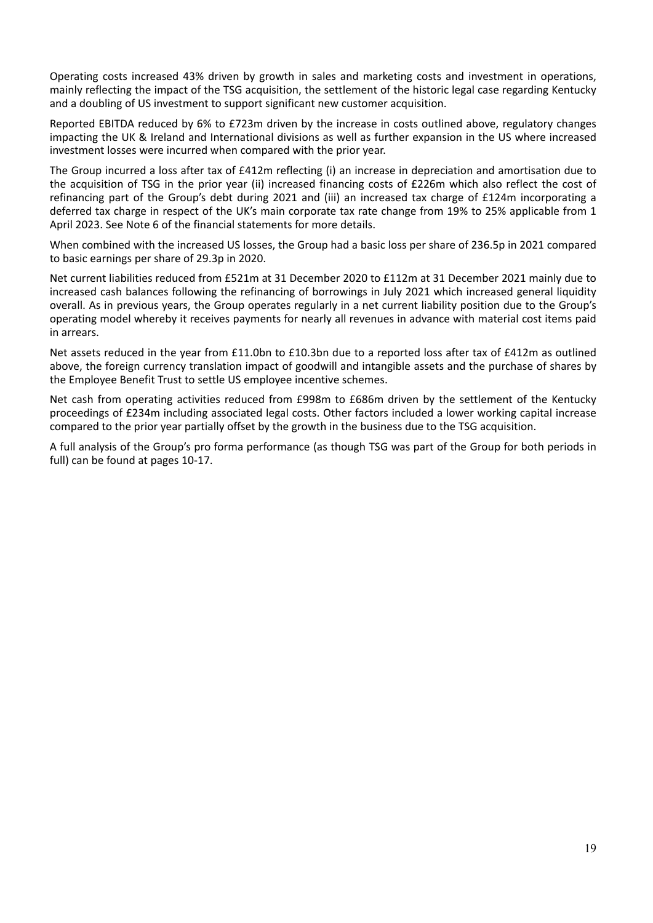Operating costs increased 43% driven by growth in sales and marketing costs and investment in operations, mainly reflecting the impact of the TSG acquisition, the settlement of the historic legal case regarding Kentucky and a doubling of US investment to support significant new customer acquisition.

Reported EBITDA reduced by 6% to £723m driven by the increase in costs outlined above, regulatory changes impacting the UK & Ireland and International divisions as well as further expansion in the US where increased investment losses were incurred when compared with the prior year.

The Group incurred a loss after tax of £412m reflecting (i) an increase in depreciation and amortisation due to the acquisition of TSG in the prior year (ii) increased financing costs of £226m which also reflect the cost of refinancing part of the Group's debt during 2021 and (iii) an increased tax charge of £124m incorporating a deferred tax charge in respect of the UK's main corporate tax rate change from 19% to 25% applicable from 1 April 2023. See Note 6 of the financial statements for more details.

When combined with the increased US losses, the Group had a basic loss per share of 236.5p in 2021 compared to basic earnings per share of 29.3p in 2020.

Net current liabilities reduced from £521m at 31 December 2020 to £112m at 31 December 2021 mainly due to increased cash balances following the refinancing of borrowings in July 2021 which increased general liquidity overall. As in previous years, the Group operates regularly in a net current liability position due to the Group's operating model whereby it receives payments for nearly all revenues in advance with material cost items paid in arrears.

Net assets reduced in the year from £11.0bn to £10.3bn due to a reported loss after tax of £412m as outlined above, the foreign currency translation impact of goodwill and intangible assets and the purchase of shares by the Employee Benefit Trust to settle US employee incentive schemes.

Net cash from operating activities reduced from £998m to £686m driven by the settlement of the Kentucky proceedings of £234m including associated legal costs. Other factors included a lower working capital increase compared to the prior year partially offset by the growth in the business due to the TSG acquisition.

A full analysis of the Group's pro forma performance (as though TSG was part of the Group for both periods in full) can be found at pages 10‐17.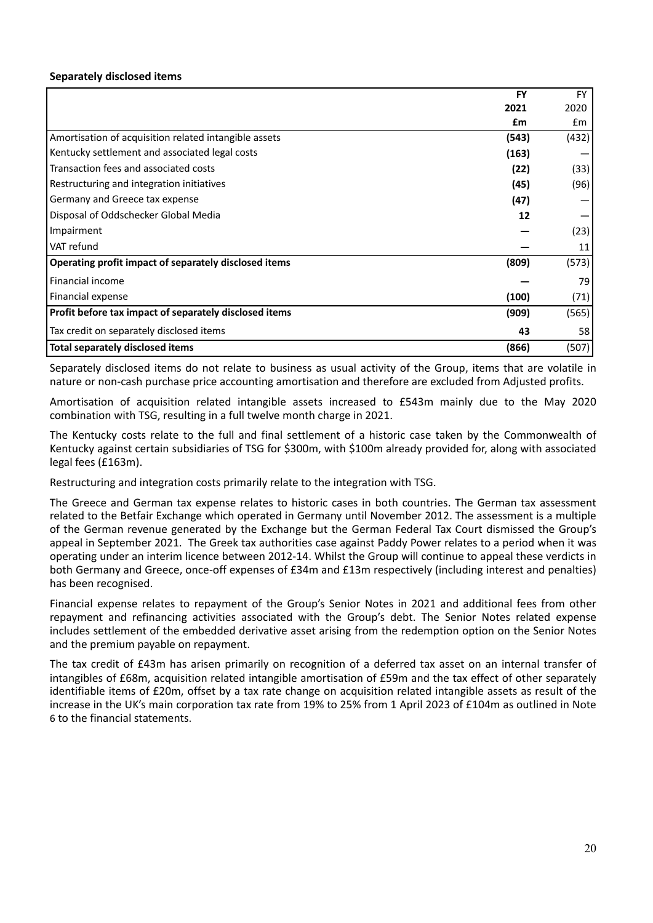# **Separately disclosed items**

|                                                        | <b>FY</b> | <b>FY</b> |
|--------------------------------------------------------|-----------|-----------|
|                                                        | 2021      | 2020      |
|                                                        | £m        | £m        |
| Amortisation of acquisition related intangible assets  | (543)     | (432)     |
| Kentucky settlement and associated legal costs         | (163)     |           |
| Transaction fees and associated costs                  | (22)      | (33)      |
| Restructuring and integration initiatives              | (45)      | (96)      |
| Germany and Greece tax expense                         | (47)      |           |
| Disposal of Oddschecker Global Media                   | 12        |           |
| Impairment                                             |           | (23)      |
| VAT refund                                             |           | 11        |
| Operating profit impact of separately disclosed items  | (809)     | (573)     |
| <b>Financial income</b>                                |           | 79        |
| Financial expense                                      | (100)     | (71)      |
| Profit before tax impact of separately disclosed items | (909)     | (565)     |
| Tax credit on separately disclosed items               | 43        | 58        |
| Total separately disclosed items                       | (866)     | (507)     |

Separately disclosed items do not relate to business as usual activity of the Group, items that are volatile in nature or non‐cash purchase price accounting amortisation and therefore are excluded from Adjusted profits.

Amortisation of acquisition related intangible assets increased to £543m mainly due to the May 2020 combination with TSG, resulting in a full twelve month charge in 2021.

The Kentucky costs relate to the full and final settlement of a historic case taken by the Commonwealth of Kentucky against certain subsidiaries of TSG for \$300m, with \$100m already provided for, along with associated legal fees (£163m).

Restructuring and integration costs primarily relate to the integration with TSG.

The Greece and German tax expense relates to historic cases in both countries. The German tax assessment related to the Betfair Exchange which operated in Germany until November 2012. The assessment is a multiple of the German revenue generated by the Exchange but the German Federal Tax Court dismissed the Group's appeal in September 2021. The Greek tax authorities case against Paddy Power relates to a period when it was operating under an interim licence between 2012‐14. Whilst the Group will continue to appeal these verdicts in both Germany and Greece, once-off expenses of £34m and £13m respectively (including interest and penalties) has been recognised.

Financial expense relates to repayment of the Group's Senior Notes in 2021 and additional fees from other repayment and refinancing activities associated with the Group's debt. The Senior Notes related expense includes settlement of the embedded derivative asset arising from the redemption option on the Senior Notes and the premium payable on repayment.

The tax credit of £43m has arisen primarily on recognition of a deferred tax asset on an internal transfer of intangibles of £68m, acquisition related intangible amortisation of £59m and the tax effect of other separately identifiable items of £20m, offset by a tax rate change on acquisition related intangible assets as result of the increase in the UK's main corporation tax rate from 19% to 25% from 1 April 2023 of £104m as outlined in Note 6 to the financial statements.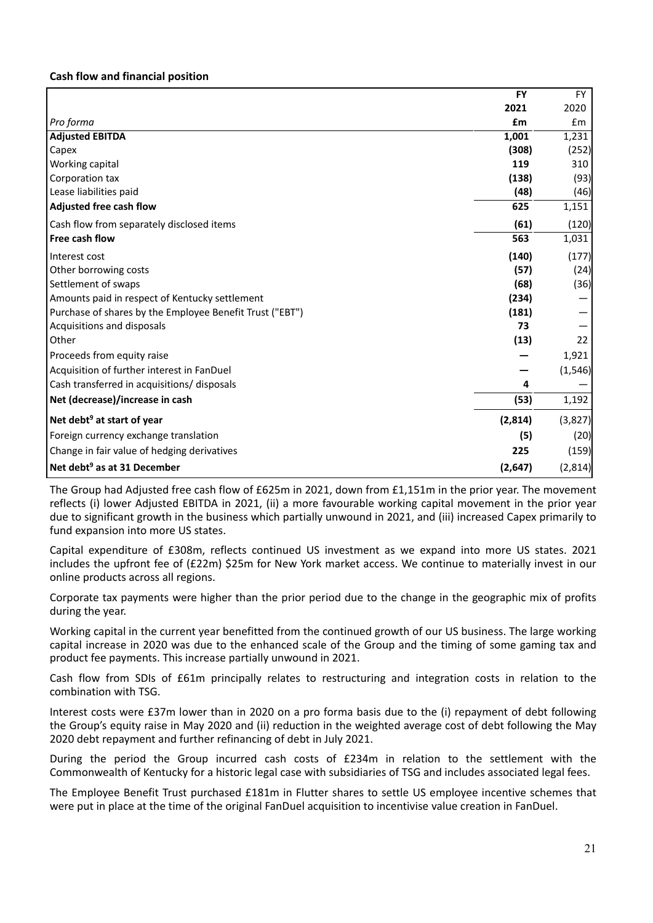# **Cash flow and financial position**

|                                                          | <b>FY</b> | <b>FY</b> |
|----------------------------------------------------------|-----------|-----------|
|                                                          | 2021      | 2020      |
| Pro forma                                                | £m        | £m        |
| <b>Adjusted EBITDA</b>                                   | 1,001     | 1,231     |
| Capex                                                    | (308)     | (252)     |
| Working capital                                          | 119       | 310       |
| Corporation tax                                          | (138)     | (93)      |
| Lease liabilities paid                                   | (48)      | (46)      |
| Adjusted free cash flow                                  | 625       | 1,151     |
| Cash flow from separately disclosed items                | (61)      | (120)     |
| Free cash flow                                           | 563       | 1,031     |
| Interest cost                                            | (140)     | (177)     |
| Other borrowing costs                                    | (57)      | (24)      |
| Settlement of swaps                                      | (68)      | (36)      |
| Amounts paid in respect of Kentucky settlement           | (234)     |           |
| Purchase of shares by the Employee Benefit Trust ("EBT") | (181)     |           |
| Acquisitions and disposals                               | 73        |           |
| Other                                                    | (13)      | 22        |
| Proceeds from equity raise                               |           | 1,921     |
| Acquisition of further interest in FanDuel               |           | (1, 546)  |
| Cash transferred in acquisitions/ disposals              | 4         |           |
| Net (decrease)/increase in cash                          | (53)      | 1,192     |
| Net debt <sup>9</sup> at start of year                   | (2,814)   | (3,827)   |
| Foreign currency exchange translation                    | (5)       | (20)      |
| Change in fair value of hedging derivatives              | 225       | (159)     |
| Net debt <sup>9</sup> as at 31 December                  | (2,647)   | (2,814)   |

The Group had Adjusted free cash flow of £625m in 2021, down from £1,151m in the prior year. The movement reflects (i) lower Adjusted EBITDA in 2021, (ii) a more favourable working capital movement in the prior year due to significant growth in the business which partially unwound in 2021, and (iii) increased Capex primarily to fund expansion into more US states.

Capital expenditure of £308m, reflects continued US investment as we expand into more US states. 2021 includes the upfront fee of (£22m) \$25m for New York market access. We continue to materially invest in our online products across all regions.

Corporate tax payments were higher than the prior period due to the change in the geographic mix of profits during the year.

Working capital in the current year benefitted from the continued growth of our US business. The large working capital increase in 2020 was due to the enhanced scale of the Group and the timing of some gaming tax and product fee payments. This increase partially unwound in 2021.

Cash flow from SDIs of £61m principally relates to restructuring and integration costs in relation to the combination with TSG.

Interest costs were £37m lower than in 2020 on a pro forma basis due to the (i) repayment of debt following the Group's equity raise in May 2020 and (ii) reduction in the weighted average cost of debt following the May 2020 debt repayment and further refinancing of debt in July 2021.

During the period the Group incurred cash costs of £234m in relation to the settlement with the Commonwealth of Kentucky for a historic legal case with subsidiaries of TSG and includes associated legal fees.

The Employee Benefit Trust purchased £181m in Flutter shares to settle US employee incentive schemes that were put in place at the time of the original FanDuel acquisition to incentivise value creation in FanDuel.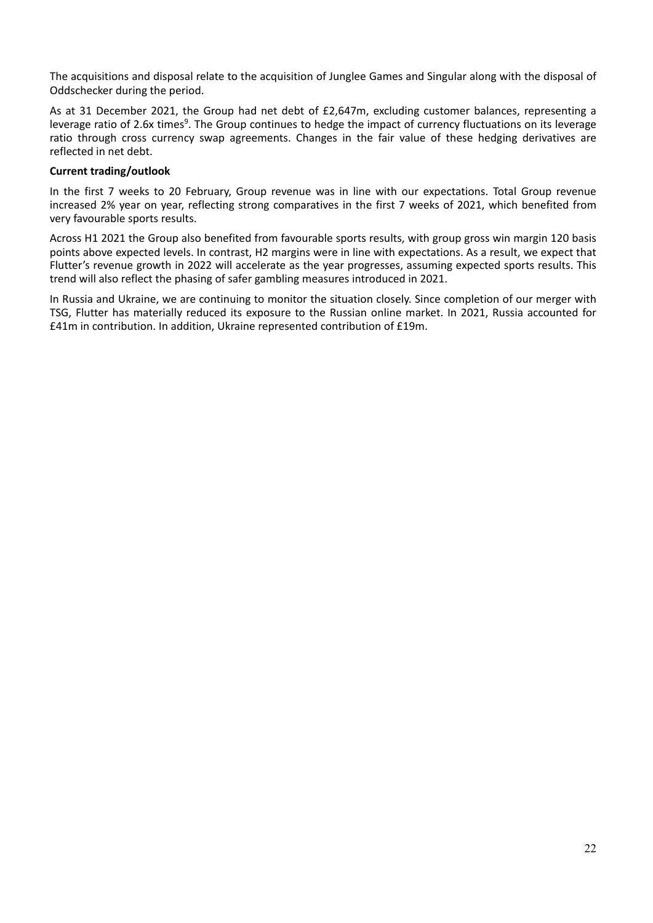The acquisitions and disposal relate to the acquisition of Junglee Games and Singular along with the disposal of Oddschecker during the period.

As at 31 December 2021, the Group had net debt of £2,647m, excluding customer balances, representing a leverage ratio of 2.6x times<sup>9</sup>. The Group continues to hedge the impact of currency fluctuations on its leverage ratio through cross currency swap agreements. Changes in the fair value of these hedging derivatives are reflected in net debt.

# **Current trading/outlook**

In the first 7 weeks to 20 February, Group revenue was in line with our expectations. Total Group revenue increased 2% year on year, reflecting strong comparatives in the first 7 weeks of 2021, which benefited from very favourable sports results.

Across H1 2021 the Group also benefited from favourable sports results, with group gross win margin 120 basis points above expected levels. In contrast, H2 margins were in line with expectations. As a result, we expect that Flutter's revenue growth in 2022 will accelerate as the year progresses, assuming expected sports results. This trend will also reflect the phasing of safer gambling measures introduced in 2021.

In Russia and Ukraine, we are continuing to monitor the situation closely. Since completion of our merger with TSG, Flutter has materially reduced its exposure to the Russian online market. In 2021, Russia accounted for £41m in contribution. In addition, Ukraine represented contribution of £19m.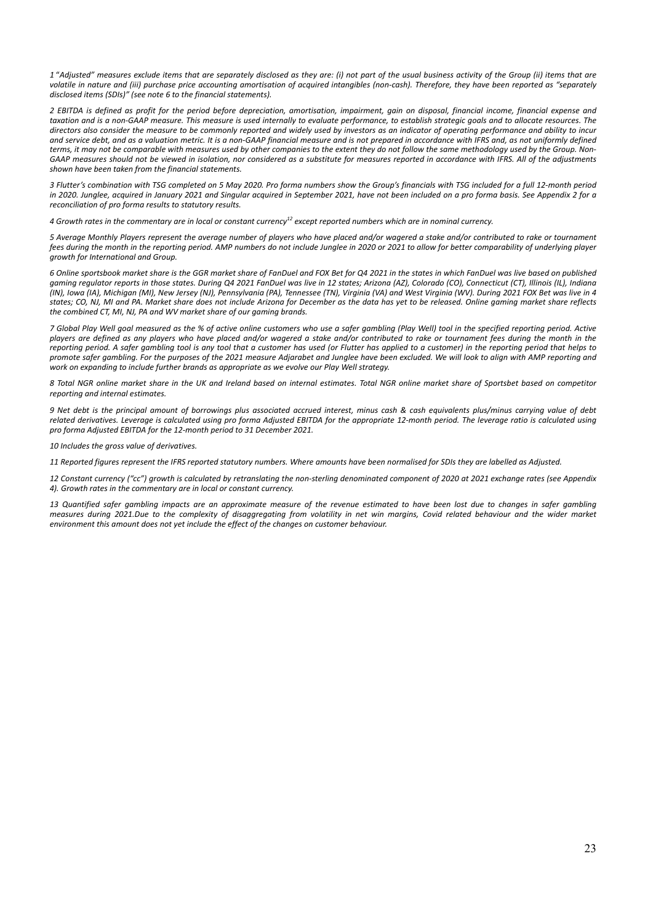1 "Adjusted" measures exclude items that are separately disclosed as they are: (i) not part of the usual business activity of the Group (ii) items that are volatile in nature and (iii) purchase price accounting amortisation of acquired intangibles (non-cash). Therefore, they have been reported as "separately *disclosed items (SDIs)" (see note 6 to the financial statements).*

2 EBITDA is defined as profit for the period before depreciation, amortisation, impairment, gain on disposal, financial income, financial expense and taxation and is a non-GAAP measure. This measure is used internally to evaluate performance, to establish strategic goals and to allocate resources. The directors also consider the measure to be commonly reported and widely used by investors as an indicator of operating performance and ability to incur and service debt, and as a valuation metric. It is a non-GAAP financial measure and is not prepared in accordance with IFRS and, as not uniformly defined terms, it may not be comparable with measures used by other companies to the extent they do not follow the same methodology used by the Group. Non-GAAP measures should not be viewed in isolation, nor considered as a substitute for measures reported in accordance with IFRS. All of the adjustments *shown have been taken from the financial statements.*

3 Flutter's combination with TSG completed on 5 May 2020. Pro forma numbers show the Group's financials with TSG included for a full 12-month period in 2020. Junglee, acquired in January 2021 and Singular acquired in September 2021, have not been included on a pro forma basis. See Appendix 2 for a *reconciliation of pro forma results to statutory results.*

4 Growth rates in the commentary are in local or constant currency<sup>12</sup> except reported numbers which are in nominal currency.

5 Average Monthly Players represent the average number of players who have placed and/or wagered a stake and/or contributed to rake or tournament fees during the month in the reporting period. AMP numbers do not include Junglee in 2020 or 2021 to allow for better comparability of underlying player *growth for International and Group.*

6 Online sportsbook market share is the GGR market share of FanDuel and FOX Bet for Q4 2021 in the states in which FanDuel was live based on published gaming regulator reports in those states. During Q4 2021 FanDuel was live in 12 states; Arizona (AZ), Colorado (CO), Connecticut (CT), Illinois (IL), Indiana (IN), Iowa (IA), Michigan (MI), New Jersey (NJ), Pennsylvania (PA), Tennessee (TN), Virginia (VA) and West Virginia (WV). During 2021 FOX Bet was live in 4 states; CO, NJ, MI and PA. Market share does not include Arizona for December as the data has yet to be released. Online gaming market share reflects *the combined CT, MI, NJ, PA and WV market share of our gaming brands.*

7 Global Play Well goal measured as the % of active online customers who use a safer gambling (Play Well) tool in the specified reporting period. Active players are defined as any players who have placed and/or wagered a stake and/or contributed to rake or tournament fees during the month in the reporting period. A safer gambling tool is any tool that a customer has used (or Flutter has applied to a customer) in the reporting period that helps to promote safer gambling. For the purposes of the 2021 measure Adiarabet and Junglee have been excluded. We will look to alian with AMP reporting and *work on expanding to include further brands as appropriate as we evolve our Play Well strategy.*

8 Total NGR online market share in the UK and Ireland based on internal estimates. Total NGR online market share of Sportsbet based on competitor *reporting and internal estimates.*

9 Net debt is the principal amount of borrowings plus associated accrued interest, minus cash & cash equivalents plus/minus carrying value of debt related derivatives. Leverage is calculated using pro forma Adjusted EBITDA for the appropriate 12-month period. The leverage ratio is calculated using *pro forma Adjusted EBITDA for the 12‐month period to 31 December 2021.*

*10 Includes the gross value of derivatives.*

11 Reported figures represent the IFRS reported statutory numbers. Where amounts have been normalised for SDIs they are labelled as Adjusted.

12 Constant currency ("cc") growth is calculated by retranslating the non-sterling denominated component of 2020 at 2021 exchange rates (see Appendix *4). Growth rates in the commentary are in local or constant currency.*

13 Quantified safer gambling impacts are an approximate measure of the revenue estimated to have been lost due to changes in safer gambling measures during 2021.Due to the complexity of disgoaregating from volatility in net win margins. Covid related behaviour and the wider market *environment this amount does not yet include the effect of the changes on customer behaviour.*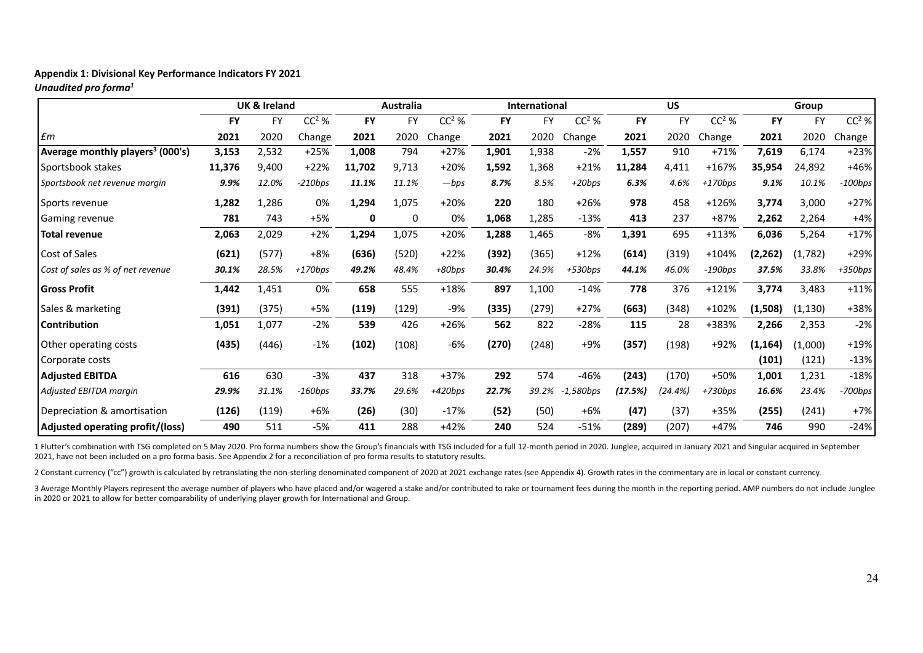# **Appendix 1: Divisional Key Performance Indicators FY 2021**

*Unaudited pro forma1*

|                                              |        | <b>UK &amp; Ireland</b> |           | <b>Australia</b> |              | <b>International</b> |           |           | <b>US</b>    |           |           | Group     |           |           |           |
|----------------------------------------------|--------|-------------------------|-----------|------------------|--------------|----------------------|-----------|-----------|--------------|-----------|-----------|-----------|-----------|-----------|-----------|
|                                              | FY     | <b>FY</b>               | $CC2$ %   | <b>FY</b>        | <b>FY</b>    | $CC2$ %              | <b>FY</b> | <b>FY</b> | $CC2$ %      | <b>FY</b> | <b>FY</b> | $CC2$ %   | <b>FY</b> | <b>FY</b> | $CC2$ %   |
| $\pounds$ m                                  | 2021   | 2020                    | Change    | 2021             | 2020         | Change               | 2021      | 2020      | Change       | 2021      | 2020      | Change    | 2021      | 2020      | Change    |
| Average monthly players <sup>3</sup> (000's) | 3,153  | 2,532                   | +25%      | 1,008            | 794          | $+27%$               | 1,901     | 1,938     | $-2%$        | 1,557     | 910       | $+71%$    | 7,619     | 6,174     | $+23%$    |
| Sportsbook stakes                            | 11,376 | 9,400                   | $+22%$    | 11.702           | 9,713        | $+20%$               | 1,592     | 1,368     | $+21%$       | 11,284    | 4,411     | +167%     | 35.954    | 24.892    | $+46%$    |
| Sportsbook net revenue margin                | 9.9%   | 12.0%                   | $-210bps$ | 11.1%            | 11.1%        | $-bps$               | 8.7%      | 8.5%      | $+20bps$     | 6.3%      | 4.6%      | $+170bps$ | 9.1%      | 10.1%     | $-100bps$ |
| Sports revenue                               | 1,282  | 1,286                   | 0%        | 1,294            | 1,075        | $+20%$               | 220       | 180       | $+26%$       | 978       | 458       | $+126%$   | 3,774     | 3,000     | $+27%$    |
| Gaming revenue                               | 781    | 743                     | $+5%$     | 0                | $\mathbf{0}$ | 0%                   | 1,068     | 1,285     | $-13%$       | 413       | 237       | +87%      | 2,262     | 2,264     | $+4%$     |
| <b>Total revenue</b>                         | 2,063  | 2,029                   | $+2%$     | 1,294            | 1,075        | $+20%$               | 1,288     | 1,465     | $-8%$        | 1,391     | 695       | $+113%$   | 6,036     | 5,264     | $+17%$    |
| Cost of Sales                                | (621)  | (577)                   | $+8%$     | (636)            | (520)        | $+22%$               | (392)     | (365)     | $+12%$       | (614)     | (319)     | $+104%$   | (2, 262)  | (1,782)   | $+29%$    |
| Cost of sales as % of net revenue            | 30.1%  | 28.5%                   | $+170bps$ | 49.2%            | 48.4%        | +80bps               | 30.4%     | 24.9%     | $+530bps$    | 44.1%     | 46.0%     | $-190bps$ | 37.5%     | 33.8%     | +350bps   |
| <b>Gross Profit</b>                          | 1,442  | 1,451                   | 0%        | 658              | 555          | $+18%$               | 897       | 1,100     | $-14%$       | 778       | 376       | $+121%$   | 3,774     | 3,483     | $+11%$    |
| Sales & marketing                            | (391)  | (375)                   | $+5%$     | (119)            | (129)        | $-9%$                | (335)     | (279)     | $+27%$       | (663)     | (348)     | $+102%$   | (1,508)   | (1, 130)  | +38%      |
| <b>Contribution</b>                          | 1,051  | 1,077                   | $-2%$     | 539              | 426          | $+26%$               | 562       | 822       | $-28%$       | 115       | 28        | +383%     | 2,266     | 2,353     | $-2%$     |
| Other operating costs                        | (435)  | (446)                   | $-1%$     | (102)            | (108)        | $-6%$                | (270)     | (248)     | $+9%$        | (357)     | (198)     | +92%      | (1, 164)  | (1,000)   | $+19%$    |
| Corporate costs                              |        |                         |           |                  |              |                      |           |           |              |           |           |           | (101)     | (121)     | $-13%$    |
| <b>Adjusted EBITDA</b>                       | 616    | 630                     | $-3%$     | 437              | 318          | $+37%$               | 292       | 574       | $-46%$       | (243)     | (170)     | +50%      | 1,001     | 1,231     | $-18%$    |
| Adjusted EBITDA margin                       | 29.9%  | 31.1%                   | $-160bps$ | 33.7%            | 29.6%        | $+420bps$            | 22.7%     | 39.2%     | $-1,580$ bps | (17.5%)   | (24.4%)   | $+730bps$ | 16.6%     | 23.4%     | -700bps   |
| Depreciation & amortisation                  | (126)  | (119)                   | $+6%$     | (26)             | (30)         | $-17%$               | (52)      | (50)      | $+6%$        | (47)      | (37)      | +35%      | (255)     | (241)     | $+7%$     |
| <b>Adjusted operating profit/(loss)</b>      | 490    | 511                     | -5%       | 411              | 288          | $+42%$               | 240       | 524       | $-51%$       | (289)     | (207)     | +47%      | 746       | 990       | $-24%$    |

1 Flutter's combination with TSG completed on 5 May 2020. Pro forma numbers show the Group's financials with TSG included for a full 12-month period in 2020. Junglee, acquired in January 2021 and Singular acquired in Septe 2021, have not been included on <sup>a</sup> pro forma basis. See Appendix 2 for <sup>a</sup> reconciliation of pro forma results to statutory results.

2 Constant currency ("cc") growth is calculated by retranslating the non-sterling denominated component of 2020 at 2021 exchange rates (see Appendix 4). Growth rates in the commentary are in local or constant currency.

3 Average Monthly Players represent the average number of players who have placed and/or wagered a stake and/or contributed to rake or tournament fees during the month in the reporting period. AMP numbers do not include Ju in 2020 or 2021 to allow for better comparability of underlying player growth for International and Group.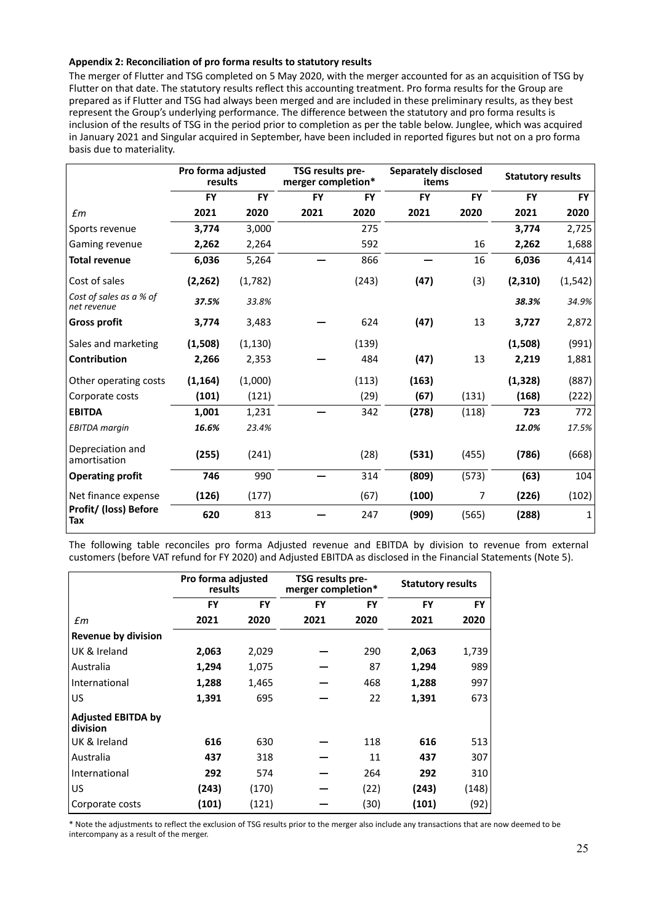#### **Appendix 2: Reconciliation of pro forma results to statutory results**

The merger of Flutter and TSG completed on 5 May 2020, with the merger accounted for as an acquisition of TSG by Flutter on that date. The statutory results reflect this accounting treatment. Pro forma results for the Group are prepared as if Flutter and TSG had always been merged and are included in these preliminary results, as they best represent the Group's underlying performance. The difference between the statutory and pro forma results is inclusion of the results of TSG in the period prior to completion as per the table below. Junglee, which was acquired in January 2021 and Singular acquired in September, have been included in reported figures but not on a pro forma basis due to materiality.

|                                        | Pro forma adjusted<br>results |           | TSG results pre-<br>merger completion* |           |           | <b>Separately disclosed</b><br>items | <b>Statutory results</b> |           |  |
|----------------------------------------|-------------------------------|-----------|----------------------------------------|-----------|-----------|--------------------------------------|--------------------------|-----------|--|
|                                        | <b>FY</b>                     | <b>FY</b> | <b>FY</b>                              | <b>FY</b> | <b>FY</b> | <b>FY</b>                            | <b>FY</b>                | <b>FY</b> |  |
| £m                                     | 2021                          | 2020      | 2021                                   | 2020      | 2021      | 2020                                 | 2021                     | 2020      |  |
| Sports revenue                         | 3,774                         | 3,000     |                                        | 275       |           |                                      | 3,774                    | 2,725     |  |
| Gaming revenue                         | 2,262                         | 2,264     |                                        | 592       |           | 16                                   | 2,262                    | 1,688     |  |
| <b>Total revenue</b>                   | 6,036                         | 5,264     |                                        | 866       |           | 16                                   | 6,036                    | 4,414     |  |
| Cost of sales                          | (2, 262)                      | (1,782)   |                                        | (243)     | (47)      | (3)                                  | (2,310)                  | (1, 542)  |  |
| Cost of sales as a % of<br>net revenue | 37.5%                         | 33.8%     |                                        |           |           |                                      | 38.3%                    | 34.9%     |  |
| <b>Gross profit</b>                    | 3,774                         | 3,483     |                                        | 624       | (47)      | 13                                   | 3,727                    | 2,872     |  |
| Sales and marketing                    | (1,508)                       | (1, 130)  |                                        | (139)     |           |                                      | (1,508)                  | (991)     |  |
| Contribution                           | 2,266                         | 2,353     |                                        | 484       | (47)      | 13                                   | 2,219                    | 1,881     |  |
| Other operating costs                  | (1, 164)                      | (1,000)   |                                        | (113)     | (163)     |                                      | (1, 328)                 | (887)     |  |
| Corporate costs                        | (101)                         | (121)     |                                        | (29)      | (67)      | (131)                                | (168)                    | (222)     |  |
| <b>EBITDA</b>                          | 1,001                         | 1,231     |                                        | 342       | (278)     | (118)                                | 723                      | 772       |  |
| <b>EBITDA</b> margin                   | 16.6%                         | 23.4%     |                                        |           |           |                                      | 12.0%                    | 17.5%     |  |
| Depreciation and<br>amortisation       | (255)                         | (241)     |                                        | (28)      | (531)     | (455)                                | (786)                    | (668)     |  |
| <b>Operating profit</b>                | 746                           | 990       |                                        | 314       | (809)     | (573)                                | (63)                     | 104       |  |
| Net finance expense                    | (126)                         | (177)     |                                        | (67)      | (100)     | 7                                    | (226)                    | (102)     |  |
| Profit/ (loss) Before<br>Tax           | 620                           | 813       |                                        | 247       | (909)     | (565)                                | (288)                    | 1         |  |

The following table reconciles pro forma Adjusted revenue and EBITDA by division to revenue from external customers (before VAT refund for FY 2020) and Adjusted EBITDA as disclosed in the Financial Statements (Note 5).

|                                       | Pro forma adjusted<br>results |           | TSG results pre-<br>merger completion* |           | <b>Statutory results</b> |           |  |
|---------------------------------------|-------------------------------|-----------|----------------------------------------|-----------|--------------------------|-----------|--|
|                                       | <b>FY</b>                     | <b>FY</b> | FY                                     | <b>FY</b> | FY                       | <b>FY</b> |  |
| £m                                    | 2021                          | 2020      | 2021                                   | 2020      | 2021                     | 2020      |  |
| <b>Revenue by division</b>            |                               |           |                                        |           |                          |           |  |
| UK & Ireland                          | 2,063                         | 2,029     |                                        | 290       | 2,063                    | 1,739     |  |
| Australia                             | 1,294                         | 1,075     |                                        | 87        | 1,294                    | 989       |  |
| International                         | 1,288                         | 1,465     |                                        | 468       | 1,288                    | 997       |  |
| US                                    | 1,391                         | 695       |                                        | 22        | 1,391                    | 673       |  |
| <b>Adjusted EBITDA by</b><br>division |                               |           |                                        |           |                          |           |  |
| UK & Ireland                          | 616                           | 630       |                                        | 118       | 616                      | 513       |  |
| Australia                             | 437                           | 318       |                                        | 11        | 437                      | 307       |  |
| International                         | 292                           | 574       |                                        | 264       | 292                      | 310       |  |
| US                                    | (243)                         | (170)     |                                        | (22)      | (243)                    | (148)     |  |
| Corporate costs                       | (101)                         | (121)     |                                        | (30)      | (101)                    | (92)      |  |

\* Note the adjustments to reflect the exclusion of TSG results prior to the merger also include any transactions that are now deemed to be intercompany as a result of the merger.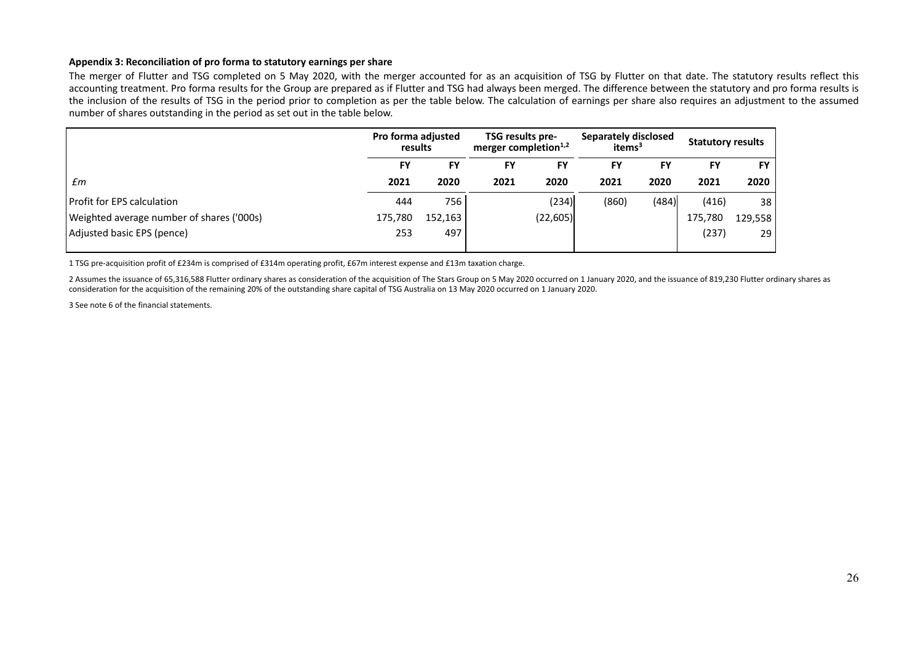#### **Appendix 3: Reconciliation of pro forma to statutory earnings per share**

The merger of Flutter and TSG completed on 5 May 2020, with the merger accounted for as an acquisition of TSG by Flutter on that date. The statutory results reflect this accounting treatment. Pro forma results for the Group are prepared as if Flutter and TSG had always been merged. The difference between the statutory and pro forma results is the inclusion of the results of TSG in the period prior to completion as per the table below. The calculation of earnings per share also requires an adjustment to the assumed number of shares outstanding in the period as set out in the table below.

| Pro forma adjusted<br>results |         |           |           |                                                      |           | <b>Statutory results</b>                   |           |
|-------------------------------|---------|-----------|-----------|------------------------------------------------------|-----------|--------------------------------------------|-----------|
| <b>FY</b>                     | FY      | <b>FY</b> | <b>FY</b> | FY                                                   | FY        | FY                                         | <b>FY</b> |
| 2021                          | 2020    | 2021      | 2020      | 2021                                                 | 2020      | 2021                                       | 2020      |
| 444                           | 756     |           | (234)     | (860)                                                | (484)     | (416)                                      | 38        |
| 175,780                       | 152,163 |           |           |                                                      |           | 175,780                                    | 129,558   |
| 253                           | 497     |           |           |                                                      |           | (237)                                      | 29        |
|                               |         |           |           | TSG results pre-<br>merger completion <sup>1,2</sup> | (22, 605) | Separately disclosed<br>items <sup>3</sup> |           |

1 TSG pre‐acquisition profit of £234m is comprised of £314m operating profit, £67m interest expense and £13m taxation charge.

2 Assumes the issuance of 65,316,588 Flutter ordinary shares as consideration of the acquisition of The Stars Group on 5 May 2020 occurred on 1 January 2020, and the issuance of 819,230 Flutter ordinary shares as consideration for the acquisition of the remaining 20% of the outstanding share capital of TSG Australia on 13 May 2020 occurred on 1 January 2020.

3 See note 6 of the financial statements.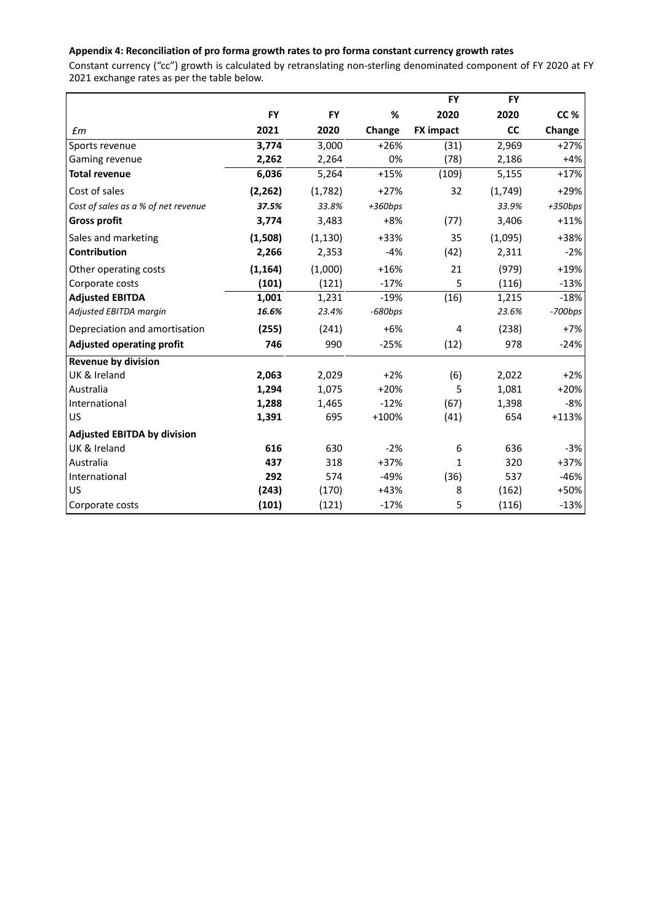# **Appendix 4: Reconciliation of pro forma growth rates to pro forma constant currency growth rates**

Constant currency ("cc") growth is calculated by retranslating non‐sterling denominated component of FY 2020 at FY 2021 exchange rates as per the table below.

|                                     |           |           |           | <b>FY</b>        | <b>FY</b> |           |
|-------------------------------------|-----------|-----------|-----------|------------------|-----------|-----------|
|                                     | <b>FY</b> | <b>FY</b> | %         | 2020             | 2020      | CC %      |
| $\epsilon$ m                        | 2021      | 2020      | Change    | <b>FX impact</b> | <b>CC</b> | Change    |
| Sports revenue                      | 3,774     | 3,000     | $+26%$    | (31)             | 2,969     | $+27%$    |
| Gaming revenue                      | 2,262     | 2,264     | 0%        | (78)             | 2,186     | $+4%$     |
| <b>Total revenue</b>                | 6,036     | 5,264     | $+15%$    | (109)            | 5,155     | $+17%$    |
| Cost of sales                       | (2, 262)  | (1,782)   | $+27%$    | 32               | (1,749)   | $+29%$    |
| Cost of sales as a % of net revenue | 37.5%     | 33.8%     | $+360bps$ |                  | 33.9%     | $+350bps$ |
| <b>Gross profit</b>                 | 3,774     | 3,483     | $+8%$     | (77)             | 3,406     | $+11%$    |
| Sales and marketing                 | (1,508)   | (1, 130)  | +33%      | 35               | (1,095)   | +38%      |
| <b>Contribution</b>                 | 2,266     | 2,353     | $-4%$     | (42)             | 2,311     | $-2%$     |
| Other operating costs               | (1, 164)  | (1,000)   | $+16%$    | 21               | (979)     | $+19%$    |
| Corporate costs                     | (101)     | (121)     | $-17%$    | 5                | (116)     | $-13%$    |
| <b>Adjusted EBITDA</b>              | 1,001     | 1,231     | $-19%$    | (16)             | 1,215     | $-18%$    |
| Adjusted EBITDA margin              | 16.6%     | 23.4%     | $-680bps$ |                  | 23.6%     | $-700bps$ |
| Depreciation and amortisation       | (255)     | (241)     | $+6%$     | 4                | (238)     | $+7%$     |
| <b>Adjusted operating profit</b>    | 746       | 990       | $-25%$    | (12)             | 978       | $-24%$    |
| <b>Revenue by division</b>          |           |           |           |                  |           |           |
| UK & Ireland                        | 2,063     | 2,029     | $+2%$     | (6)              | 2,022     | $+2%$     |
| Australia                           | 1,294     | 1,075     | $+20%$    | 5                | 1,081     | $+20%$    |
| International                       | 1,288     | 1,465     | $-12%$    | (67)             | 1,398     | $-8%$     |
| US                                  | 1,391     | 695       | $+100%$   | (41)             | 654       | $+113%$   |
| <b>Adjusted EBITDA by division</b>  |           |           |           |                  |           |           |
| UK & Ireland                        | 616       | 630       | $-2%$     | 6                | 636       | $-3%$     |
| Australia                           | 437       | 318       | $+37%$    | 1                | 320       | $+37%$    |
| International                       | 292       | 574       | $-49%$    | (36)             | 537       | -46%      |
| US                                  | (243)     | (170)     | $+43%$    | 8                | (162)     | +50%      |
| Corporate costs                     | (101)     | (121)     | $-17%$    | 5                | (116)     | $-13%$    |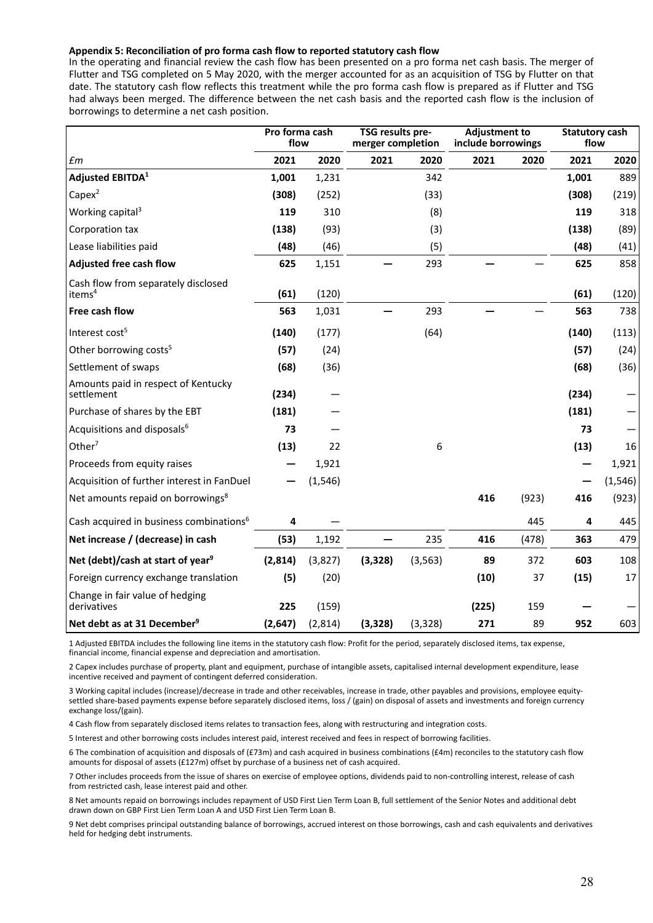#### **Appendix 5: Reconciliation of pro forma cash flow to reported statutory cash flow**

In the operating and financial review the cash flow has been presented on a pro forma net cash basis. The merger of Flutter and TSG completed on 5 May 2020, with the merger accounted for as an acquisition of TSG by Flutter on that date. The statutory cash flow reflects this treatment while the pro forma cash flow is prepared as if Flutter and TSG had always been merged. The difference between the net cash basis and the reported cash flow is the inclusion of borrowings to determine a net cash position.

|                                                     | Pro forma cash<br>flow |          | TSG results pre-<br>merger completion |          | <b>Adjustment to</b><br>include borrowings |       | <b>Statutory cash</b><br>flow |          |  |
|-----------------------------------------------------|------------------------|----------|---------------------------------------|----------|--------------------------------------------|-------|-------------------------------|----------|--|
| $\pmb{f}$ m                                         | 2021                   | 2020     | 2021                                  | 2020     | 2021                                       | 2020  | 2021                          | 2020     |  |
| <b>Adjusted EBITDA1</b>                             | 1,001                  | 1,231    |                                       | 342      |                                            |       | 1,001                         | 889      |  |
| $Capex^2$                                           | (308)                  | (252)    |                                       | (33)     |                                            |       | (308)                         | (219)    |  |
| Working capital <sup>3</sup>                        | 119                    | 310      |                                       | (8)      |                                            |       | 119                           | 318      |  |
| Corporation tax                                     | (138)                  | (93)     |                                       | (3)      |                                            |       | (138)                         | (89)     |  |
| Lease liabilities paid                              | (48)                   | (46)     |                                       | (5)      |                                            |       | (48)                          | (41)     |  |
| Adjusted free cash flow                             | 625                    | 1,151    |                                       | 293      |                                            |       | 625                           | 858      |  |
| Cash flow from separately disclosed<br>items $4$    | (61)                   | (120)    |                                       |          |                                            |       | (61)                          | (120)    |  |
| Free cash flow                                      | 563                    | 1,031    |                                       | 293      |                                            |       | 563                           | 738      |  |
| Interest cost <sup>5</sup>                          | (140)                  | (177)    |                                       | (64)     |                                            |       | (140)                         | (113)    |  |
| Other borrowing costs <sup>5</sup>                  | (57)                   | (24)     |                                       |          |                                            |       | (57)                          | (24)     |  |
| Settlement of swaps                                 | (68)                   | (36)     |                                       |          |                                            |       | (68)                          | (36)     |  |
| Amounts paid in respect of Kentucky<br>settlement   | (234)                  |          |                                       |          |                                            |       | (234)                         |          |  |
| Purchase of shares by the EBT                       | (181)                  |          |                                       |          |                                            |       | (181)                         |          |  |
| Acquisitions and disposals <sup>6</sup>             | 73                     |          |                                       |          |                                            |       | 73                            |          |  |
| Other $7$                                           | (13)                   | 22       |                                       | 6        |                                            |       | (13)                          | 16       |  |
| Proceeds from equity raises                         |                        | 1,921    |                                       |          |                                            |       |                               | 1,921    |  |
| Acquisition of further interest in FanDuel          |                        | (1, 546) |                                       |          |                                            |       |                               | (1, 546) |  |
| Net amounts repaid on borrowings <sup>8</sup>       |                        |          |                                       |          | 416                                        | (923) | 416                           | (923)    |  |
| Cash acquired in business combinations <sup>6</sup> | 4                      |          |                                       |          |                                            | 445   | 4                             | 445      |  |
| Net increase / (decrease) in cash                   | (53)                   | 1,192    |                                       | 235      | 416                                        | (478) | 363                           | 479      |  |
| Net (debt)/cash at start of year <sup>9</sup>       | (2,814)                | (3,827)  | (3, 328)                              | (3, 563) | 89                                         | 372   | 603                           | 108      |  |
| Foreign currency exchange translation               | (5)                    | (20)     |                                       |          | (10)                                       | 37    | (15)                          | 17       |  |
| Change in fair value of hedging<br>derivatives      | 225                    | (159)    |                                       |          | (225)                                      | 159   |                               |          |  |
| Net debt as at 31 December <sup>9</sup>             | (2,647)                | (2,814)  | (3, 328)                              | (3, 328) | 271                                        | 89    | 952                           | 603      |  |

1 Adjusted EBITDA includes the following line items in the statutory cash flow: Profit for the period, separately disclosed items, tax expense, financial income, financial expense and depreciation and amortisation.

2 Capex includes purchase of property, plant and equipment, purchase of intangible assets, capitalised internal development expenditure, lease incentive received and payment of contingent deferred consideration.

3 Working capital includes (increase)/decrease in trade and other receivables, increase in trade, other payables and provisions, employee equitysettled share-based payments expense before separately disclosed items, loss / (gain) on disposal of assets and investments and foreign currency exchange loss/(gain).

4 Cash flow from separately disclosed items relates to transaction fees, along with restructuring and integration costs.

5 Interest and other borrowing costs includes interest paid, interest received and fees in respect of borrowing facilities.

6 The combination of acquisition and disposals of (£73m) and cash acquired in business combinations (£4m) reconciles to the statutory cash flow amounts for disposal of assets (£127m) offset by purchase of a business net of cash acquired.

7 Other includes proceeds from the issue of shares on exercise of employee options, dividends paid to non‐controlling interest, release of cash from restricted cash, lease interest paid and other.

8 Net amounts repaid on borrowings includes repayment of USD First Lien Term Loan B, full settlement of the Senior Notes and additional debt drawn down on GBP First Lien Term Loan A and USD First Lien Term Loan B.

9 Net debt comprises principal outstanding balance of borrowings, accrued interest on those borrowings, cash and cash equivalents and derivatives held for hedging debt instruments.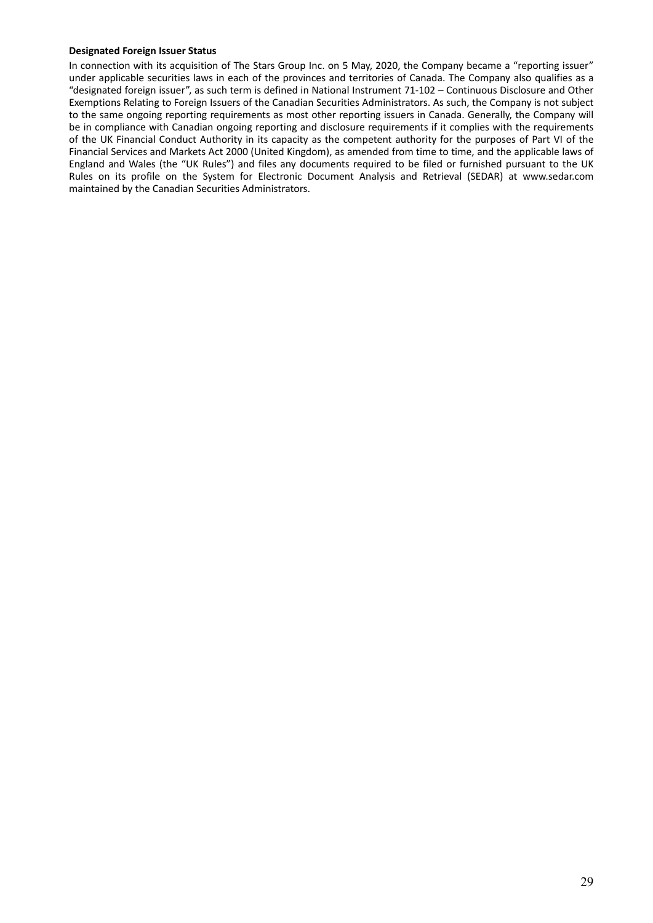#### **Designated Foreign Issuer Status**

In connection with its acquisition of The Stars Group Inc. on 5 May, 2020, the Company became a "reporting issuer" under applicable securities laws in each of the provinces and territories of Canada. The Company also qualifies as a "designated foreign issuer", as such term is defined in National Instrument 71‐102 – Continuous Disclosure and Other Exemptions Relating to Foreign Issuers of the Canadian Securities Administrators. As such, the Company is not subject to the same ongoing reporting requirements as most other reporting issuers in Canada. Generally, the Company will be in compliance with Canadian ongoing reporting and disclosure requirements if it complies with the requirements of the UK Financial Conduct Authority in its capacity as the competent authority for the purposes of Part VI of the Financial Services and Markets Act 2000 (United Kingdom), as amended from time to time, and the applicable laws of England and Wales (the "UK Rules") and files any documents required to be filed or furnished pursuant to the UK Rules on its profile on the System for Electronic Document Analysis and Retrieval (SEDAR) at www.sedar.com maintained by the Canadian Securities Administrators.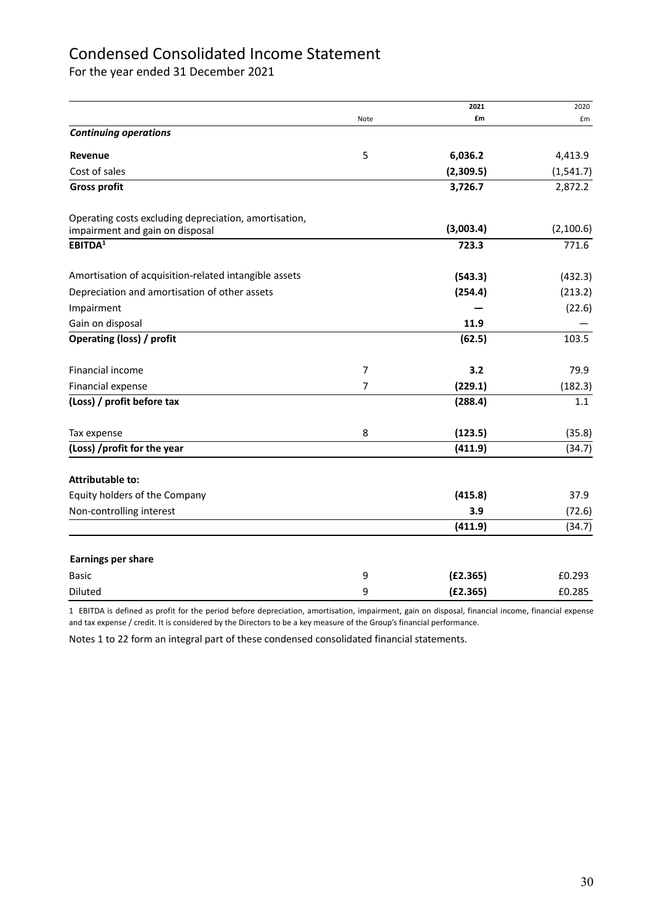# Condensed Consolidated Income Statement

For the year ended 31 December 2021

|                                                       |                | 2021      | 2020       |
|-------------------------------------------------------|----------------|-----------|------------|
|                                                       | Note           | £m        | £m         |
| <b>Continuing operations</b>                          |                |           |            |
| Revenue                                               | 5              | 6,036.2   | 4,413.9    |
| Cost of sales                                         |                | (2,309.5) | (1, 541.7) |
| <b>Gross profit</b>                                   |                | 3,726.7   | 2,872.2    |
| Operating costs excluding depreciation, amortisation, |                | (3,003.4) | (2,100.6)  |
| impairment and gain on disposal                       |                |           |            |
| EBITDA <sup>1</sup>                                   |                | 723.3     | 771.6      |
| Amortisation of acquisition-related intangible assets |                | (543.3)   | (432.3)    |
| Depreciation and amortisation of other assets         |                | (254.4)   | (213.2)    |
| Impairment                                            |                |           | (22.6)     |
| Gain on disposal                                      |                | 11.9      |            |
| <b>Operating (loss) / profit</b>                      |                | (62.5)    | 103.5      |
| Financial income                                      | $\overline{7}$ | 3.2       | 79.9       |
| Financial expense                                     | $\overline{7}$ | (229.1)   | (182.3)    |
| (Loss) / profit before tax                            |                | (288.4)   | 1.1        |
| Tax expense                                           | 8              | (123.5)   | (35.8)     |
| (Loss) /profit for the year                           |                | (411.9)   | (34.7)     |
| <b>Attributable to:</b>                               |                |           |            |
| Equity holders of the Company                         |                | (415.8)   | 37.9       |
| Non-controlling interest                              |                | 3.9       | (72.6)     |
|                                                       |                | (411.9)   | (34.7)     |
| <b>Earnings per share</b>                             |                |           |            |
| <b>Basic</b>                                          | 9              | (E2.365)  | £0.293     |
| Diluted                                               | 9              | (E2.365)  | £0.285     |

1 EBITDA is defined as profit for the period before depreciation, amortisation, impairment, gain on disposal, financial income, financial expense and tax expense / credit. It is considered by the Directors to be a key measure of the Group's financial performance.

Notes 1 to 22 form an integral part of these condensed consolidated financial statements.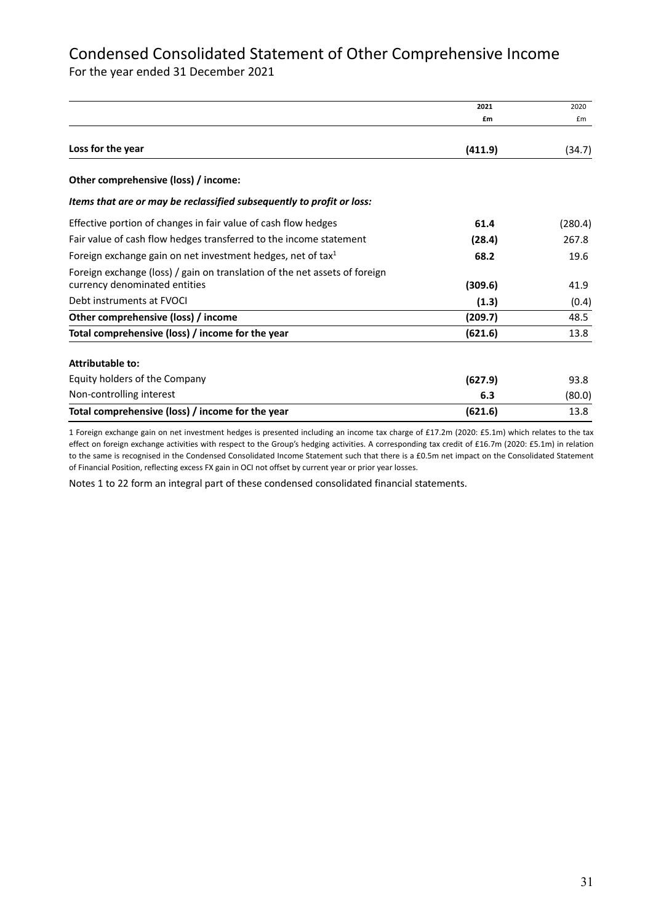# Condensed Consolidated Statement of Other Comprehensive Income

For the year ended 31 December 2021

|                                                                                                             | 2021    | 2020    |
|-------------------------------------------------------------------------------------------------------------|---------|---------|
|                                                                                                             | £m      | £m      |
| Loss for the year                                                                                           | (411.9) | (34.7)  |
| Other comprehensive (loss) / income:                                                                        |         |         |
| Items that are or may be reclassified subsequently to profit or loss:                                       |         |         |
| Effective portion of changes in fair value of cash flow hedges                                              | 61.4    | (280.4) |
| Fair value of cash flow hedges transferred to the income statement                                          | (28.4)  | 267.8   |
| Foreign exchange gain on net investment hedges, net of tax <sup>1</sup>                                     | 68.2    | 19.6    |
| Foreign exchange (loss) / gain on translation of the net assets of foreign<br>currency denominated entities | (309.6) | 41.9    |
| Debt instruments at FVOCI                                                                                   | (1.3)   | (0.4)   |
| Other comprehensive (loss) / income                                                                         | (209.7) | 48.5    |
| Total comprehensive (loss) / income for the year                                                            | (621.6) | 13.8    |
| <b>Attributable to:</b>                                                                                     |         |         |
| Equity holders of the Company                                                                               | (627.9) | 93.8    |
| Non-controlling interest                                                                                    | 6.3     | (80.0)  |
| Total comprehensive (loss) / income for the year                                                            | (621.6) | 13.8    |

1 Foreign exchange gain on net investment hedges is presented including an income tax charge of £17.2m (2020: £5.1m) which relates to the tax effect on foreign exchange activities with respect to the Group's hedging activities. A corresponding tax credit of £16.7m (2020: £5.1m) in relation to the same is recognised in the Condensed Consolidated Income Statement such that there is a £0.5m net impact on the Consolidated Statement of Financial Position, reflecting excess FX gain in OCI not offset by current year or prior year losses.

Notes 1 to 22 form an integral part of these condensed consolidated financial statements.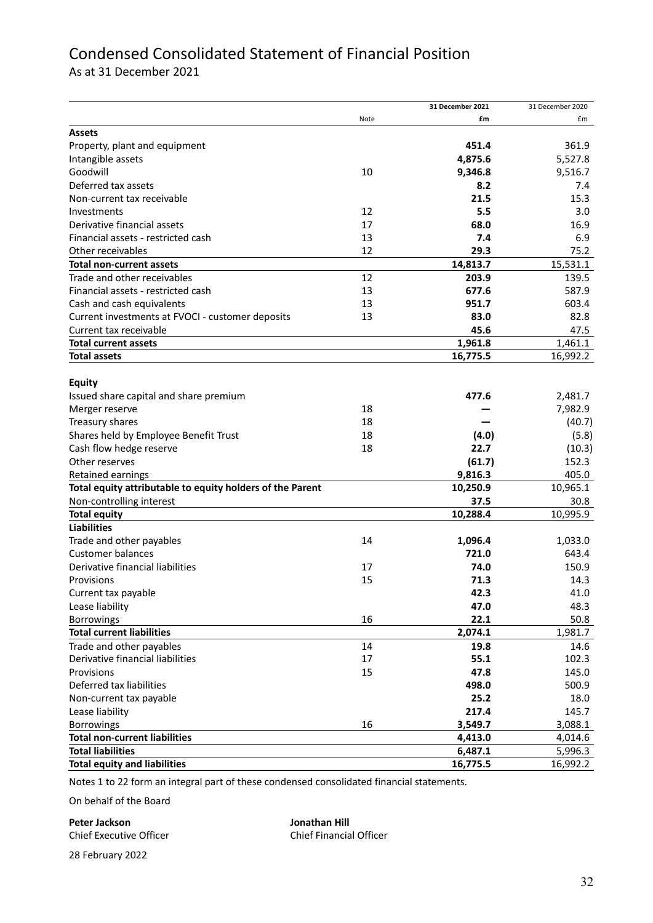# Condensed Consolidated Statement of Financial Position

As at 31 December 2021

|                                                           |      | 31 December 2021 | 31 December 2020 |
|-----------------------------------------------------------|------|------------------|------------------|
|                                                           | Note | £m               | £m               |
| <b>Assets</b>                                             |      |                  |                  |
| Property, plant and equipment                             |      | 451.4            | 361.9            |
| Intangible assets                                         |      | 4,875.6          | 5,527.8          |
| Goodwill                                                  | 10   | 9,346.8          | 9,516.7          |
| Deferred tax assets                                       |      | 8.2              | 7.4              |
| Non-current tax receivable                                |      | 21.5             | 15.3             |
| Investments                                               | 12   | 5.5              | 3.0              |
| Derivative financial assets                               | 17   | 68.0             | 16.9             |
| Financial assets - restricted cash                        | 13   | 7.4              | 6.9              |
| Other receivables                                         | 12   | 29.3             | 75.2             |
| <b>Total non-current assets</b>                           |      | 14,813.7         | 15,531.1         |
| Trade and other receivables                               | 12   | 203.9            | 139.5            |
| Financial assets - restricted cash                        | 13   | 677.6            | 587.9            |
| Cash and cash equivalents                                 | 13   | 951.7            | 603.4            |
| Current investments at FVOCI - customer deposits          | 13   | 83.0             | 82.8             |
| Current tax receivable                                    |      | 45.6             | 47.5             |
| <b>Total current assets</b>                               |      | 1,961.8          | 1,461.1          |
| <b>Total assets</b>                                       |      | 16,775.5         | 16,992.2         |
|                                                           |      |                  |                  |
| <b>Equity</b>                                             |      |                  |                  |
| Issued share capital and share premium                    |      | 477.6            | 2,481.7          |
| Merger reserve                                            | 18   |                  | 7,982.9          |
| Treasury shares                                           | 18   |                  | (40.7)           |
| Shares held by Employee Benefit Trust                     | 18   | (4.0)            | (5.8)            |
| Cash flow hedge reserve                                   | 18   | 22.7             | (10.3)           |
| Other reserves                                            |      | (61.7)           | 152.3            |
| Retained earnings                                         |      | 9,816.3          | 405.0            |
|                                                           |      |                  | 10,965.1         |
| Total equity attributable to equity holders of the Parent |      | 10,250.9<br>37.5 | 30.8             |
| Non-controlling interest                                  |      |                  |                  |
| <b>Total equity</b><br><b>Liabilities</b>                 |      | 10,288.4         | 10,995.9         |
|                                                           |      |                  |                  |
| Trade and other payables<br><b>Customer balances</b>      | 14   | 1,096.4          | 1,033.0          |
| Derivative financial liabilities                          |      | 721.0            | 643.4            |
|                                                           | 17   | 74.0             | 150.9            |
| Provisions                                                | 15   | 71.3             | 14.3             |
| Current tax payable                                       |      | 42.3             | 41.0             |
| Lease liability                                           |      | 47.0             | 48.3             |
| <b>Borrowings</b>                                         | 16   | 22.1             | 50.8             |
| <b>Total current liabilities</b>                          |      | 2,074.1          | 1,981.7          |
| Trade and other payables                                  | 14   | 19.8             | 14.6             |
| Derivative financial liabilities                          | 17   | 55.1             | 102.3            |
| Provisions                                                | 15   | 47.8             | 145.0            |
| Deferred tax liabilities                                  |      | 498.0            | 500.9            |
| Non-current tax payable                                   |      | 25.2             | 18.0             |
| Lease liability                                           |      | 217.4            | 145.7            |
| <b>Borrowings</b>                                         | 16   | 3,549.7          | 3,088.1          |
| <b>Total non-current liabilities</b>                      |      | 4,413.0          | 4,014.6          |
| <b>Total liabilities</b>                                  |      | 6,487.1          | 5,996.3          |
| <b>Total equity and liabilities</b>                       |      | 16,775.5         | 16,992.2         |

Notes 1 to 22 form an integral part of these condensed consolidated financial statements.

On behalf of the Board

**Peter Jackson** Chief Executive Officer **Jonathan Hill** Chief Financial Officer

28 February 2022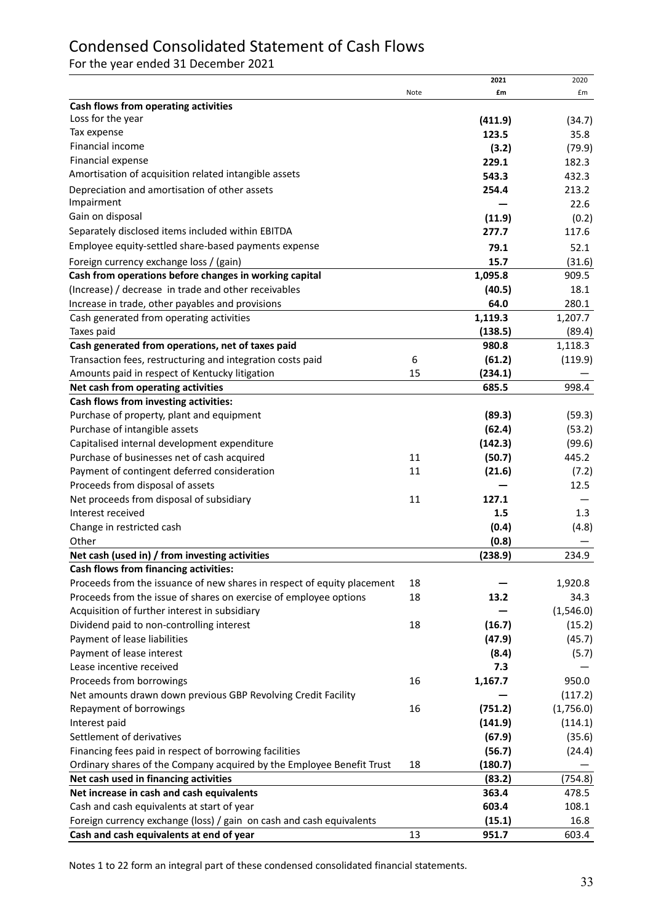# Condensed Consolidated Statement of Cash Flows

For the year ended 31 December 2021

|                                                                         |      | 2021            | 2020      |
|-------------------------------------------------------------------------|------|-----------------|-----------|
|                                                                         | Note | £m              | £m        |
| Cash flows from operating activities                                    |      |                 |           |
| Loss for the year                                                       |      | (411.9)         | (34.7)    |
| Tax expense                                                             |      | 123.5           | 35.8      |
| Financial income                                                        |      | (3.2)           | (79.9)    |
| Financial expense                                                       |      | 229.1           | 182.3     |
| Amortisation of acquisition related intangible assets                   |      | 543.3           | 432.3     |
| Depreciation and amortisation of other assets                           |      | 254.4           | 213.2     |
| Impairment                                                              |      |                 | 22.6      |
| Gain on disposal                                                        |      | (11.9)          | (0.2)     |
| Separately disclosed items included within EBITDA                       |      | 277.7           | 117.6     |
| Employee equity-settled share-based payments expense                    |      | 79.1            | 52.1      |
| Foreign currency exchange loss / (gain)                                 |      | 15.7            | (31.6)    |
| Cash from operations before changes in working capital                  |      | 1,095.8         | 909.5     |
| (Increase) / decrease in trade and other receivables                    |      | (40.5)          | 18.1      |
| Increase in trade, other payables and provisions                        |      | 64.0            | 280.1     |
| Cash generated from operating activities                                |      | 1,119.3         | 1,207.7   |
| Taxes paid                                                              |      | (138.5)         | (89.4)    |
| Cash generated from operations, net of taxes paid                       |      | 980.8           | 1,118.3   |
| Transaction fees, restructuring and integration costs paid              | 6    | (61.2)          | (119.9)   |
| Amounts paid in respect of Kentucky litigation                          | 15   | (234.1)         |           |
| Net cash from operating activities                                      |      | 685.5           | 998.4     |
| Cash flows from investing activities:                                   |      |                 |           |
| Purchase of property, plant and equipment                               |      | (89.3)          | (59.3)    |
| Purchase of intangible assets                                           |      | (62.4)          | (53.2)    |
| Capitalised internal development expenditure                            |      | (142.3)         | (99.6)    |
| Purchase of businesses net of cash acquired                             | 11   | (50.7)          | 445.2     |
| Payment of contingent deferred consideration                            | 11   | (21.6)          | (7.2)     |
| Proceeds from disposal of assets                                        |      |                 | 12.5      |
| Net proceeds from disposal of subsidiary                                | 11   | 127.1           |           |
| Interest received                                                       |      | 1.5             | 1.3       |
| Change in restricted cash                                               |      | (0.4)           | (4.8)     |
| Other                                                                   |      | (0.8)           |           |
| Net cash (used in) / from investing activities                          |      | (238.9)         | 234.9     |
| Cash flows from financing activities:                                   |      |                 |           |
| Proceeds from the issuance of new shares in respect of equity placement | 18   |                 | 1,920.8   |
| Proceeds from the issue of shares on exercise of employee options       | 18   | 13.2            | 34.3      |
| Acquisition of further interest in subsidiary                           |      |                 | (1,546.0) |
| Dividend paid to non-controlling interest                               | 18   | (16.7)          | (15.2)    |
| Payment of lease liabilities                                            |      | (47.9)          | (45.7)    |
| Payment of lease interest                                               |      | (8.4)           | (5.7)     |
| Lease incentive received                                                |      | 7.3             |           |
| Proceeds from borrowings                                                | 16   | 1,167.7         | 950.0     |
| Net amounts drawn down previous GBP Revolving Credit Facility           |      |                 | (117.2)   |
| Repayment of borrowings                                                 | 16   | (751.2)         | (1,756.0) |
| Interest paid                                                           |      | (141.9)         | (114.1)   |
| Settlement of derivatives                                               |      | (67.9)          | (35.6)    |
| Financing fees paid in respect of borrowing facilities                  |      | (56.7)          | (24.4)    |
| Ordinary shares of the Company acquired by the Employee Benefit Trust   | 18   | (180.7)         |           |
| Net cash used in financing activities                                   |      | (83.2)          | (754.8)   |
| Net increase in cash and cash equivalents                               |      | 363.4           | 478.5     |
| Cash and cash equivalents at start of year                              |      | 603.4           | 108.1     |
|                                                                         |      |                 | 16.8      |
| Foreign currency exchange (loss) / gain on cash and cash equivalents    | 13   | (15.1)<br>951.7 | 603.4     |
| Cash and cash equivalents at end of year                                |      |                 |           |

Notes 1 to 22 form an integral part of these condensed consolidated financial statements.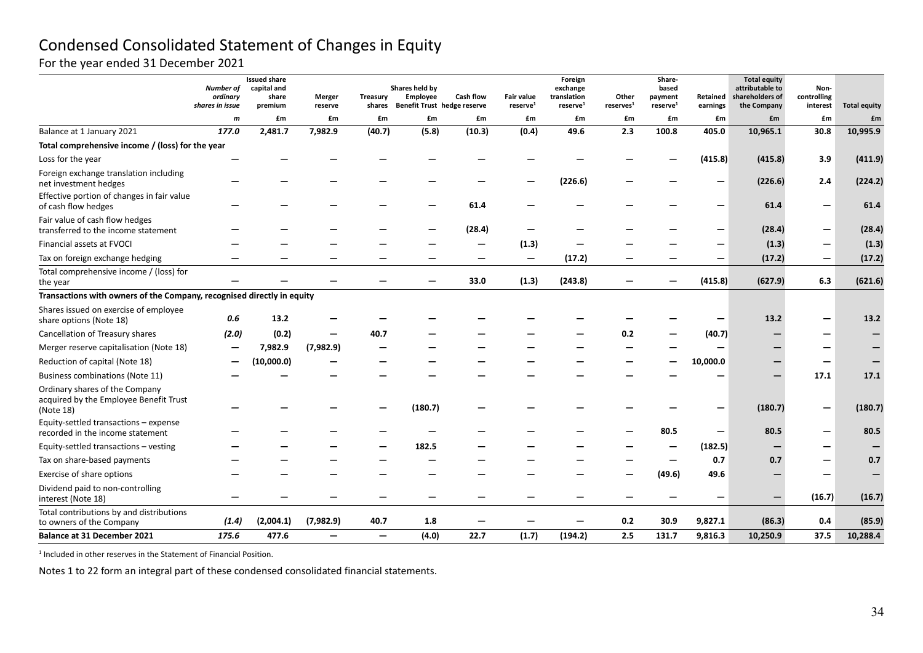# Condensed Consolidated Statement of Changes in Equity

# For the year ended 31 December 2021

| shares in issue                                                                       | Number of<br>ordinary            | <b>Issued share</b><br>capital and<br>share<br>premium | Merger<br>reserve        | Treasury<br>shares              | Shares held by<br><b>Employee</b><br>Benefit Trust hedge reserve | <b>Cash flow</b> | Fair value<br>reserve <sup>1</sup> | Foreign<br>exchange<br>translation<br>reserve <sup>1</sup> | Other<br>reserves <sup>1</sup> | Share-<br>based<br>payment<br>reserve <sup>1</sup> | Retained<br>earnings | <b>Total equity</b><br>attributable to<br>shareholders of<br>the Company | Non-<br>controlling<br>interest | <b>Total equity</b> |
|---------------------------------------------------------------------------------------|----------------------------------|--------------------------------------------------------|--------------------------|---------------------------------|------------------------------------------------------------------|------------------|------------------------------------|------------------------------------------------------------|--------------------------------|----------------------------------------------------|----------------------|--------------------------------------------------------------------------|---------------------------------|---------------------|
|                                                                                       | $\mathsf{m}$                     | £m                                                     | £m                       | £m                              | £m                                                               | £m               | £m                                 | £m                                                         | £m                             | £m                                                 | £m                   | £m                                                                       | £m                              | £m                  |
| Balance at 1 January 2021                                                             | 177.0                            | 2,481.7                                                | 7,982.9                  | (40.7)                          | (5.8)                                                            | (10.3)           | (0.4)                              | 49.6                                                       | 2.3                            | 100.8                                              | 405.0                | 10,965.1                                                                 | 30.8                            | 10,995.9            |
| Total comprehensive income / (loss) for the year                                      |                                  |                                                        |                          |                                 |                                                                  |                  |                                    |                                                            |                                |                                                    |                      |                                                                          |                                 |                     |
| Loss for the year                                                                     |                                  |                                                        |                          |                                 |                                                                  |                  |                                    |                                                            |                                |                                                    | (415.8)              | (415.8)                                                                  | 3.9                             | (411.9)             |
| Foreign exchange translation including<br>net investment hedges                       |                                  |                                                        |                          |                                 |                                                                  |                  |                                    | (226.6)                                                    |                                |                                                    | -                    | (226.6)                                                                  | 2.4                             | (224.2)             |
| Effective portion of changes in fair value<br>of cash flow hedges                     |                                  |                                                        |                          |                                 |                                                                  | 61.4             |                                    |                                                            |                                |                                                    | —                    | 61.4                                                                     |                                 | 61.4                |
| Fair value of cash flow hedges<br>transferred to the income statement                 |                                  |                                                        |                          |                                 |                                                                  | (28.4)           |                                    |                                                            |                                |                                                    | —                    | (28.4)                                                                   |                                 | (28.4)              |
| Financial assets at FVOCI                                                             |                                  |                                                        |                          |                                 |                                                                  |                  | (1.3)                              |                                                            |                                |                                                    |                      | (1.3)                                                                    |                                 | (1.3)               |
| Tax on foreign exchange hedging                                                       |                                  |                                                        |                          |                                 |                                                                  |                  |                                    | (17.2)                                                     |                                |                                                    |                      | (17.2)                                                                   |                                 | (17.2)              |
| Total comprehensive income / (loss) for<br>the year                                   |                                  |                                                        |                          |                                 |                                                                  | 33.0             | (1.3)                              | (243.8)                                                    |                                |                                                    | (415.8)              | (627.9)                                                                  | 6.3                             | (621.6)             |
| Transactions with owners of the Company, recognised directly in equity                |                                  |                                                        |                          |                                 |                                                                  |                  |                                    |                                                            |                                |                                                    |                      |                                                                          |                                 |                     |
| Shares issued on exercise of employee<br>share options (Note 18)                      | 0.6                              | 13.2                                                   |                          |                                 |                                                                  |                  |                                    |                                                            |                                |                                                    | -                    | 13.2                                                                     |                                 | 13.2                |
| Cancellation of Treasury shares                                                       | (2.0)                            | (0.2)                                                  |                          | 40.7                            |                                                                  |                  |                                    |                                                            | 0.2                            |                                                    | (40.7)               |                                                                          |                                 |                     |
| Merger reserve capitalisation (Note 18)                                               | $\overbrace{\phantom{12322111}}$ | 7,982.9                                                | (7,982.9)                |                                 |                                                                  |                  |                                    |                                                            |                                |                                                    | -                    |                                                                          |                                 |                     |
| Reduction of capital (Note 18)                                                        |                                  | (10,000.0)                                             |                          |                                 |                                                                  |                  |                                    |                                                            |                                |                                                    | 10,000.0             |                                                                          |                                 |                     |
| Business combinations (Note 11)                                                       |                                  |                                                        |                          |                                 |                                                                  |                  |                                    |                                                            |                                |                                                    |                      |                                                                          | 17.1                            | 17.1                |
| Ordinary shares of the Company<br>acquired by the Employee Benefit Trust<br>(Note 18) |                                  |                                                        |                          |                                 | (180.7)                                                          |                  |                                    |                                                            |                                |                                                    |                      | (180.7)                                                                  |                                 | (180.7)             |
| Equity-settled transactions - expense<br>recorded in the income statement             |                                  |                                                        |                          |                                 |                                                                  |                  |                                    |                                                            |                                | 80.5                                               | -                    | 80.5                                                                     |                                 | 80.5                |
| Equity-settled transactions - vesting                                                 |                                  |                                                        |                          |                                 | 182.5                                                            |                  |                                    |                                                            |                                |                                                    | (182.5)              |                                                                          |                                 |                     |
| Tax on share-based payments                                                           |                                  |                                                        |                          |                                 |                                                                  |                  |                                    |                                                            |                                |                                                    | 0.7                  | 0.7                                                                      |                                 | 0.7                 |
| Exercise of share options                                                             |                                  |                                                        |                          |                                 |                                                                  |                  |                                    |                                                            |                                | (49.6)                                             | 49.6                 |                                                                          |                                 |                     |
| Dividend paid to non-controlling<br>interest (Note 18)                                |                                  |                                                        |                          |                                 |                                                                  |                  |                                    |                                                            |                                |                                                    | —                    |                                                                          | (16.7)                          | (16.7)              |
| Total contributions by and distributions<br>to owners of the Company                  | (1.4)                            | (2,004.1)                                              | (7,982.9)                | 40.7                            | 1.8                                                              |                  |                                    |                                                            | 0.2                            | 30.9                                               | 9,827.1              | (86.3)                                                                   | 0.4                             | (85.9)              |
| <b>Balance at 31 December 2021</b>                                                    | 175.6                            | 477.6                                                  | $\overline{\phantom{0}}$ | $\overbrace{\phantom{1232211}}$ | (4.0)                                                            | 22.7             | (1.7)                              | (194.2)                                                    | 2.5                            | 131.7                                              | 9,816.3              | 10,250.9                                                                 | 37.5                            | 10,288.4            |

 $1$  Included in other reserves in the Statement of Financial Position.

Notes 1 to 22 form an integral part of these condensed consolidated financial statements.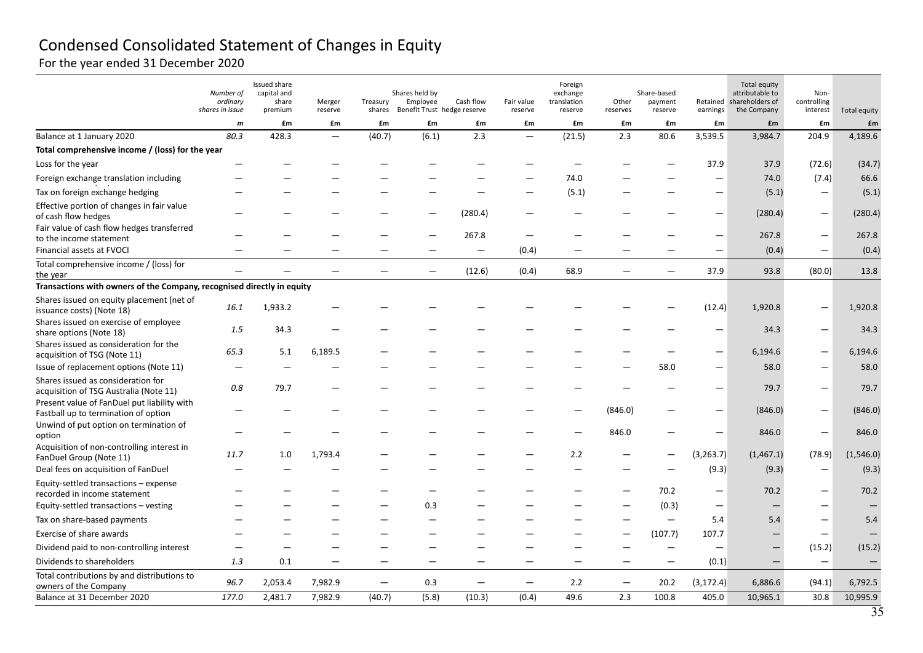# Condensed Consolidated Statement of Changes in Equity

For the year ended 31 December 2020

|                                                                                     | Number of<br>ordinary<br>shares in issue | <b>Issued share</b><br>capital and<br>share<br>premium | Merger<br>reserve        | Treasury<br>shares | Shares held by<br>Employee<br>Benefit Trust hedge reserve | Cash flow                | Fair value<br>reserve    | Foreign<br>exchange<br>translation<br>reserve | Other<br>reserves        | Share-based<br>payment<br>reserve | earnings                 | <b>Total equity</b><br>attributable to<br>Retained shareholders of<br>the Company | Non-<br>controlling<br>interest | Total equity |
|-------------------------------------------------------------------------------------|------------------------------------------|--------------------------------------------------------|--------------------------|--------------------|-----------------------------------------------------------|--------------------------|--------------------------|-----------------------------------------------|--------------------------|-----------------------------------|--------------------------|-----------------------------------------------------------------------------------|---------------------------------|--------------|
|                                                                                     | $\boldsymbol{m}$                         | £m                                                     | £m                       | £m                 | £m                                                        | £m                       | £m                       | £m                                            | £m                       | £m                                | £m                       | £m                                                                                | £m                              | £m           |
| Balance at 1 January 2020                                                           | 80.3                                     | 428.3                                                  | $\overline{\phantom{m}}$ | (40.7)             | (6.1)                                                     | 2.3                      | $\overline{\phantom{0}}$ | (21.5)                                        | 2.3                      | 80.6                              | 3,539.5                  | 3,984.7                                                                           | 204.9                           | 4,189.6      |
| Total comprehensive income / (loss) for the year                                    |                                          |                                                        |                          |                    |                                                           |                          |                          |                                               |                          |                                   |                          |                                                                                   |                                 |              |
| Loss for the year                                                                   |                                          |                                                        |                          |                    |                                                           |                          |                          |                                               |                          |                                   | 37.9                     | 37.9                                                                              | (72.6)                          | (34.7)       |
| Foreign exchange translation including                                              |                                          |                                                        |                          |                    |                                                           |                          |                          | 74.0                                          |                          |                                   | -                        | 74.0                                                                              | (7.4)                           | 66.6         |
| Tax on foreign exchange hedging                                                     |                                          |                                                        |                          |                    |                                                           |                          |                          | (5.1)                                         |                          |                                   | -                        | (5.1)                                                                             |                                 | (5.1)        |
| Effective portion of changes in fair value<br>of cash flow hedges                   |                                          |                                                        |                          |                    |                                                           | (280.4)                  |                          |                                               |                          |                                   | —                        | (280.4)                                                                           | $\qquad \qquad -$               | (280.4)      |
| Fair value of cash flow hedges transferred<br>to the income statement               |                                          |                                                        |                          |                    |                                                           | 267.8                    |                          |                                               |                          |                                   | $\qquad \qquad -$        | 267.8                                                                             |                                 | 267.8        |
| Financial assets at FVOCI                                                           | -                                        |                                                        |                          |                    |                                                           | $\overline{\phantom{0}}$ | (0.4)                    | $\overline{\phantom{0}}$                      |                          |                                   | $\overline{\phantom{m}}$ | (0.4)                                                                             | $\qquad \qquad -$               | (0.4)        |
| Total comprehensive income / (loss) for<br>the year                                 |                                          |                                                        | $\overline{\phantom{0}}$ |                    | $\qquad \qquad -$                                         | (12.6)                   | (0.4)                    | 68.9                                          | $\overline{\phantom{0}}$ | $\overline{\phantom{m}}$          | 37.9                     | 93.8                                                                              | (80.0)                          | 13.8         |
| Transactions with owners of the Company, recognised directly in equity              |                                          |                                                        |                          |                    |                                                           |                          |                          |                                               |                          |                                   |                          |                                                                                   |                                 |              |
| Shares issued on equity placement (net of<br>issuance costs) (Note 18)              | 16.1                                     | 1,933.2                                                |                          |                    |                                                           |                          |                          |                                               |                          |                                   | (12.4)                   | 1,920.8                                                                           |                                 | 1,920.8      |
| Shares issued on exercise of employee<br>share options (Note 18)                    | 1.5                                      | 34.3                                                   |                          |                    |                                                           |                          |                          |                                               |                          |                                   | -                        | 34.3                                                                              |                                 | 34.3         |
| Shares issued as consideration for the<br>acquisition of TSG (Note 11)              | 65.3                                     | 5.1                                                    | 6,189.5                  |                    |                                                           |                          |                          |                                               |                          |                                   | $\overline{\phantom{0}}$ | 6,194.6                                                                           |                                 | 6,194.6      |
| Issue of replacement options (Note 11)                                              |                                          |                                                        |                          |                    |                                                           |                          |                          |                                               |                          | 58.0                              | $\overline{\phantom{0}}$ | 58.0                                                                              |                                 | 58.0         |
| Shares issued as consideration for<br>acquisition of TSG Australia (Note 11)        | 0.8                                      | 79.7                                                   |                          |                    |                                                           |                          |                          |                                               |                          |                                   |                          | 79.7                                                                              |                                 | 79.7         |
| Present value of FanDuel put liability with<br>Fastball up to termination of option |                                          |                                                        |                          |                    |                                                           |                          |                          |                                               | (846.0)                  |                                   | $\qquad \qquad -$        | (846.0)                                                                           |                                 | (846.0)      |
| Unwind of put option on termination of<br>option                                    |                                          |                                                        |                          |                    |                                                           |                          |                          |                                               | 846.0                    |                                   | $\qquad \qquad -$        | 846.0                                                                             | $\overline{\phantom{0}}$        | 846.0        |
| Acquisition of non-controlling interest in<br>FanDuel Group (Note 11)               | 11.7                                     | 1.0                                                    | 1,793.4                  |                    |                                                           |                          |                          | 2.2                                           |                          |                                   | (3, 263.7)               | (1,467.1)                                                                         | (78.9)                          | (1,546.0)    |
| Deal fees on acquisition of FanDuel                                                 |                                          |                                                        |                          |                    |                                                           |                          |                          |                                               |                          |                                   | (9.3)                    | (9.3)                                                                             | $\overline{\phantom{0}}$        | (9.3)        |
| Equity-settled transactions - expense<br>recorded in income statement               |                                          |                                                        |                          |                    |                                                           |                          |                          |                                               |                          | 70.2                              | $\overline{\phantom{m}}$ | 70.2                                                                              |                                 | 70.2         |
| Equity-settled transactions - vesting                                               |                                          |                                                        |                          |                    | 0.3                                                       |                          |                          |                                               |                          | (0.3)                             | $\overline{\phantom{m}}$ | $\overline{\phantom{0}}$                                                          |                                 |              |
| Tax on share-based payments                                                         |                                          |                                                        |                          |                    |                                                           |                          |                          |                                               |                          | $\qquad \qquad -$                 | 5.4                      | 5.4                                                                               |                                 | 5.4          |
| Exercise of share awards                                                            |                                          |                                                        |                          |                    |                                                           |                          |                          |                                               |                          | (107.7)                           | 107.7                    |                                                                                   |                                 |              |
| Dividend paid to non-controlling interest                                           |                                          |                                                        |                          |                    |                                                           |                          |                          |                                               |                          | $\qquad \qquad -$                 | $\overline{\phantom{0}}$ |                                                                                   | (15.2)                          | (15.2)       |
| Dividends to shareholders                                                           | 1.3                                      | 0.1                                                    |                          |                    |                                                           |                          |                          | —                                             |                          | $\overline{\phantom{m}}$          | (0.1)                    |                                                                                   | $\overline{\phantom{m}}$        |              |
| Total contributions by and distributions to<br>owners of the Company                | 96.7                                     | 2,053.4                                                | 7,982.9                  | -                  | 0.3                                                       | $\overline{\phantom{0}}$ | $\overline{\phantom{m}}$ | 2.2                                           | $\overline{\phantom{m}}$ | 20.2                              | (3, 172.4)               | 6,886.6                                                                           | (94.1)                          | 6,792.5      |
| Balance at 31 December 2020                                                         | 177.0                                    | 2,481.7                                                | 7,982.9                  | (40.7)             | (5.8)                                                     | (10.3)                   | (0.4)                    | 49.6                                          | 2.3                      | 100.8                             | 405.0                    | 10,965.1                                                                          | 30.8                            | 10,995.9     |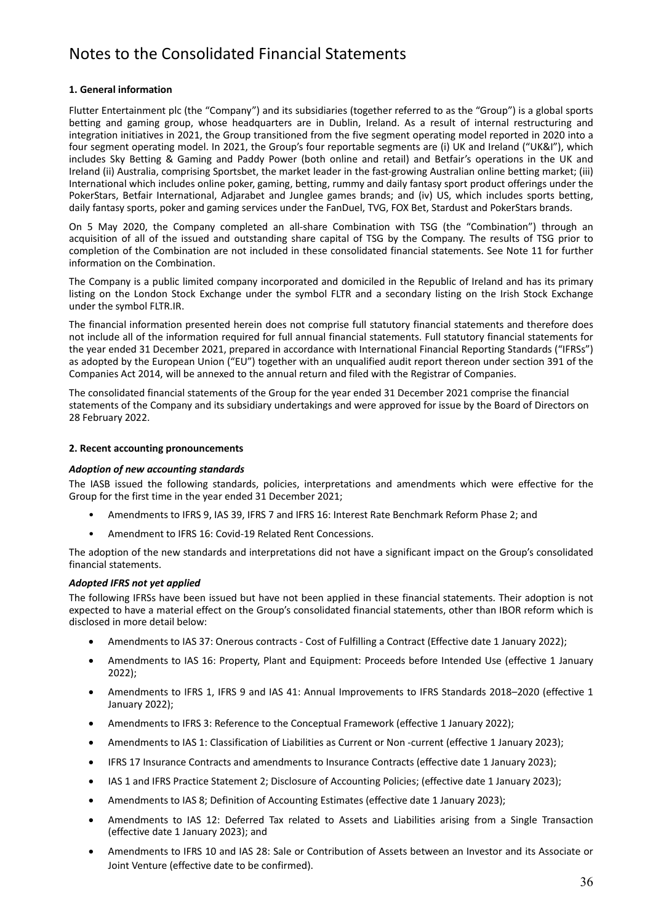# Notes to the Consolidated Financial Statements

#### **1. General information**

Flutter Entertainment plc (the "Company") and its subsidiaries (together referred to as the "Group") is a global sports betting and gaming group, whose headquarters are in Dublin, Ireland. As a result of internal restructuring and integration initiatives in 2021, the Group transitioned from the five segment operating model reported in 2020 into a four segment operating model. In 2021, the Group's four reportable segments are (i) UK and Ireland ("UK&I"), which includes Sky Betting & Gaming and Paddy Power (both online and retail) and Betfair's operations in the UK and Ireland (ii) Australia, comprising Sportsbet, the market leader in the fast-growing Australian online betting market; (iii) International which includes online poker, gaming, betting, rummy and daily fantasy sport product offerings under the PokerStars, Betfair International, Adjarabet and Junglee games brands; and (iv) US, which includes sports betting, daily fantasy sports, poker and gaming services under the FanDuel, TVG, FOX Bet, Stardust and PokerStars brands.

On 5 May 2020, the Company completed an all‐share Combination with TSG (the "Combination") through an acquisition of all of the issued and outstanding share capital of TSG by the Company. The results of TSG prior to completion of the Combination are not included in these consolidated financial statements. See Note 11 for further information on the Combination.

The Company is a public limited company incorporated and domiciled in the Republic of Ireland and has its primary listing on the London Stock Exchange under the symbol FLTR and a secondary listing on the Irish Stock Exchange under the symbol FLTR.IR.

The financial information presented herein does not comprise full statutory financial statements and therefore does not include all of the information required for full annual financial statements. Full statutory financial statements for the year ended 31 December 2021, prepared in accordance with International Financial Reporting Standards ("IFRSs") as adopted by the European Union ("EU") together with an unqualified audit report thereon under section 391 of the Companies Act 2014, will be annexed to the annual return and filed with the Registrar of Companies.

The consolidated financial statements of the Group for the year ended 31 December 2021 comprise the financial statements of the Company and its subsidiary undertakings and were approved for issue by the Board of Directors on 28 February 2022.

#### **2. Recent accounting pronouncements**

#### *Adoption of new accounting standards*

The IASB issued the following standards, policies, interpretations and amendments which were effective for the Group for the first time in the year ended 31 December 2021;

- Amendments to IFRS 9, IAS 39, IFRS 7 and IFRS 16: Interest Rate Benchmark Reform Phase 2; and
- Amendment to IFRS 16: Covid‐19 Related Rent Concessions.

The adoption of the new standards and interpretations did not have a significant impact on the Group's consolidated financial statements.

#### *Adopted IFRS not yet applied*

The following IFRSs have been issued but have not been applied in these financial statements. Their adoption is not expected to have a material effect on the Group's consolidated financial statements, other than IBOR reform which is disclosed in more detail below:

- Amendments to IAS 37: Onerous contracts Cost of Fulfilling a Contract (Effective date 1 January 2022);
- Amendments to IAS 16: Property, Plant and Equipment: Proceeds before Intended Use (effective 1 January 2022);
- Amendments to IFRS 1, IFRS 9 and IAS 41: Annual Improvements to IFRS Standards 2018–2020 (effective 1 January 2022);
- Amendments to IFRS 3: Reference to the Conceptual Framework (effective 1 January 2022);
- Amendments to IAS 1: Classification of Liabilities as Current or Non -current (effective 1 January 2023);
- IFRS 17 Insurance Contracts and amendments to Insurance Contracts (effective date 1 January 2023);
- IAS 1 and IFRS Practice Statement 2; Disclosure of Accounting Policies; (effective date 1 January 2023);
- Amendments to IAS 8; Definition of Accounting Estimates (effective date 1 January 2023);
- Amendments to IAS 12: Deferred Tax related to Assets and Liabilities arising from a Single Transaction (effective date 1 January 2023); and
- Amendments to IFRS 10 and IAS 28: Sale or Contribution of Assets between an Investor and its Associate or Joint Venture (effective date to be confirmed).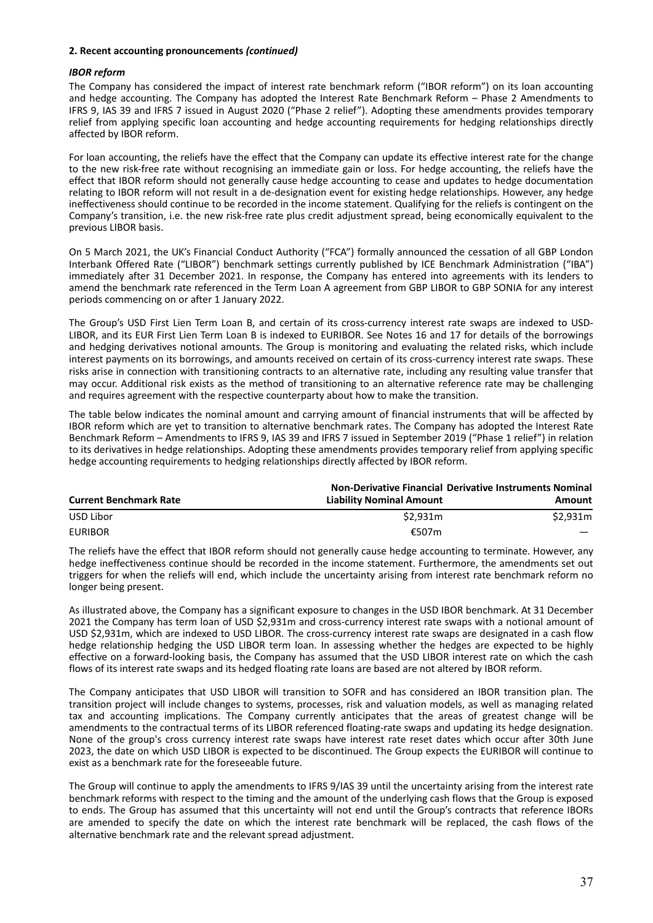#### **2. Recent accounting pronouncements** *(continued)*

#### *IBOR reform*

The Company has considered the impact of interest rate benchmark reform ("IBOR reform") on its loan accounting and hedge accounting. The Company has adopted the Interest Rate Benchmark Reform – Phase 2 Amendments to IFRS 9, IAS 39 and IFRS 7 issued in August 2020 ("Phase 2 relief"). Adopting these amendments provides temporary relief from applying specific loan accounting and hedge accounting requirements for hedging relationships directly affected by IBOR reform.

For loan accounting, the reliefs have the effect that the Company can update its effective interest rate for the change to the new risk-free rate without recognising an immediate gain or loss. For hedge accounting, the reliefs have the effect that IBOR reform should not generally cause hedge accounting to cease and updates to hedge documentation relating to IBOR reform will not result in a de‐designation event for existing hedge relationships. However, any hedge ineffectiveness should continue to be recorded in the income statement. Qualifying for the reliefs is contingent on the Company's transition, i.e. the new risk-free rate plus credit adjustment spread, being economically equivalent to the previous LIBOR basis.

On 5 March 2021, the UK's Financial Conduct Authority ("FCA") formally announced the cessation of all GBP London Interbank Offered Rate ("LIBOR") benchmark settings currently published by ICE Benchmark Administration ("IBA") immediately after 31 December 2021. In response, the Company has entered into agreements with its lenders to amend the benchmark rate referenced in the Term Loan A agreement from GBP LIBOR to GBP SONIA for any interest periods commencing on or after 1 January 2022.

The Group's USD First Lien Term Loan B, and certain of its cross-currency interest rate swaps are indexed to USD-LIBOR, and its EUR First Lien Term Loan B is indexed to EURIBOR. See Notes 16 and 17 for details of the borrowings and hedging derivatives notional amounts. The Group is monitoring and evaluating the related risks, which include interest payments on its borrowings, and amounts received on certain of its cross-currency interest rate swaps. These risks arise in connection with transitioning contracts to an alternative rate, including any resulting value transfer that may occur. Additional risk exists as the method of transitioning to an alternative reference rate may be challenging and requires agreement with the respective counterparty about how to make the transition.

The table below indicates the nominal amount and carrying amount of financial instruments that will be affected by IBOR reform which are yet to transition to alternative benchmark rates. The Company has adopted the Interest Rate Benchmark Reform – Amendments to IFRS 9, IAS 39 and IFRS 7 issued in September 2019 ("Phase 1 relief") in relation to its derivatives in hedge relationships. Adopting these amendments provides temporary relief from applying specific hedge accounting requirements to hedging relationships directly affected by IBOR reform.

|                               |                                 | <b>Non-Derivative Financial Derivative Instruments Nominal</b> |
|-------------------------------|---------------------------------|----------------------------------------------------------------|
| <b>Current Benchmark Rate</b> | <b>Liability Nominal Amount</b> | Amount                                                         |
| USD Libor                     | \$2.931m                        | \$2.931m                                                       |
| <b>EURIBOR</b>                | €507m                           |                                                                |

The reliefs have the effect that IBOR reform should not generally cause hedge accounting to terminate. However, any hedge ineffectiveness continue should be recorded in the income statement. Furthermore, the amendments set out triggers for when the reliefs will end, which include the uncertainty arising from interest rate benchmark reform no longer being present.

As illustrated above, the Company has a significant exposure to changes in the USD IBOR benchmark. At 31 December 2021 the Company has term loan of USD \$2,931m and cross‐currency interest rate swaps with a notional amount of USD \$2,931m, which are indexed to USD LIBOR. The cross‐currency interest rate swaps are designated in a cash flow hedge relationship hedging the USD LIBOR term loan. In assessing whether the hedges are expected to be highly effective on a forward‐looking basis, the Company has assumed that the USD LIBOR interest rate on which the cash flows of its interest rate swaps and its hedged floating rate loans are based are not altered by IBOR reform.

The Company anticipates that USD LIBOR will transition to SOFR and has considered an IBOR transition plan. The transition project will include changes to systems, processes, risk and valuation models, as well as managing related tax and accounting implications. The Company currently anticipates that the areas of greatest change will be amendments to the contractual terms of its LIBOR referenced floating-rate swaps and updating its hedge designation. None of the group's cross currency interest rate swaps have interest rate reset dates which occur after 30th June 2023, the date on which USD LIBOR is expected to be discontinued. The Group expects the EURIBOR will continue to exist as a benchmark rate for the foreseeable future.

The Group will continue to apply the amendments to IFRS 9/IAS 39 until the uncertainty arising from the interest rate benchmark reforms with respect to the timing and the amount of the underlying cash flows that the Group is exposed to ends. The Group has assumed that this uncertainty will not end until the Group's contracts that reference IBORs are amended to specify the date on which the interest rate benchmark will be replaced, the cash flows of the alternative benchmark rate and the relevant spread adjustment.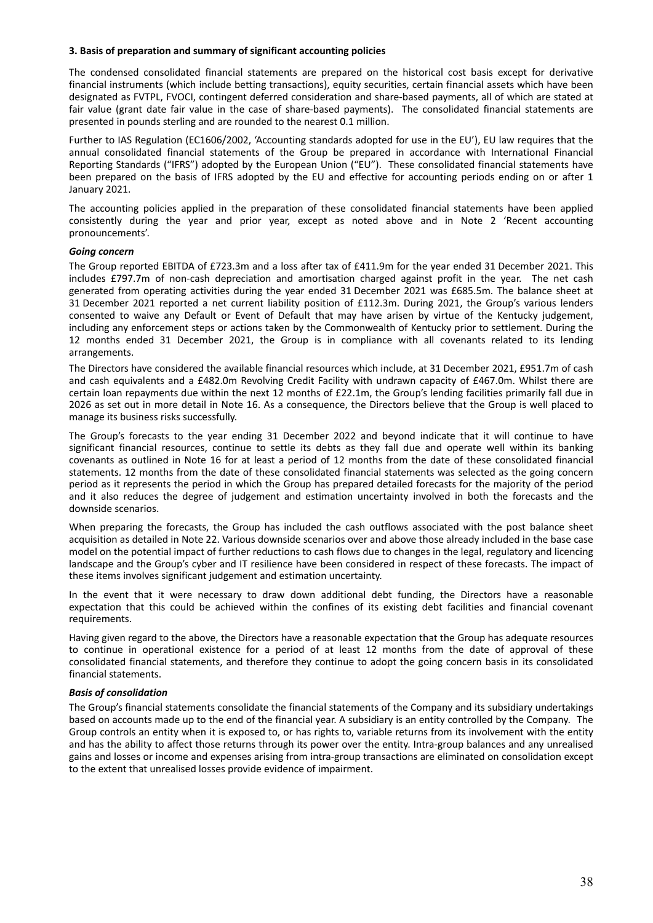#### **3. Basis of preparation and summary of significant accounting policies**

The condensed consolidated financial statements are prepared on the historical cost basis except for derivative financial instruments (which include betting transactions), equity securities, certain financial assets which have been designated as FVTPL, FVOCI, contingent deferred consideration and share‐based payments, all of which are stated at fair value (grant date fair value in the case of share-based payments). The consolidated financial statements are presented in pounds sterling and are rounded to the nearest 0.1 million.

Further to IAS Regulation (EC1606/2002, 'Accounting standards adopted for use in the EU'), EU law requires that the annual consolidated financial statements of the Group be prepared in accordance with International Financial Reporting Standards ("IFRS") adopted by the European Union ("EU"). These consolidated financial statements have been prepared on the basis of IFRS adopted by the EU and effective for accounting periods ending on or after 1 January 2021.

The accounting policies applied in the preparation of these consolidated financial statements have been applied consistently during the year and prior year, except as noted above and in Note 2 'Recent accounting pronouncements'.

#### *Going concern*

The Group reported EBITDA of £723.3m and a loss after tax of £411.9m for the year ended 31 December 2021. This includes £797.7m of non-cash depreciation and amortisation charged against profit in the year. The net cash generated from operating activities during the year ended 31 December 2021 was £685.5m. The balance sheet at 31 December 2021 reported a net current liability position of £112.3m. During 2021, the Group's various lenders consented to waive any Default or Event of Default that may have arisen by virtue of the Kentucky judgement, including any enforcement steps or actions taken by the Commonwealth of Kentucky prior to settlement. During the 12 months ended 31 December 2021, the Group is in compliance with all covenants related to its lending arrangements.

The Directors have considered the available financial resources which include, at 31 December 2021, £951.7m of cash and cash equivalents and a £482.0m Revolving Credit Facility with undrawn capacity of £467.0m. Whilst there are certain loan repayments due within the next 12 months of £22.1m, the Group's lending facilities primarily fall due in 2026 as set out in more detail in Note 16. As a consequence, the Directors believe that the Group is well placed to manage its business risks successfully.

The Group's forecasts to the year ending 31 December 2022 and beyond indicate that it will continue to have significant financial resources, continue to settle its debts as they fall due and operate well within its banking covenants as outlined in Note 16 for at least a period of 12 months from the date of these consolidated financial statements. 12 months from the date of these consolidated financial statements was selected as the going concern period as it represents the period in which the Group has prepared detailed forecasts for the majority of the period and it also reduces the degree of judgement and estimation uncertainty involved in both the forecasts and the downside scenarios.

When preparing the forecasts, the Group has included the cash outflows associated with the post balance sheet acquisition as detailed in Note 22. Various downside scenarios over and above those already included in the base case model on the potential impact of further reductions to cash flows due to changes in the legal, regulatory and licencing landscape and the Group's cyber and IT resilience have been considered in respect of these forecasts. The impact of these items involves significant judgement and estimation uncertainty.

In the event that it were necessary to draw down additional debt funding, the Directors have a reasonable expectation that this could be achieved within the confines of its existing debt facilities and financial covenant requirements.

Having given regard to the above, the Directors have a reasonable expectation that the Group has adequate resources to continue in operational existence for a period of at least 12 months from the date of approval of these consolidated financial statements, and therefore they continue to adopt the going concern basis in its consolidated financial statements.

#### *Basis of consolidation*

The Group's financial statements consolidate the financial statements of the Company and its subsidiary undertakings based on accounts made up to the end of the financial year. A subsidiary is an entity controlled by the Company. The Group controls an entity when it is exposed to, or has rights to, variable returns from its involvement with the entity and has the ability to affect those returns through its power over the entity. Intra-group balances and any unrealised gains and losses or income and expenses arising from intra‐group transactions are eliminated on consolidation except to the extent that unrealised losses provide evidence of impairment.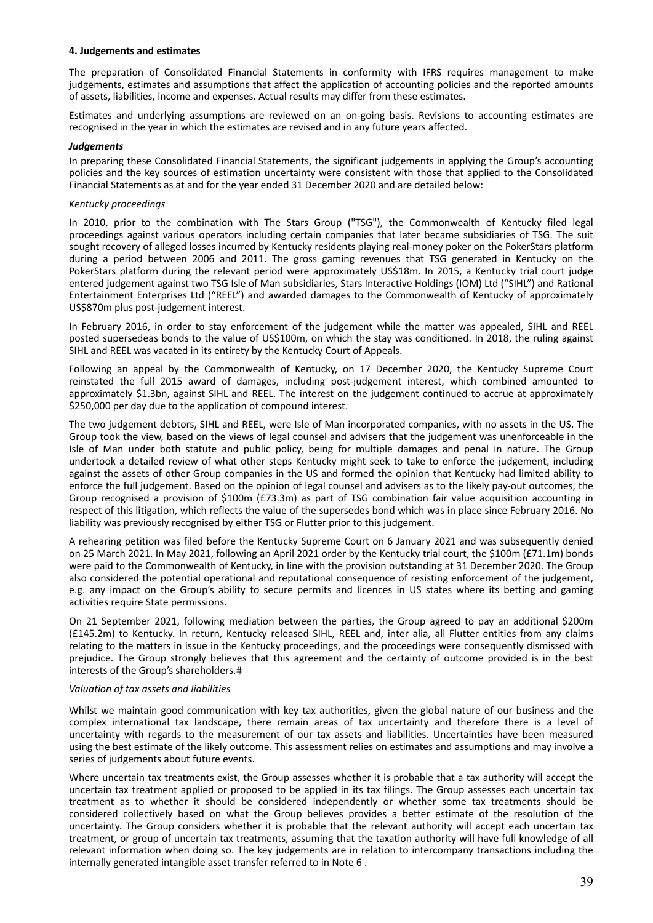#### **4. Judgements and estimates**

The preparation of Consolidated Financial Statements in conformity with IFRS requires management to make judgements, estimates and assumptions that affect the application of accounting policies and the reported amounts of assets, liabilities, income and expenses. Actual results may differ from these estimates.

Estimates and underlying assumptions are reviewed on an on‐going basis. Revisions to accounting estimates are recognised in the year in which the estimates are revised and in any future years affected.

#### *Judgements*

In preparing these Consolidated Financial Statements, the significant judgements in applying the Group's accounting policies and the key sources of estimation uncertainty were consistent with those that applied to the Consolidated Financial Statements as at and for the year ended 31 December 2020 and are detailed below:

#### *Kentucky proceedings*

In 2010, prior to the combination with The Stars Group ("TSG"), the Commonwealth of Kentucky filed legal proceedings against various operators including certain companies that later became subsidiaries of TSG. The suit sought recovery of alleged losses incurred by Kentucky residents playing real-money poker on the PokerStars platform during a period between 2006 and 2011. The gross gaming revenues that TSG generated in Kentucky on the PokerStars platform during the relevant period were approximately US\$18m. In 2015, a Kentucky trial court judge entered judgement against two TSG Isle of Man subsidiaries, Stars Interactive Holdings (IOM) Ltd ("SIHL") and Rational Entertainment Enterprises Ltd ("REEL") and awarded damages to the Commonwealth of Kentucky of approximately US\$870m plus post‐judgement interest.

In February 2016, in order to stay enforcement of the judgement while the matter was appealed, SIHL and REEL posted supersedeas bonds to the value of US\$100m, on which the stay was conditioned. In 2018, the ruling against SIHL and REEL was vacated in its entirety by the Kentucky Court of Appeals.

Following an appeal by the Commonwealth of Kentucky, on 17 December 2020, the Kentucky Supreme Court reinstated the full 2015 award of damages, including post-judgement interest, which combined amounted to approximately \$1.3bn, against SIHL and REEL. The interest on the judgement continued to accrue at approximately \$250,000 per day due to the application of compound interest.

The two judgement debtors, SIHL and REEL, were Isle of Man incorporated companies, with no assets in the US. The Group took the view, based on the views of legal counsel and advisers that the judgement was unenforceable in the Isle of Man under both statute and public policy, being for multiple damages and penal in nature. The Group undertook a detailed review of what other steps Kentucky might seek to take to enforce the judgement, including against the assets of other Group companies in the US and formed the opinion that Kentucky had limited ability to enforce the full judgement. Based on the opinion of legal counsel and advisers as to the likely pay‐out outcomes, the Group recognised a provision of \$100m (£73.3m) as part of TSG combination fair value acquisition accounting in respect of this litigation, which reflects the value of the supersedes bond which was in place since February 2016. No liability was previously recognised by either TSG or Flutter prior to this judgement.

A rehearing petition was filed before the Kentucky Supreme Court on 6 January 2021 and was subsequently denied on 25 March 2021. In May 2021, following an April 2021 order by the Kentucky trial court, the \$100m (£71.1m) bonds were paid to the Commonwealth of Kentucky, in line with the provision outstanding at 31 December 2020. The Group also considered the potential operational and reputational consequence of resisting enforcement of the judgement, e.g. any impact on the Group's ability to secure permits and licences in US states where its betting and gaming activities require State permissions.

On 21 September 2021, following mediation between the parties, the Group agreed to pay an additional \$200m (£145.2m) to Kentucky. In return, Kentucky released SIHL, REEL and, inter alia, all Flutter entities from any claims relating to the matters in issue in the Kentucky proceedings, and the proceedings were consequently dismissed with prejudice. The Group strongly believes that this agreement and the certainty of outcome provided is in the best interests of the Group's shareholders.

#### *Valuation of tax assets and liabilities*

Whilst we maintain good communication with key tax authorities, given the global nature of our business and the complex international tax landscape, there remain areas of tax uncertainty and therefore there is a level of uncertainty with regards to the measurement of our tax assets and liabilities. Uncertainties have been measured using the best estimate of the likely outcome. This assessment relies on estimates and assumptions and may involve a series of judgements about future events.

Where uncertain tax treatments exist, the Group assesses whether it is probable that a tax authority will accept the uncertain tax treatment applied or proposed to be applied in its tax filings. The Group assesses each uncertain tax treatment as to whether it should be considered independently or whether some tax treatments should be considered collectively based on what the Group believes provides a better estimate of the resolution of the uncertainty. The Group considers whether it is probable that the relevant authority will accept each uncertain tax treatment, or group of uncertain tax treatments, assuming that the taxation authority will have full knowledge of all relevant information when doing so. The key judgements are in relation to intercompany transactions including the internally generated intangible asset transfer referred to in Note 6 .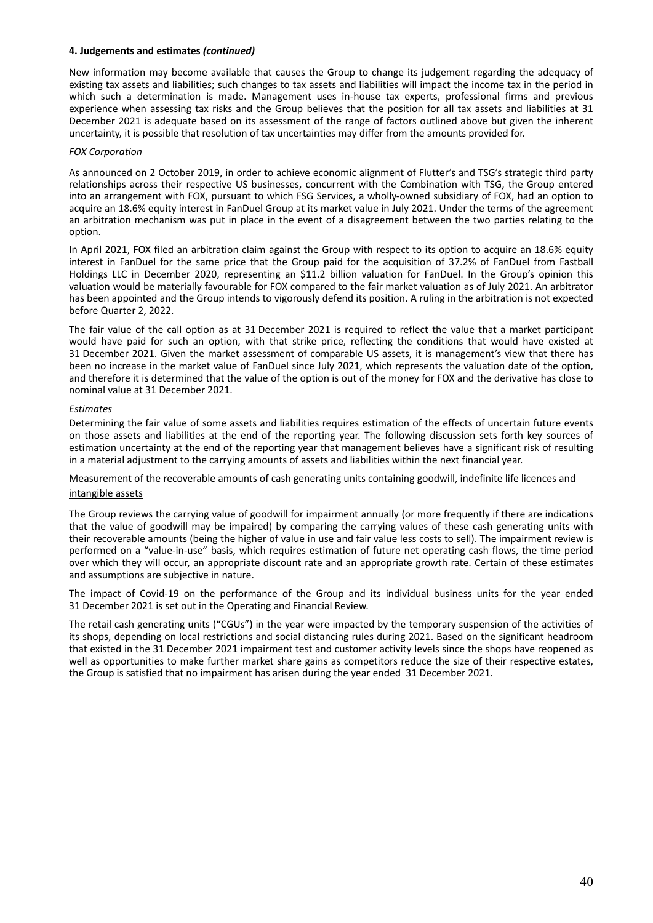#### **4. Judgements and estimates** *(continued)*

New information may become available that causes the Group to change its judgement regarding the adequacy of existing tax assets and liabilities; such changes to tax assets and liabilities will impact the income tax in the period in which such a determination is made. Management uses in-house tax experts, professional firms and previous experience when assessing tax risks and the Group believes that the position for all tax assets and liabilities at 31 December 2021 is adequate based on its assessment of the range of factors outlined above but given the inherent uncertainty, it is possible that resolution of tax uncertainties may differ from the amounts provided for.

#### *FOX Corporation*

As announced on 2 October 2019, in order to achieve economic alignment of Flutter's and TSG's strategic third party relationships across their respective US businesses, concurrent with the Combination with TSG, the Group entered into an arrangement with FOX, pursuant to which FSG Services, a wholly‐owned subsidiary of FOX, had an option to acquire an 18.6% equity interest in FanDuel Group at its market value in July 2021. Under the terms of the agreement an arbitration mechanism was put in place in the event of a disagreement between the two parties relating to the option.

In April 2021, FOX filed an arbitration claim against the Group with respect to its option to acquire an 18.6% equity interest in FanDuel for the same price that the Group paid for the acquisition of 37.2% of FanDuel from Fastball Holdings LLC in December 2020, representing an \$11.2 billion valuation for FanDuel. In the Group's opinion this valuation would be materially favourable for FOX compared to the fair market valuation as of July 2021. An arbitrator has been appointed and the Group intends to vigorously defend its position. A ruling in the arbitration is not expected before Quarter 2, 2022.

The fair value of the call option as at 31 December 2021 is required to reflect the value that a market participant would have paid for such an option, with that strike price, reflecting the conditions that would have existed at 31 December 2021. Given the market assessment of comparable US assets, it is management's view that there has been no increase in the market value of FanDuel since July 2021, which represents the valuation date of the option, and therefore it is determined that the value of the option is out of the money for FOX and the derivative has close to nominal value at 31 December 2021.

#### *Estimates*

Determining the fair value of some assets and liabilities requires estimation of the effects of uncertain future events on those assets and liabilities at the end of the reporting year. The following discussion sets forth key sources of estimation uncertainty at the end of the reporting year that management believes have a significant risk of resulting in a material adjustment to the carrying amounts of assets and liabilities within the next financial year.

#### Measurement of the recoverable amounts of cash generating units containing goodwill, indefinite life licences and intangible assets

The Group reviews the carrying value of goodwill for impairment annually (or more frequently if there are indications that the value of goodwill may be impaired) by comparing the carrying values of these cash generating units with their recoverable amounts (being the higher of value in use and fair value less costs to sell). The impairment review is performed on a "value‐in‐use" basis, which requires estimation of future net operating cash flows, the time period over which they will occur, an appropriate discount rate and an appropriate growth rate. Certain of these estimates and assumptions are subjective in nature.

The impact of Covid‐19 on the performance of the Group and its individual business units for the year ended 31 December 2021 is set out in the Operating and Financial Review.

The retail cash generating units ("CGUs") in the year were impacted by the temporary suspension of the activities of its shops, depending on local restrictions and social distancing rules during 2021. Based on the significant headroom that existed in the 31 December 2021 impairment test and customer activity levels since the shops have reopened as well as opportunities to make further market share gains as competitors reduce the size of their respective estates, the Group is satisfied that no impairment has arisen during the year ended 31 December 2021.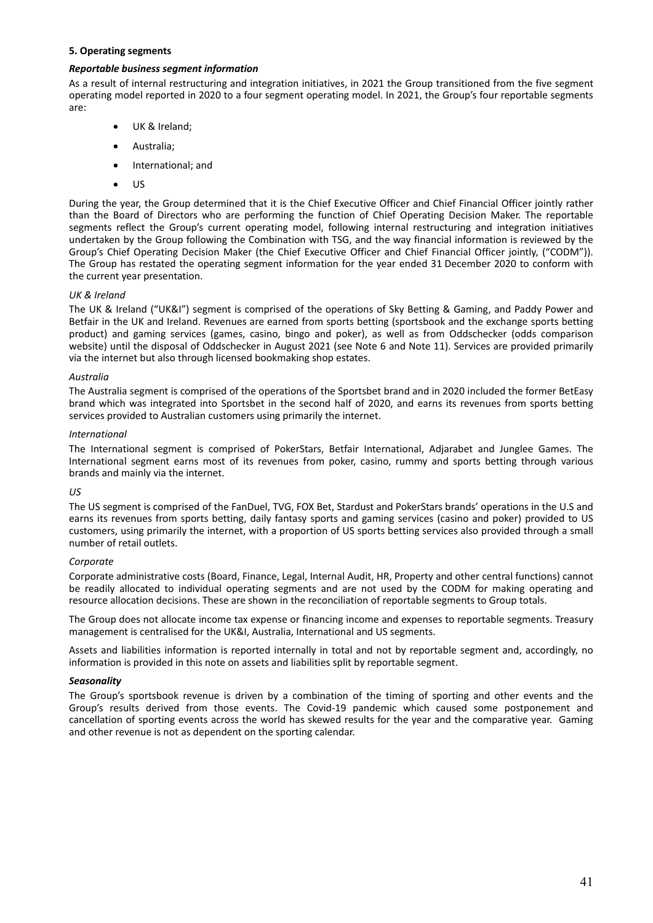#### **5. Operating segments**

#### *Reportable business segment information*

As a result of internal restructuring and integration initiatives, in 2021 the Group transitioned from the five segment operating model reported in 2020 to a four segment operating model. In 2021, the Group's four reportable segments are:

- UK & Ireland;
- Australia;
- International; and
- US

During the year, the Group determined that it is the Chief Executive Officer and Chief Financial Officer jointly rather than the Board of Directors who are performing the function of Chief Operating Decision Maker. The reportable segments reflect the Group's current operating model, following internal restructuring and integration initiatives undertaken by the Group following the Combination with TSG, and the way financial information is reviewed by the Group's Chief Operating Decision Maker (the Chief Executive Officer and Chief Financial Officer jointly, ("CODM")). The Group has restated the operating segment information for the year ended 31 December 2020 to conform with the current year presentation.

# *UK & Ireland*

The UK & Ireland ("UK&I") segment is comprised of the operations of Sky Betting & Gaming, and Paddy Power and Betfair in the UK and Ireland. Revenues are earned from sports betting (sportsbook and the exchange sports betting product) and gaming services (games, casino, bingo and poker), as well as from Oddschecker (odds comparison website) until the disposal of Oddschecker in August 2021 (see Note 6 and Note 11). Services are provided primarily via the internet but also through licensed bookmaking shop estates.

#### *Australia*

The Australia segment is comprised of the operations of the Sportsbet brand and in 2020 included the former BetEasy brand which was integrated into Sportsbet in the second half of 2020, and earns its revenues from sports betting services provided to Australian customers using primarily the internet.

#### *International*

The International segment is comprised of PokerStars, Betfair International, Adjarabet and Junglee Games. The International segment earns most of its revenues from poker, casino, rummy and sports betting through various brands and mainly via the internet.

#### *US*

The US segment is comprised of the FanDuel, TVG, FOX Bet, Stardust and PokerStars brands' operations in the U.S and earns its revenues from sports betting, daily fantasy sports and gaming services (casino and poker) provided to US customers, using primarily the internet, with a proportion of US sports betting services also provided through a small number of retail outlets.

#### *Corporate*

Corporate administrative costs (Board, Finance, Legal, Internal Audit, HR, Property and other central functions) cannot be readily allocated to individual operating segments and are not used by the CODM for making operating and resource allocation decisions. These are shown in the reconciliation of reportable segments to Group totals.

The Group does not allocate income tax expense or financing income and expenses to reportable segments. Treasury management is centralised for the UK&I, Australia, International and US segments.

Assets and liabilities information is reported internally in total and not by reportable segment and, accordingly, no information is provided in this note on assets and liabilities split by reportable segment.

#### *Seasonality*

The Group's sportsbook revenue is driven by a combination of the timing of sporting and other events and the Group's results derived from those events. The Covid‐19 pandemic which caused some postponement and cancellation of sporting events across the world has skewed results for the year and the comparative year. Gaming and other revenue is not as dependent on the sporting calendar.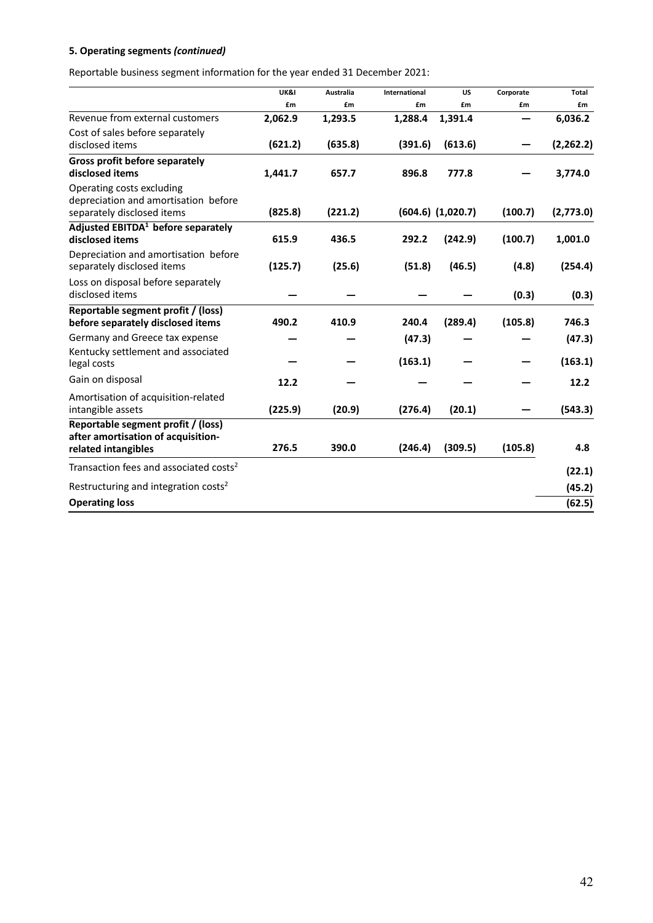Reportable business segment information for the year ended 31 December 2021:

|                                                                                                 | UK&I    | <b>Australia</b> | <b>International</b> | <b>US</b>             | Corporate | <b>Total</b> |
|-------------------------------------------------------------------------------------------------|---------|------------------|----------------------|-----------------------|-----------|--------------|
|                                                                                                 | £m      | £m               | £m                   | £m                    | £m        | £m           |
| Revenue from external customers                                                                 | 2,062.9 | 1,293.5          | 1,288.4              | 1,391.4               |           | 6,036.2      |
| Cost of sales before separately<br>disclosed items                                              | (621.2) | (635.8)          | (391.6)              | (613.6)               |           | (2, 262.2)   |
| <b>Gross profit before separately</b><br>disclosed items                                        | 1,441.7 | 657.7            | 896.8                | 777.8                 |           | 3,774.0      |
| Operating costs excluding<br>depreciation and amortisation before<br>separately disclosed items | (825.8) | (221.2)          |                      | $(604.6)$ $(1,020.7)$ | (100.7)   | (2,773.0)    |
| Adjusted EBITDA <sup>1</sup> before separately<br>disclosed items                               | 615.9   | 436.5            | 292.2                | (242.9)               | (100.7)   | 1,001.0      |
| Depreciation and amortisation before<br>separately disclosed items                              | (125.7) | (25.6)           | (51.8)               | (46.5)                | (4.8)     | (254.4)      |
| Loss on disposal before separately<br>disclosed items                                           |         |                  |                      |                       | (0.3)     | (0.3)        |
| Reportable segment profit / (loss)<br>before separately disclosed items                         | 490.2   | 410.9            | 240.4                | (289.4)               | (105.8)   | 746.3        |
| Germany and Greece tax expense                                                                  |         |                  | (47.3)               |                       |           | (47.3)       |
| Kentucky settlement and associated<br>legal costs                                               |         |                  | (163.1)              |                       |           | (163.1)      |
| Gain on disposal                                                                                | 12.2    |                  |                      |                       |           | 12.2         |
| Amortisation of acquisition-related<br>intangible assets                                        | (225.9) | (20.9)           | (276.4)              | (20.1)                |           | (543.3)      |
| Reportable segment profit / (loss)<br>after amortisation of acquisition-<br>related intangibles | 276.5   | 390.0            | (246.4)              | (309.5)               | (105.8)   | 4.8          |
| Transaction fees and associated costs <sup>2</sup>                                              |         |                  |                      |                       |           | (22.1)       |
| Restructuring and integration costs <sup>2</sup>                                                |         |                  |                      |                       |           | (45.2)       |
| <b>Operating loss</b>                                                                           |         |                  |                      |                       |           | (62.5)       |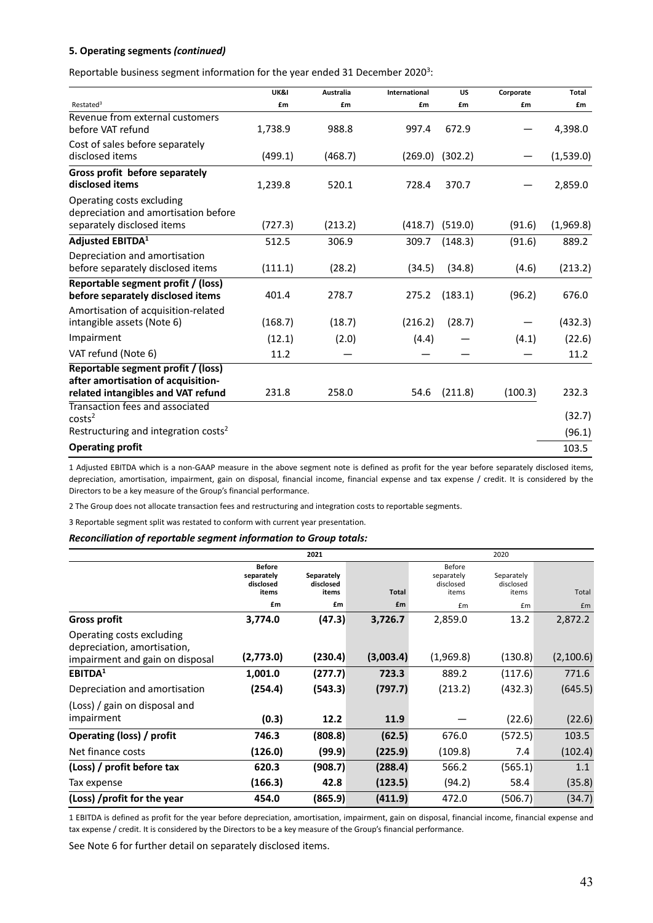Reportable business segment information for the year ended 31 December 2020<sup>3</sup>:

|                                                                                                 | UK&I    | Australia | International | <b>US</b>           | Corporate | Total     |
|-------------------------------------------------------------------------------------------------|---------|-----------|---------------|---------------------|-----------|-----------|
| Restated <sup>3</sup>                                                                           | £m      | £m        | £m            | £m                  | £m        | £m        |
| Revenue from external customers<br>before VAT refund                                            | 1,738.9 | 988.8     | 997.4         | 672.9               |           | 4,398.0   |
| Cost of sales before separately<br>disclosed items                                              | (499.1) | (468.7)   |               | $(269.0)$ $(302.2)$ |           | (1,539.0) |
| Gross profit before separately<br>disclosed items                                               | 1,239.8 | 520.1     | 728.4         | 370.7               |           | 2,859.0   |
| Operating costs excluding<br>depreciation and amortisation before<br>separately disclosed items | (727.3) | (213.2)   | (418.7)       | (519.0)             | (91.6)    | (1,969.8) |
| <b>Adjusted EBITDA1</b>                                                                         | 512.5   | 306.9     | 309.7         | (148.3)             | (91.6)    | 889.2     |
| Depreciation and amortisation<br>before separately disclosed items                              | (111.1) | (28.2)    | (34.5)        | (34.8)              | (4.6)     | (213.2)   |
| Reportable segment profit / (loss)<br>before separately disclosed items                         | 401.4   | 278.7     | 275.2         | (183.1)             | (96.2)    | 676.0     |
| Amortisation of acquisition-related<br>intangible assets (Note 6)                               | (168.7) | (18.7)    | (216.2)       | (28.7)              |           | (432.3)   |
| Impairment                                                                                      | (12.1)  | (2.0)     | (4.4)         |                     | (4.1)     | (22.6)    |
| VAT refund (Note 6)                                                                             | 11.2    |           |               |                     |           | 11.2      |
| Reportable segment profit / (loss)<br>after amortisation of acquisition-                        |         |           |               |                     |           |           |
| related intangibles and VAT refund                                                              | 231.8   | 258.0     | 54.6          | (211.8)             | (100.3)   | 232.3     |
| Transaction fees and associated<br>costs <sup>2</sup>                                           |         |           |               |                     |           | (32.7)    |
| Restructuring and integration costs <sup>2</sup>                                                |         |           |               |                     |           | (96.1)    |
| <b>Operating profit</b>                                                                         |         |           |               |                     |           | 103.5     |

1 Adjusted EBITDA which is a non‐GAAP measure in the above segment note is defined as profit for the year before separately disclosed items, depreciation, amortisation, impairment, gain on disposal, financial income, financial expense and tax expense / credit. It is considered by the Directors to be a key measure of the Group's financial performance.

2 The Group does not allocate transaction fees and restructuring and integration costs to reportable segments.

3 Reportable segment split was restated to conform with current year presentation.

*Reconciliation of reportable segment information to Group totals:*

|                                                                                             |                                                   | 2021                             |           |                                            | 2020                             |           |
|---------------------------------------------------------------------------------------------|---------------------------------------------------|----------------------------------|-----------|--------------------------------------------|----------------------------------|-----------|
|                                                                                             | <b>Before</b><br>separately<br>disclosed<br>items | Separately<br>disclosed<br>items | Total     | Before<br>separately<br>disclosed<br>items | Separately<br>disclosed<br>items | Total     |
|                                                                                             | £m                                                | £m                               | £m        | £m                                         | £m                               | £m        |
| <b>Gross profit</b>                                                                         | 3,774.0                                           | (47.3)                           | 3,726.7   | 2,859.0                                    | 13.2                             | 2,872.2   |
| Operating costs excluding<br>depreciation, amortisation,<br>impairment and gain on disposal | (2,773.0)                                         | (230.4)                          | (3,003.4) | (1,969.8)                                  | (130.8)                          | (2,100.6) |
| EBITDA <sup>1</sup>                                                                         | 1,001.0                                           | (277.7)                          | 723.3     | 889.2                                      | (117.6)                          | 771.6     |
| Depreciation and amortisation                                                               | (254.4)                                           | (543.3)                          | (797.7)   | (213.2)                                    | (432.3)                          | (645.5)   |
| (Loss) / gain on disposal and<br>impairment                                                 | (0.3)                                             | 12.2                             | 11.9      |                                            | (22.6)                           | (22.6)    |
| Operating (loss) / profit                                                                   | 746.3                                             | (808.8)                          | (62.5)    | 676.0                                      | (572.5)                          | 103.5     |
| Net finance costs                                                                           | (126.0)                                           | (99.9)                           | (225.9)   | (109.8)                                    | 7.4                              | (102.4)   |
| (Loss) / profit before tax                                                                  | 620.3                                             | (908.7)                          | (288.4)   | 566.2                                      | (565.1)                          | 1.1       |
| Tax expense                                                                                 | (166.3)                                           | 42.8                             | (123.5)   | (94.2)                                     | 58.4                             | (35.8)    |
| (Loss) /profit for the year                                                                 | 454.0                                             | (865.9)                          | (411.9)   | 472.0                                      | (506.7)                          | (34.7)    |

1 EBITDA is defined as profit for the year before depreciation, amortisation, impairment, gain on disposal, financial income, financial expense and tax expense / credit. It is considered by the Directors to be a key measure of the Group's financial performance.

See Note 6 for further detail on separately disclosed items.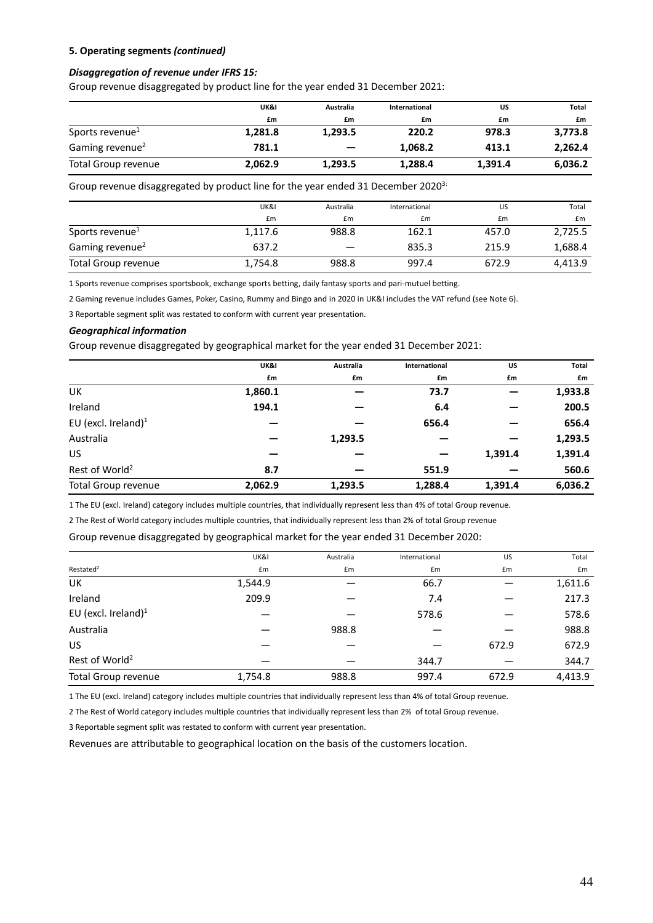#### *Disaggregation of revenue under IFRS 15:*

Group revenue disaggregated by product line for the year ended 31 December 2021:

|                             | UK&I    | Australia                | International | US      | Total   |
|-----------------------------|---------|--------------------------|---------------|---------|---------|
|                             | £m      | £m                       | £m            | £m      | £m      |
| Sports revenue <sup>1</sup> | 1,281.8 | 1,293.5                  | 220.2         | 978.3   | 3,773.8 |
| Gaming revenue <sup>2</sup> | 781.1   | $\overline{\phantom{0}}$ | 1,068.2       | 413.1   | 2,262.4 |
| Total Group revenue         | 2,062.9 | 1,293.5                  | 1,288.4       | 1,391.4 | 6,036.2 |

Group revenue disaggregated by product line for the year ended 31 December 2020 $3$ :

|                             | UK&I    | Australia | International | US    | Total   |
|-----------------------------|---------|-----------|---------------|-------|---------|
|                             | £m      | £m        | £m            | £m    | £m      |
| Sports revenue <sup>1</sup> | 1,117.6 | 988.8     | 162.1         | 457.0 | 2,725.5 |
| Gaming revenue <sup>2</sup> | 637.2   |           | 835.3         | 215.9 | 1,688.4 |
| Total Group revenue         | 1,754.8 | 988.8     | 997.4         | 672.9 | 4,413.9 |

1 Sports revenue comprises sportsbook, exchange sports betting, daily fantasy sports and pari‐mutuel betting.

2 Gaming revenue includes Games, Poker, Casino, Rummy and Bingo and in 2020 in UK&I includes the VAT refund (see Note 6).

3 Reportable segment split was restated to conform with current year presentation.

#### *Geographical information*

Group revenue disaggregated by geographical market for the year ended 31 December 2021:

|                            | UK&I    | Australia | International | US      | Total   |
|----------------------------|---------|-----------|---------------|---------|---------|
|                            | £m      | £m        | £m            | £m      | £m      |
| UK                         | 1,860.1 |           | 73.7          |         | 1,933.8 |
| Ireland                    | 194.1   |           | 6.4           |         | 200.5   |
| EU (excl. Ireland) $1$     |         |           | 656.4         |         | 656.4   |
| Australia                  |         | 1,293.5   |               |         | 1,293.5 |
| <b>US</b>                  |         |           |               | 1,391.4 | 1,391.4 |
| Rest of World <sup>2</sup> | 8.7     |           | 551.9         |         | 560.6   |
| <b>Total Group revenue</b> | 2,062.9 | 1,293.5   | 1,288.4       | 1,391.4 | 6,036.2 |

1 The EU (excl. Ireland) category includes multiple countries, that individually represent less than 4% of total Group revenue.

2 The Rest of World category includes multiple countries, that individually represent less than 2% of total Group revenue

Group revenue disaggregated by geographical market for the year ended 31 December 2020:

|                            | UK&I    | Australia | International | <b>US</b> | Total   |
|----------------------------|---------|-----------|---------------|-----------|---------|
| Restated <sup>2</sup>      | £m      | £m        | £m            | £m        | £m      |
| UK                         | 1,544.9 |           | 66.7          |           | 1,611.6 |
| Ireland                    | 209.9   |           | 7.4           |           | 217.3   |
| EU (excl. Ireland) $1$     |         |           | 578.6         |           | 578.6   |
| Australia                  |         | 988.8     |               |           | 988.8   |
| <b>US</b>                  |         |           |               | 672.9     | 672.9   |
| Rest of World <sup>2</sup> |         |           | 344.7         |           | 344.7   |
| <b>Total Group revenue</b> | 1,754.8 | 988.8     | 997.4         | 672.9     | 4,413.9 |

1 The EU (excl. Ireland) category includes multiple countries that individually represent less than 4% of total Group revenue.

2 The Rest of World category includes multiple countries that individually represent less than 2% of total Group revenue.

3 Reportable segment split was restated to conform with current year presentation.

Revenues are attributable to geographical location on the basis of the customers location.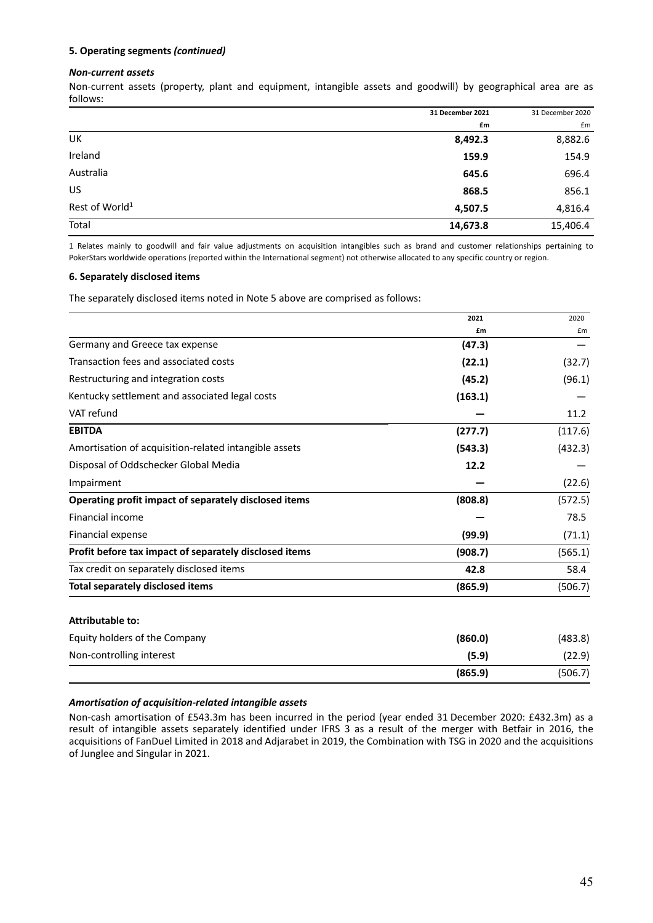#### *Non‐current assets*

Non‐current assets (property, plant and equipment, intangible assets and goodwill) by geographical area are as follows:

|                            | 31 December 2021 | 31 December 2020 |
|----------------------------|------------------|------------------|
|                            | £m               | £m               |
| UK                         | 8,492.3          | 8,882.6          |
| Ireland                    | 159.9            | 154.9            |
| Australia                  | 645.6            | 696.4            |
| US                         | 868.5            | 856.1            |
| Rest of World <sup>1</sup> | 4,507.5          | 4,816.4          |
| Total                      | 14,673.8         | 15,406.4         |

1 Relates mainly to goodwill and fair value adjustments on acquisition intangibles such as brand and customer relationships pertaining to PokerStars worldwide operations (reported within the International segment) not otherwise allocated to any specific country or region.

#### **6. Separately disclosed items**

The separately disclosed items noted in Note 5 above are comprised as follows:

|                                                        | 2021    | 2020    |
|--------------------------------------------------------|---------|---------|
|                                                        | £m      | £m      |
| Germany and Greece tax expense                         | (47.3)  |         |
| Transaction fees and associated costs                  | (22.1)  | (32.7)  |
| Restructuring and integration costs                    | (45.2)  | (96.1)  |
| Kentucky settlement and associated legal costs         | (163.1) |         |
| VAT refund                                             |         | 11.2    |
| <b>EBITDA</b>                                          | (277.7) | (117.6) |
| Amortisation of acquisition-related intangible assets  | (543.3) | (432.3) |
| Disposal of Oddschecker Global Media                   | 12.2    |         |
| Impairment                                             |         | (22.6)  |
| Operating profit impact of separately disclosed items  | (808.8) | (572.5) |
| Financial income                                       |         | 78.5    |
| Financial expense                                      | (99.9)  | (71.1)  |
| Profit before tax impact of separately disclosed items | (908.7) | (565.1) |
| Tax credit on separately disclosed items               | 42.8    | 58.4    |
| Total separately disclosed items                       | (865.9) | (506.7) |
|                                                        |         |         |

#### **Attributable to:**

| Equity holders of the Company | (860.0) | (483.8) |
|-------------------------------|---------|---------|
| Non-controlling interest      | (5.9)   | (22.9)  |
|                               | (865.9) | (506.7) |

#### *Amortisation of acquisition‐related intangible assets*

Non‐cash amortisation of £543.3m has been incurred in the period (year ended 31 December 2020: £432.3m) as a result of intangible assets separately identified under IFRS 3 as a result of the merger with Betfair in 2016, the acquisitions of FanDuel Limited in 2018 and Adjarabet in 2019, the Combination with TSG in 2020 and the acquisitions of Junglee and Singular in 2021.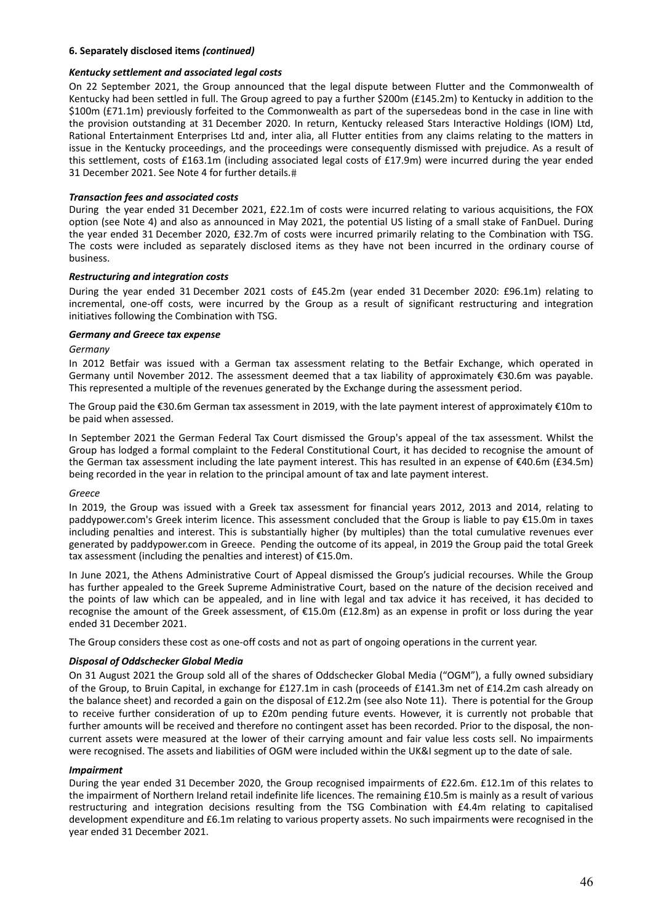#### **6. Separately disclosed items** *(continued)*

#### *Kentucky settlement and associated legal costs*

On 22 September 2021, the Group announced that the legal dispute between Flutter and the Commonwealth of Kentucky had been settled in full. The Group agreed to pay a further \$200m (£145.2m) to Kentucky in addition to the \$100m (£71.1m) previously forfeited to the Commonwealth as part of the supersedeas bond in the case in line with the provision outstanding at 31 December 2020. In return, Kentucky released Stars Interactive Holdings (IOM) Ltd, Rational Entertainment Enterprises Ltd and, inter alia, all Flutter entities from any claims relating to the matters in issue in the Kentucky proceedings, and the proceedings were consequently dismissed with prejudice. As a result of this settlement, costs of £163.1m (including associated legal costs of £17.9m) were incurred during the year ended 31 December 2021. See Note 4 for further details.

#### *Transaction fees and associated costs*

During the year ended 31 December 2021, £22.1m of costs were incurred relating to various acquisitions, the FOX option (see Note 4) and also as announced in May 2021, the potential US listing of a small stake of FanDuel. During the year ended 31 December 2020, £32.7m of costs were incurred primarily relating to the Combination with TSG. The costs were included as separately disclosed items as they have not been incurred in the ordinary course of business.

#### *Restructuring and integration costs*

During the year ended 31 December 2021 costs of £45.2m (year ended 31 December 2020: £96.1m) relating to incremental, one-off costs, were incurred by the Group as a result of significant restructuring and integration initiatives following the Combination with TSG.

#### *Germany and Greece tax expense*

#### *Germany*

In 2012 Betfair was issued with a German tax assessment relating to the Betfair Exchange, which operated in Germany until November 2012. The assessment deemed that a tax liability of approximately €30.6m was payable. This represented a multiple of the revenues generated by the Exchange during the assessment period.

The Group paid the €30.6m German tax assessment in 2019, with the late payment interest of approximately €10m to be paid when assessed.

In September 2021 the German Federal Tax Court dismissed the Group's appeal of the tax assessment. Whilst the Group has lodged a formal complaint to the Federal Constitutional Court, it has decided to recognise the amount of the German tax assessment including the late payment interest. This has resulted in an expense of €40.6m (£34.5m) being recorded in the year in relation to the principal amount of tax and late payment interest.

#### *Greece*

In 2019, the Group was issued with a Greek tax assessment for financial years 2012, 2013 and 2014, relating to paddypower.com's Greek interim licence. This assessment concluded that the Group is liable to pay €15.0m in taxes including penalties and interest. This is substantially higher (by multiples) than the total cumulative revenues ever generated by paddypower.com in Greece. Pending the outcome of its appeal, in 2019 the Group paid the total Greek tax assessment (including the penalties and interest) of €15.0m.

In June 2021, the Athens Administrative Court of Appeal dismissed the Group's judicial recourses. While the Group has further appealed to the Greek Supreme Administrative Court, based on the nature of the decision received and the points of law which can be appealed, and in line with legal and tax advice it has received, it has decided to recognise the amount of the Greek assessment, of €15.0m (£12.8m) as an expense in profit or loss during the year ended 31 December 2021.

The Group considers these cost as one-off costs and not as part of ongoing operations in the current year.

#### *Disposal of Oddschecker Global Media*

On 31 August 2021 the Group sold all of the shares of Oddschecker Global Media ("OGM"), a fully owned subsidiary of the Group, to Bruin Capital, in exchange for £127.1m in cash (proceeds of £141.3m net of £14.2m cash already on the balance sheet) and recorded a gain on the disposal of £12.2m (see also Note 11). There is potential for the Group to receive further consideration of up to £20m pending future events. However, it is currently not probable that further amounts will be received and therefore no contingent asset has been recorded. Prior to the disposal, the noncurrent assets were measured at the lower of their carrying amount and fair value less costs sell. No impairments were recognised. The assets and liabilities of OGM were included within the UK&I segment up to the date of sale.

#### *Impairment*

During the year ended 31 December 2020, the Group recognised impairments of £22.6m. £12.1m of this relates to the impairment of Northern Ireland retail indefinite life licences. The remaining £10.5m is mainly as a result of various restructuring and integration decisions resulting from the TSG Combination with £4.4m relating to capitalised development expenditure and £6.1m relating to various property assets. No such impairments were recognised in the year ended 31 December 2021.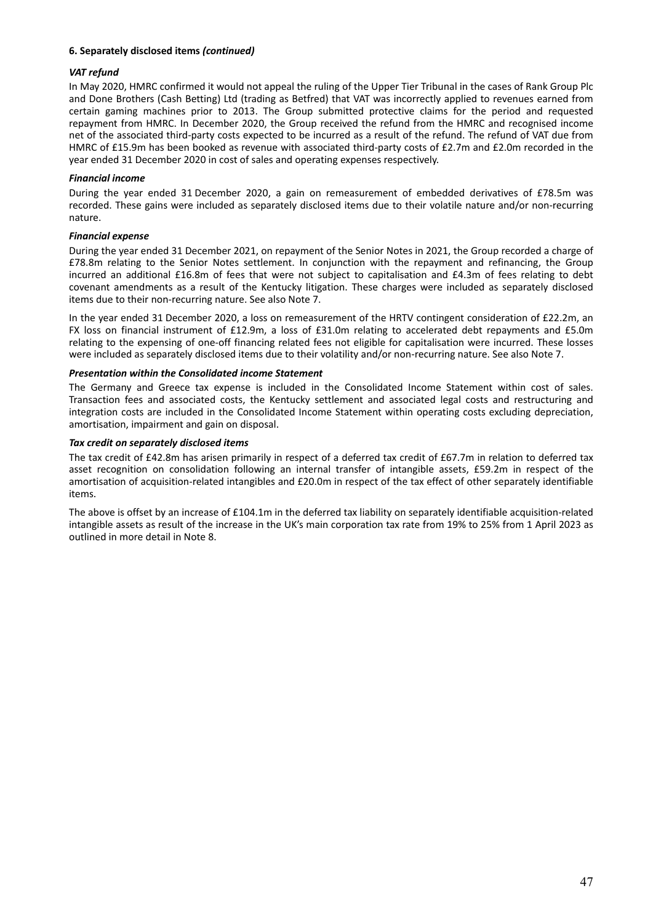### **6. Separately disclosed items** *(continued)*

#### *VAT refund*

In May 2020, HMRC confirmed it would not appeal the ruling of the Upper Tier Tribunal in the cases of Rank Group Plc and Done Brothers (Cash Betting) Ltd (trading as Betfred) that VAT was incorrectly applied to revenues earned from certain gaming machines prior to 2013. The Group submitted protective claims for the period and requested repayment from HMRC. In December 2020, the Group received the refund from the HMRC and recognised income net of the associated third‐party costs expected to be incurred as a result of the refund. The refund of VAT due from HMRC of £15.9m has been booked as revenue with associated third‐party costs of £2.7m and £2.0m recorded in the year ended 31 December 2020 in cost of sales and operating expenses respectively.

#### *Financial income*

During the year ended 31 December 2020, a gain on remeasurement of embedded derivatives of £78.5m was recorded. These gains were included as separately disclosed items due to their volatile nature and/or non-recurring nature.

### *Financial expense*

During the year ended 31 December 2021, on repayment of the Senior Notes in 2021, the Group recorded a charge of £78.8m relating to the Senior Notes settlement. In conjunction with the repayment and refinancing, the Group incurred an additional £16.8m of fees that were not subject to capitalisation and £4.3m of fees relating to debt covenant amendments as a result of the Kentucky litigation. These charges were included as separately disclosed items due to their non‐recurring nature. See also Note 7.

In the year ended 31 December 2020, a loss on remeasurement of the HRTV contingent consideration of £22.2m, an FX loss on financial instrument of £12.9m, a loss of £31.0m relating to accelerated debt repayments and £5.0m relating to the expensing of one‐off financing related fees not eligible for capitalisation were incurred. These losses were included as separately disclosed items due to their volatility and/or non-recurring nature. See also Note 7.

#### *Presentation within the Consolidated income Statement*

The Germany and Greece tax expense is included in the Consolidated Income Statement within cost of sales. Transaction fees and associated costs, the Kentucky settlement and associated legal costs and restructuring and integration costs are included in the Consolidated Income Statement within operating costs excluding depreciation, amortisation, impairment and gain on disposal.

#### *Tax credit on separately disclosed items*

The tax credit of £42.8m has arisen primarily in respect of a deferred tax credit of £67.7m in relation to deferred tax asset recognition on consolidation following an internal transfer of intangible assets, £59.2m in respect of the amortisation of acquisition-related intangibles and £20.0m in respect of the tax effect of other separately identifiable items.

The above is offset by an increase of £104.1m in the deferred tax liability on separately identifiable acquisition‐related intangible assets as result of the increase in the UK's main corporation tax rate from 19% to 25% from 1 April 2023 as outlined in more detail in Note 8.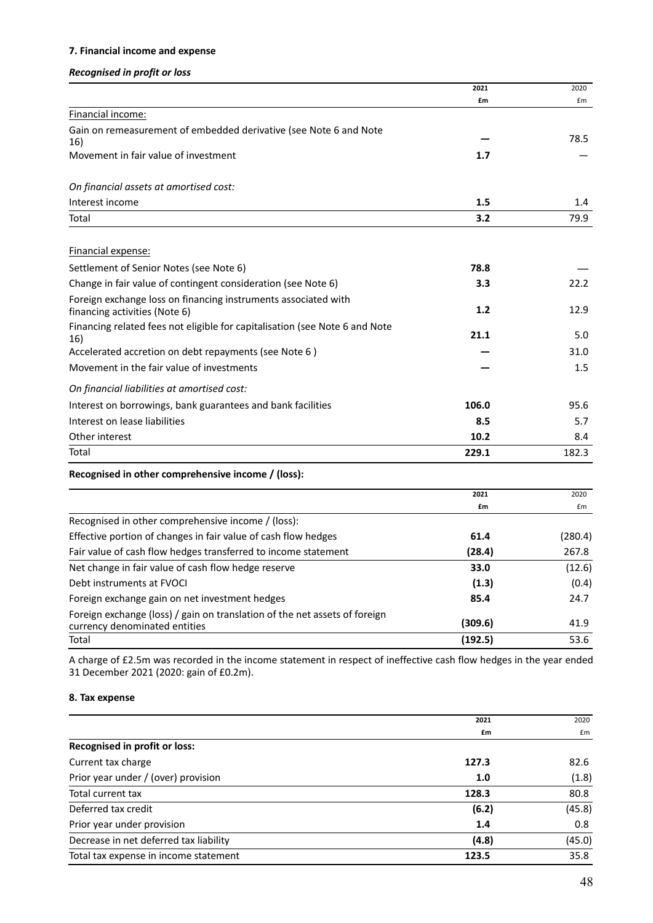# **7. Financial income and expense**

# *Recognised in profit or loss*

|                                                                                                             | 2021    | 2020    |
|-------------------------------------------------------------------------------------------------------------|---------|---------|
|                                                                                                             | £m      | £m      |
| Financial income:                                                                                           |         |         |
| Gain on remeasurement of embedded derivative (see Note 6 and Note                                           |         | 78.5    |
| 16)                                                                                                         | 1.7     |         |
| Movement in fair value of investment                                                                        |         |         |
| On financial assets at amortised cost:                                                                      |         |         |
| Interest income                                                                                             | 1.5     | 1.4     |
| Total                                                                                                       | 3.2     | 79.9    |
|                                                                                                             |         |         |
| Financial expense:                                                                                          |         |         |
| Settlement of Senior Notes (see Note 6)                                                                     | 78.8    |         |
| Change in fair value of contingent consideration (see Note 6)                                               | 3.3     | 22.2    |
| Foreign exchange loss on financing instruments associated with                                              |         |         |
| financing activities (Note 6)                                                                               | 1.2     | 12.9    |
| Financing related fees not eligible for capitalisation (see Note 6 and Note<br>16)                          | 21.1    | 5.0     |
| Accelerated accretion on debt repayments (see Note 6)                                                       |         | 31.0    |
| Movement in the fair value of investments                                                                   |         | 1.5     |
| On financial liabilities at amortised cost:                                                                 |         |         |
| Interest on borrowings, bank guarantees and bank facilities                                                 | 106.0   | 95.6    |
| Interest on lease liabilities                                                                               | 8.5     | 5.7     |
| Other interest                                                                                              | 10.2    | 8.4     |
| Total                                                                                                       | 229.1   | 182.3   |
| Recognised in other comprehensive income / (loss):                                                          |         |         |
|                                                                                                             | 2021    | 2020    |
|                                                                                                             | £m      | £m      |
| Recognised in other comprehensive income / (loss):                                                          |         |         |
| Effective portion of changes in fair value of cash flow hedges                                              | 61.4    | (280.4) |
| Fair value of cash flow hedges transferred to income statement                                              | (28.4)  | 267.8   |
| Net change in fair value of cash flow hedge reserve                                                         | 33.0    | (12.6)  |
| Debt instruments at FVOCI                                                                                   | (1.3)   | (0.4)   |
| Foreign exchange gain on net investment hedges                                                              | 85.4    | 24.7    |
| Foreign exchange (loss) / gain on translation of the net assets of foreign<br>currency denominated entities | (309.6) | 41.9    |
| Total                                                                                                       | (192.5) | 53.6    |
|                                                                                                             |         |         |

A charge of £2.5m was recorded in the income statement in respect of ineffective cash flow hedges in the year ended 31 December 2021 (2020: gain of £0.2m).

# **8. Tax expense**

|                                        | 2021  | 2020   |
|----------------------------------------|-------|--------|
|                                        | £m    | £m     |
| Recognised in profit or loss:          |       |        |
| Current tax charge                     | 127.3 | 82.6   |
| Prior year under / (over) provision    | 1.0   | (1.8)  |
| Total current tax                      | 128.3 | 80.8   |
| Deferred tax credit                    | (6.2) | (45.8) |
| Prior year under provision             | 1.4   | 0.8    |
| Decrease in net deferred tax liability | (4.8) | (45.0) |
| Total tax expense in income statement  | 123.5 | 35.8   |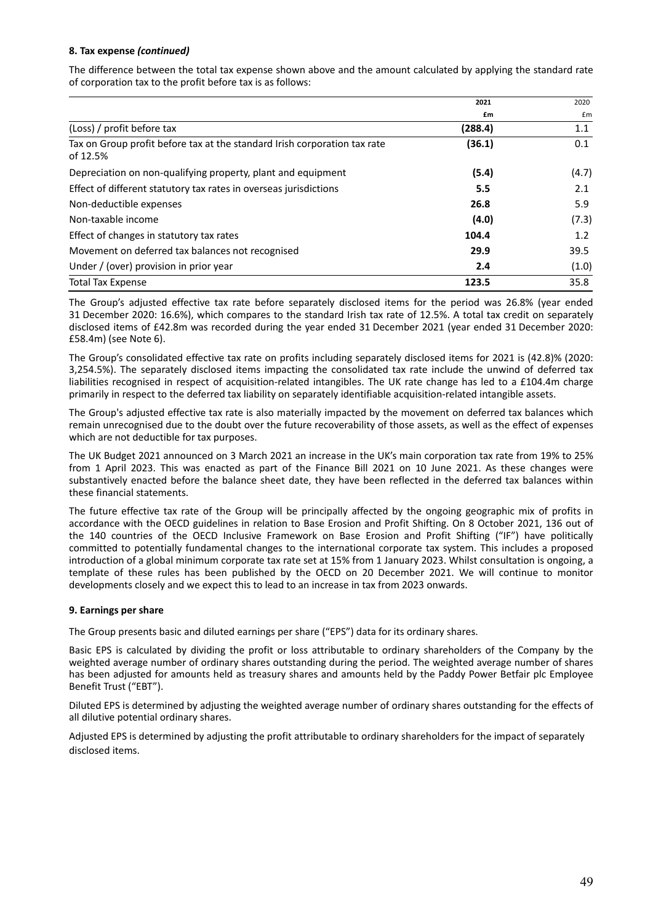### **8. Tax expense** *(continued)*

The difference between the total tax expense shown above and the amount calculated by applying the standard rate of corporation tax to the profit before tax is as follows:

|                                                                                       | 2021    | 2020  |
|---------------------------------------------------------------------------------------|---------|-------|
|                                                                                       | £m      | £m    |
| (Loss) / profit before tax                                                            | (288.4) | 1.1   |
| Tax on Group profit before tax at the standard Irish corporation tax rate<br>of 12.5% | (36.1)  | 0.1   |
| Depreciation on non-qualifying property, plant and equipment                          | (5.4)   | (4.7) |
| Effect of different statutory tax rates in overseas jurisdictions                     | 5.5     | 2.1   |
| Non-deductible expenses                                                               | 26.8    | 5.9   |
| Non-taxable income                                                                    | (4.0)   | (7.3) |
| Effect of changes in statutory tax rates                                              | 104.4   | 1.2   |
| Movement on deferred tax balances not recognised                                      | 29.9    | 39.5  |
| Under / (over) provision in prior year                                                | 2.4     | (1.0) |
| <b>Total Tax Expense</b>                                                              | 123.5   | 35.8  |

The Group's adjusted effective tax rate before separately disclosed items for the period was 26.8% (year ended 31 December 2020: 16.6%), which compares to the standard Irish tax rate of 12.5%. A total tax credit on separately disclosed items of £42.8m was recorded during the year ended 31 December 2021 (year ended 31 December 2020: £58.4m) (see Note 6).

The Group's consolidated effective tax rate on profits including separately disclosed items for 2021 is (42.8)% (2020: 3,254.5%). The separately disclosed items impacting the consolidated tax rate include the unwind of deferred tax liabilities recognised in respect of acquisition-related intangibles. The UK rate change has led to a £104.4m charge primarily in respect to the deferred tax liability on separately identifiable acquisition-related intangible assets.

The Group's adjusted effective tax rate is also materially impacted by the movement on deferred tax balances which remain unrecognised due to the doubt over the future recoverability of those assets, as well as the effect of expenses which are not deductible for tax purposes.

The UK Budget 2021 announced on 3 March 2021 an increase in the UK's main corporation tax rate from 19% to 25% from 1 April 2023. This was enacted as part of the Finance Bill 2021 on 10 June 2021. As these changes were substantively enacted before the balance sheet date, they have been reflected in the deferred tax balances within these financial statements.

The future effective tax rate of the Group will be principally affected by the ongoing geographic mix of profits in accordance with the OECD guidelines in relation to Base Erosion and Profit Shifting. On 8 October 2021, 136 out of the 140 countries of the OECD Inclusive Framework on Base Erosion and Profit Shifting ("IF") have politically committed to potentially fundamental changes to the international corporate tax system. This includes a proposed introduction of a global minimum corporate tax rate set at 15% from 1 January 2023. Whilst consultation is ongoing, a template of these rules has been published by the OECD on 20 December 2021. We will continue to monitor developments closely and we expect this to lead to an increase in tax from 2023 onwards.

#### **9. Earnings per share**

The Group presents basic and diluted earnings per share ("EPS") data for its ordinary shares.

Basic EPS is calculated by dividing the profit or loss attributable to ordinary shareholders of the Company by the weighted average number of ordinary shares outstanding during the period. The weighted average number of shares has been adjusted for amounts held as treasury shares and amounts held by the Paddy Power Betfair plc Employee Benefit Trust ("EBT").

Diluted EPS is determined by adjusting the weighted average number of ordinary shares outstanding for the effects of all dilutive potential ordinary shares.

Adjusted EPS is determined by adjusting the profit attributable to ordinary shareholders for the impact of separately disclosed items.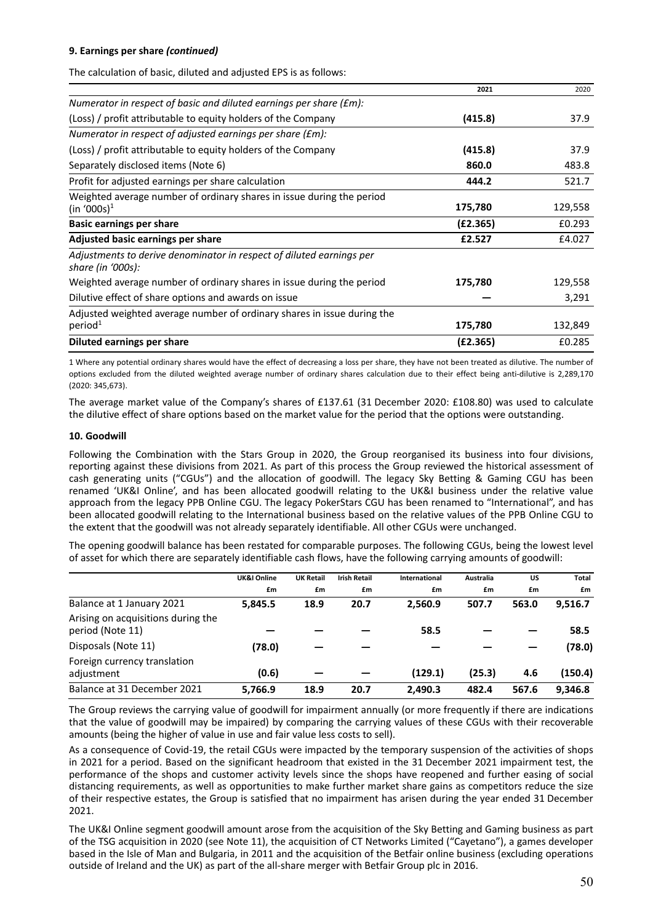# **9. Earnings per share** *(continued)*

The calculation of basic, diluted and adjusted EPS is as follows:

|                                                                                                  | 2021     | 2020    |
|--------------------------------------------------------------------------------------------------|----------|---------|
| Numerator in respect of basic and diluted earnings per share (£m):                               |          |         |
| (Loss) / profit attributable to equity holders of the Company                                    | (415.8)  | 37.9    |
| Numerator in respect of adjusted earnings per share (£m):                                        |          |         |
| (Loss) / profit attributable to equity holders of the Company                                    | (415.8)  | 37.9    |
| Separately disclosed items (Note 6)                                                              | 860.0    | 483.8   |
| Profit for adjusted earnings per share calculation                                               | 444.2    | 521.7   |
| Weighted average number of ordinary shares in issue during the period<br>(in '000s) <sup>1</sup> | 175,780  | 129,558 |
| <b>Basic earnings per share</b>                                                                  | (E2.365) | £0.293  |
| Adjusted basic earnings per share                                                                | £2.527   | £4.027  |
| Adjustments to derive denominator in respect of diluted earnings per<br>share (in '000s):        |          |         |
| Weighted average number of ordinary shares in issue during the period                            | 175,780  | 129,558 |
| Dilutive effect of share options and awards on issue                                             |          | 3,291   |
| Adjusted weighted average number of ordinary shares in issue during the                          |          |         |
| period <sup>1</sup>                                                                              | 175,780  | 132,849 |
| Diluted earnings per share                                                                       | (E2.365) | £0.285  |

1 Where any potential ordinary shares would have the effect of decreasing a loss per share, they have not been treated as dilutive. The number of options excluded from the diluted weighted average number of ordinary shares calculation due to their effect being anti‐dilutive is 2,289,170 (2020: 345,673).

The average market value of the Company's shares of £137.61 (31 December 2020: £108.80) was used to calculate the dilutive effect of share options based on the market value for the period that the options were outstanding.

#### **10. Goodwill**

Following the Combination with the Stars Group in 2020, the Group reorganised its business into four divisions, reporting against these divisions from 2021. As part of this process the Group reviewed the historical assessment of cash generating units ("CGUs") and the allocation of goodwill. The legacy Sky Betting & Gaming CGU has been renamed 'UK&I Online', and has been allocated goodwill relating to the UK&I business under the relative value approach from the legacy PPB Online CGU. The legacy PokerStars CGU has been renamed to "International", and has been allocated goodwill relating to the International business based on the relative values of the PPB Online CGU to the extent that the goodwill was not already separately identifiable. All other CGUs were unchanged.

The opening goodwill balance has been restated for comparable purposes. The following CGUs, being the lowest level of asset for which there are separately identifiable cash flows, have the following carrying amounts of goodwill:

|                                                        | UK&I Online | <b>UK Retail</b> | <b>Irish Retail</b> | International | Australia | US    | Total   |
|--------------------------------------------------------|-------------|------------------|---------------------|---------------|-----------|-------|---------|
|                                                        | £m          | £m               | £m                  | £m            | £m        | £m    | £m      |
| Balance at 1 January 2021                              | 5.845.5     | 18.9             | 20.7                | 2.560.9       | 507.7     | 563.0 | 9,516.7 |
| Arising on acquisitions during the<br>period (Note 11) |             |                  |                     | 58.5          |           |       | 58.5    |
| Disposals (Note 11)                                    | (78.0)      |                  |                     |               |           |       | (78.0)  |
| Foreign currency translation<br>adjustment             | (0.6)       |                  |                     | (129.1)       | (25.3)    | 4.6   | (150.4) |
| Balance at 31 December 2021                            | 5,766.9     | 18.9             | 20.7                | 2,490.3       | 482.4     | 567.6 | 9.346.8 |

The Group reviews the carrying value of goodwill for impairment annually (or more frequently if there are indications that the value of goodwill may be impaired) by comparing the carrying values of these CGUs with their recoverable amounts (being the higher of value in use and fair value less costs to sell).

As a consequence of Covid‐19, the retail CGUs were impacted by the temporary suspension of the activities of shops in 2021 for a period. Based on the significant headroom that existed in the 31 December 2021 impairment test, the performance of the shops and customer activity levels since the shops have reopened and further easing of social distancing requirements, as well as opportunities to make further market share gains as competitors reduce the size of their respective estates, the Group is satisfied that no impairment has arisen during the year ended 31 December 2021.

The UK&I Online segment goodwill amount arose from the acquisition of the Sky Betting and Gaming business as part of the TSG acquisition in 2020 (see Note 11), the acquisition of CT Networks Limited ("Cayetano"), a games developer based in the Isle of Man and Bulgaria, in 2011 and the acquisition of the Betfair online business (excluding operations outside of Ireland and the UK) as part of the all‐share merger with Betfair Group plc in 2016.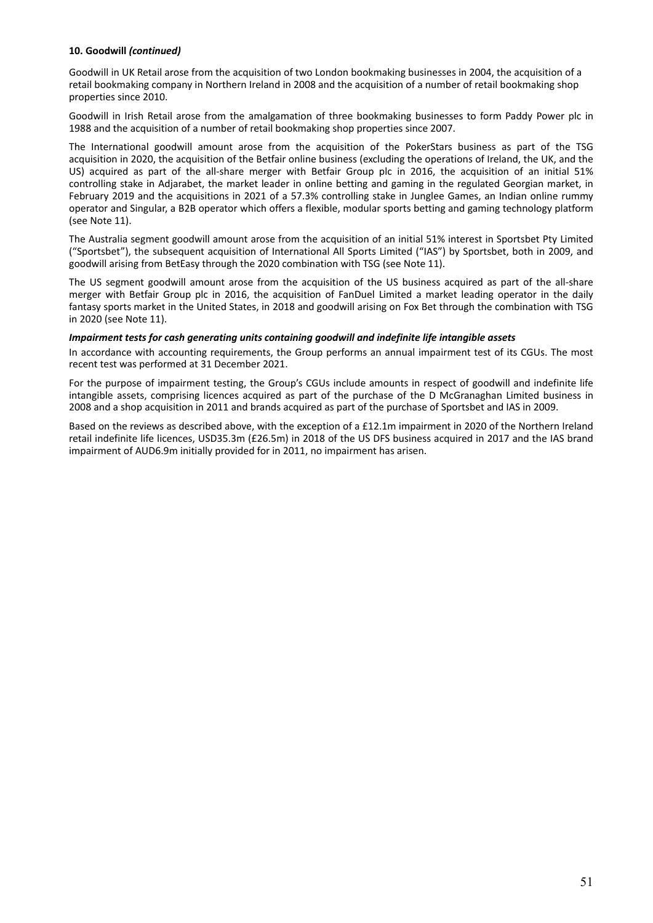#### **10. Goodwill** *(continued)*

Goodwill in UK Retail arose from the acquisition of two London bookmaking businesses in 2004, the acquisition of a retail bookmaking company in Northern Ireland in 2008 and the acquisition of a number of retail bookmaking shop properties since 2010.

Goodwill in Irish Retail arose from the amalgamation of three bookmaking businesses to form Paddy Power plc in 1988 and the acquisition of a number of retail bookmaking shop properties since 2007.

The International goodwill amount arose from the acquisition of the PokerStars business as part of the TSG acquisition in 2020, the acquisition of the Betfair online business (excluding the operations of Ireland, the UK, and the US) acquired as part of the all-share merger with Betfair Group plc in 2016, the acquisition of an initial 51% controlling stake in Adjarabet, the market leader in online betting and gaming in the regulated Georgian market, in February 2019 and the acquisitions in 2021 of a 57.3% controlling stake in Junglee Games, an Indian online rummy operator and Singular, a B2B operator which offers a flexible, modular sports betting and gaming technology platform (see Note 11).

The Australia segment goodwill amount arose from the acquisition of an initial 51% interest in Sportsbet Pty Limited ("Sportsbet"), the subsequent acquisition of International All Sports Limited ("IAS") by Sportsbet, both in 2009, and goodwill arising from BetEasy through the 2020 combination with TSG (see Note 11).

The US segment goodwill amount arose from the acquisition of the US business acquired as part of the all‐share merger with Betfair Group plc in 2016, the acquisition of FanDuel Limited a market leading operator in the daily fantasy sports market in the United States, in 2018 and goodwill arising on Fox Bet through the combination with TSG in 2020 (see Note 11).

#### *Impairment tests for cash generating units containing goodwill and indefinite life intangible assets*

In accordance with accounting requirements, the Group performs an annual impairment test of its CGUs. The most recent test was performed at 31 December 2021.

For the purpose of impairment testing, the Group's CGUs include amounts in respect of goodwill and indefinite life intangible assets, comprising licences acquired as part of the purchase of the D McGranaghan Limited business in 2008 and a shop acquisition in 2011 and brands acquired as part of the purchase of Sportsbet and IAS in 2009.

Based on the reviews as described above, with the exception of a £12.1m impairment in 2020 of the Northern Ireland retail indefinite life licences, USD35.3m (£26.5m) in 2018 of the US DFS business acquired in 2017 and the IAS brand impairment of AUD6.9m initially provided for in 2011, no impairment has arisen.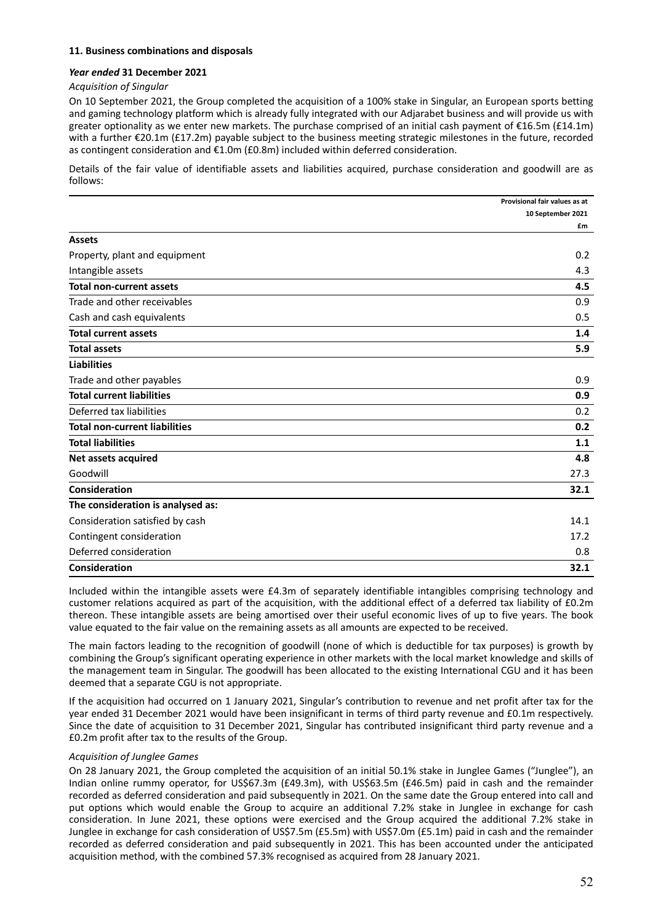#### **11. Business combinations and disposals**

#### *Year ended* **31 December 2021**

#### *Acquisition of Singular*

On 10 September 2021, the Group completed the acquisition of a 100% stake in Singular, an European sports betting and gaming technology platform which is already fully integrated with our Adjarabet business and will provide us with greater optionality as we enter new markets. The purchase comprised of an initial cash payment of €16.5m (£14.1m) with a further €20.1m (£17.2m) payable subject to the business meeting strategic milestones in the future, recorded as contingent consideration and €1.0m (£0.8m) included within deferred consideration.

Details of the fair value of identifiable assets and liabilities acquired, purchase consideration and goodwill are as follows:

|                                      | Provisional fair values as at |
|--------------------------------------|-------------------------------|
|                                      | 10 September 2021             |
|                                      | £m                            |
| <b>Assets</b>                        |                               |
| Property, plant and equipment        | 0.2                           |
| Intangible assets                    | 4.3                           |
| <b>Total non-current assets</b>      | 4.5                           |
| Trade and other receivables          | 0.9                           |
| Cash and cash equivalents            | 0.5                           |
| <b>Total current assets</b>          | 1.4                           |
| <b>Total assets</b>                  | 5.9                           |
| <b>Liabilities</b>                   |                               |
| Trade and other payables             | 0.9                           |
| <b>Total current liabilities</b>     | 0.9                           |
| Deferred tax liabilities             | 0.2                           |
| <b>Total non-current liabilities</b> | 0.2                           |
| <b>Total liabilities</b>             | 1.1                           |
| Net assets acquired                  | 4.8                           |
| Goodwill                             | 27.3                          |
| Consideration                        | 32.1                          |
| The consideration is analysed as:    |                               |
| Consideration satisfied by cash      | 14.1                          |
| Contingent consideration             | 17.2                          |
| Deferred consideration               | 0.8                           |
| Consideration                        | 32.1                          |

Included within the intangible assets were £4.3m of separately identifiable intangibles comprising technology and customer relations acquired as part of the acquisition, with the additional effect of a deferred tax liability of £0.2m thereon. These intangible assets are being amortised over their useful economic lives of up to five years. The book value equated to the fair value on the remaining assets as all amounts are expected to be received.

The main factors leading to the recognition of goodwill (none of which is deductible for tax purposes) is growth by combining the Group's significant operating experience in other markets with the local market knowledge and skills of the management team in Singular. The goodwill has been allocated to the existing International CGU and it has been deemed that a separate CGU is not appropriate.

If the acquisition had occurred on 1 January 2021, Singular's contribution to revenue and net profit after tax for the year ended 31 December 2021 would have been insignificant in terms of third party revenue and £0.1m respectively. Since the date of acquisition to 31 December 2021, Singular has contributed insignificant third party revenue and a £0.2m profit after tax to the results of the Group.

#### *Acquisition of Junglee Games*

On 28 January 2021, the Group completed the acquisition of an initial 50.1% stake in Junglee Games ("Junglee"), an Indian online rummy operator, for US\$67.3m (£49.3m), with US\$63.5m (£46.5m) paid in cash and the remainder recorded as deferred consideration and paid subsequently in 2021. On the same date the Group entered into call and put options which would enable the Group to acquire an additional 7.2% stake in Junglee in exchange for cash consideration. In June 2021, these options were exercised and the Group acquired the additional 7.2% stake in Junglee in exchange for cash consideration of US\$7.5m (£5.5m) with US\$7.0m (£5.1m) paid in cash and the remainder recorded as deferred consideration and paid subsequently in 2021. This has been accounted under the anticipated acquisition method, with the combined 57.3% recognised as acquired from 28 January 2021.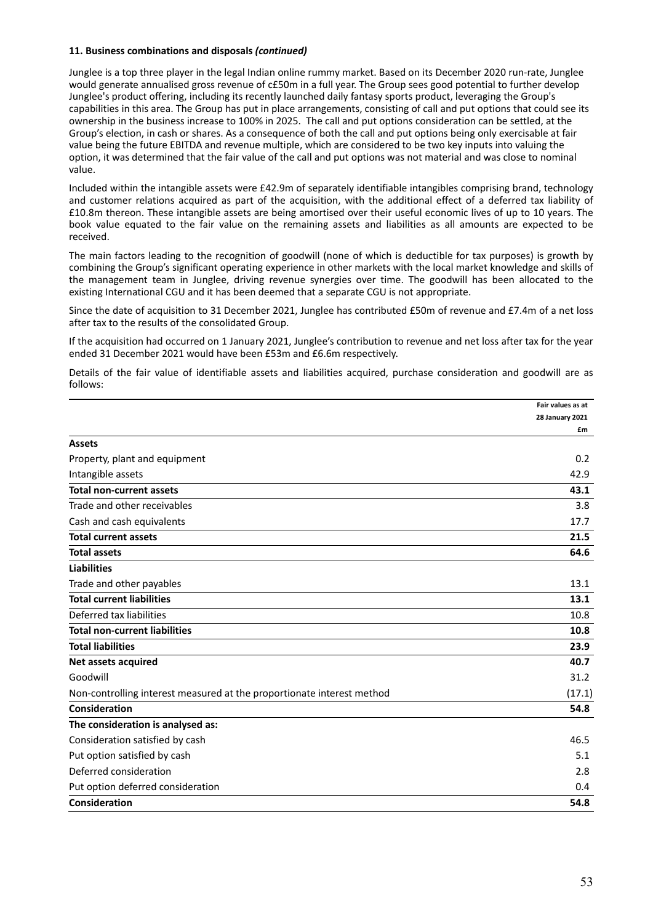Junglee is a top three player in the legal Indian online rummy market. Based on its December 2020 run‐rate, Junglee would generate annualised gross revenue of c£50m in a full year. The Group sees good potential to further develop Junglee's product offering, including its recently launched daily fantasy sports product, leveraging the Group's capabilities in this area. The Group has put in place arrangements, consisting of call and put options that could see its ownership in the business increase to 100% in 2025. The call and put options consideration can be settled, at the Group's election, in cash or shares. As a consequence of both the call and put options being only exercisable at fair value being the future EBITDA and revenue multiple, which are considered to be two key inputs into valuing the option, it was determined that the fair value of the call and put options was not material and was close to nominal value.

Included within the intangible assets were £42.9m of separately identifiable intangibles comprising brand, technology and customer relations acquired as part of the acquisition, with the additional effect of a deferred tax liability of £10.8m thereon. These intangible assets are being amortised over their useful economic lives of up to 10 years. The book value equated to the fair value on the remaining assets and liabilities as all amounts are expected to be received.

The main factors leading to the recognition of goodwill (none of which is deductible for tax purposes) is growth by combining the Group's significant operating experience in other markets with the local market knowledge and skills of the management team in Junglee, driving revenue synergies over time. The goodwill has been allocated to the existing International CGU and it has been deemed that a separate CGU is not appropriate.

Since the date of acquisition to 31 December 2021, Junglee has contributed £50m of revenue and £7.4m of a net loss after tax to the results of the consolidated Group.

If the acquisition had occurred on 1 January 2021, Junglee's contribution to revenue and net loss after tax for the year ended 31 December 2021 would have been £53m and £6.6m respectively.

Details of the fair value of identifiable assets and liabilities acquired, purchase consideration and goodwill are as follows:

|                                                                        | Fair values as at      |
|------------------------------------------------------------------------|------------------------|
|                                                                        | <b>28 January 2021</b> |
|                                                                        | £m                     |
| <b>Assets</b>                                                          |                        |
| Property, plant and equipment                                          | 0.2                    |
| Intangible assets                                                      | 42.9                   |
| <b>Total non-current assets</b>                                        | 43.1                   |
| Trade and other receivables                                            | 3.8                    |
| Cash and cash equivalents                                              | 17.7                   |
| <b>Total current assets</b>                                            | 21.5                   |
| <b>Total assets</b>                                                    | 64.6                   |
| <b>Liabilities</b>                                                     |                        |
| Trade and other payables                                               | 13.1                   |
| <b>Total current liabilities</b>                                       | 13.1                   |
| Deferred tax liabilities                                               | 10.8                   |
| <b>Total non-current liabilities</b>                                   | 10.8                   |
| <b>Total liabilities</b>                                               | 23.9                   |
| Net assets acquired                                                    | 40.7                   |
| Goodwill                                                               | 31.2                   |
| Non-controlling interest measured at the proportionate interest method | (17.1)                 |
| Consideration                                                          | 54.8                   |
| The consideration is analysed as:                                      |                        |
| Consideration satisfied by cash                                        | 46.5                   |
| Put option satisfied by cash                                           | 5.1                    |
| Deferred consideration                                                 | 2.8                    |
| Put option deferred consideration                                      | 0.4                    |
| Consideration                                                          | 54.8                   |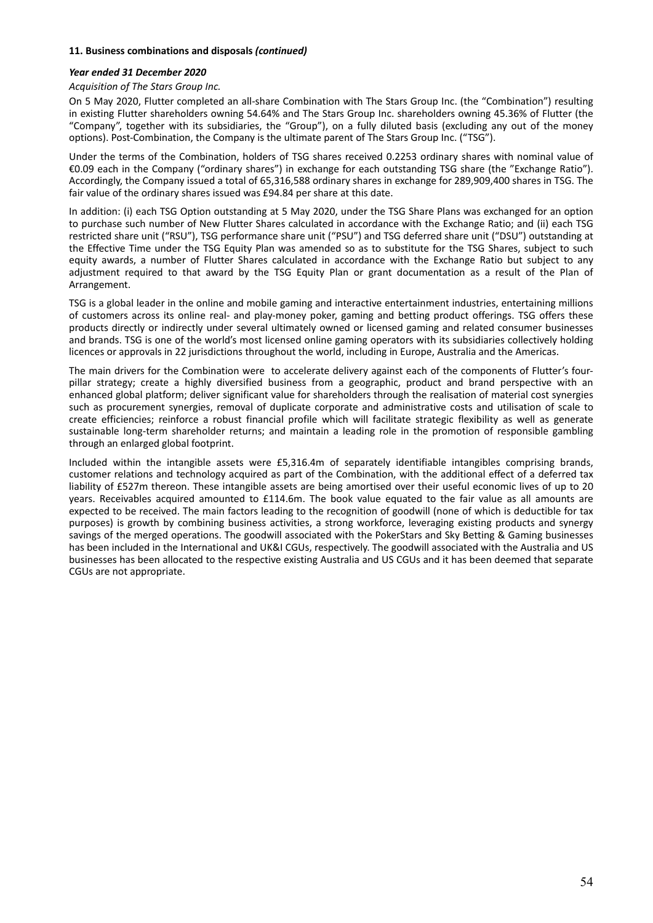#### *Year ended 31 December 2020*

#### *Acquisition of The Stars Group Inc.*

On 5 May 2020, Flutter completed an all‐share Combination with The Stars Group Inc. (the "Combination") resulting in existing Flutter shareholders owning 54.64% and The Stars Group Inc. shareholders owning 45.36% of Flutter (the "Company", together with its subsidiaries, the "Group"), on a fully diluted basis (excluding any out of the money options). Post-Combination, the Company is the ultimate parent of The Stars Group Inc. ("TSG").

Under the terms of the Combination, holders of TSG shares received 0.2253 ordinary shares with nominal value of €0.09 each in the Company ("ordinary shares") in exchange for each outstanding TSG share (the "Exchange Ratio"). Accordingly, the Company issued a total of 65,316,588 ordinary shares in exchange for 289,909,400 shares in TSG. The fair value of the ordinary shares issued was £94.84 per share at this date.

In addition: (i) each TSG Option outstanding at 5 May 2020, under the TSG Share Plans was exchanged for an option to purchase such number of New Flutter Shares calculated in accordance with the Exchange Ratio; and (ii) each TSG restricted share unit ("RSU"), TSG performance share unit ("PSU") and TSG deferred share unit ("DSU") outstanding at the Effective Time under the TSG Equity Plan was amended so as to substitute for the TSG Shares, subject to such equity awards, a number of Flutter Shares calculated in accordance with the Exchange Ratio but subject to any adjustment required to that award by the TSG Equity Plan or grant documentation as a result of the Plan of Arrangement.

TSG is a global leader in the online and mobile gaming and interactive entertainment industries, entertaining millions of customers across its online real‐ and play‐money poker, gaming and betting product offerings. TSG offers these products directly or indirectly under several ultimately owned or licensed gaming and related consumer businesses and brands. TSG is one of the world's most licensed online gaming operators with its subsidiaries collectively holding licences or approvals in 22 jurisdictions throughout the world, including in Europe, Australia and the Americas.

The main drivers for the Combination were to accelerate delivery against each of the components of Flutter's fourpillar strategy; create a highly diversified business from a geographic, product and brand perspective with an enhanced global platform; deliver significant value for shareholders through the realisation of material cost synergies such as procurement synergies, removal of duplicate corporate and administrative costs and utilisation of scale to create efficiencies; reinforce a robust financial profile which will facilitate strategic flexibility as well as generate sustainable long‐term shareholder returns; and maintain a leading role in the promotion of responsible gambling through an enlarged global footprint.

Included within the intangible assets were £5,316.4m of separately identifiable intangibles comprising brands, customer relations and technology acquired as part of the Combination, with the additional effect of a deferred tax liability of £527m thereon. These intangible assets are being amortised over their useful economic lives of up to 20 years. Receivables acquired amounted to £114.6m. The book value equated to the fair value as all amounts are expected to be received. The main factors leading to the recognition of goodwill (none of which is deductible for tax purposes) is growth by combining business activities, a strong workforce, leveraging existing products and synergy savings of the merged operations. The goodwill associated with the PokerStars and Sky Betting & Gaming businesses has been included in the International and UK&I CGUs, respectively. The goodwill associated with the Australia and US businesses has been allocated to the respective existing Australia and US CGUs and it has been deemed that separate CGUs are not appropriate.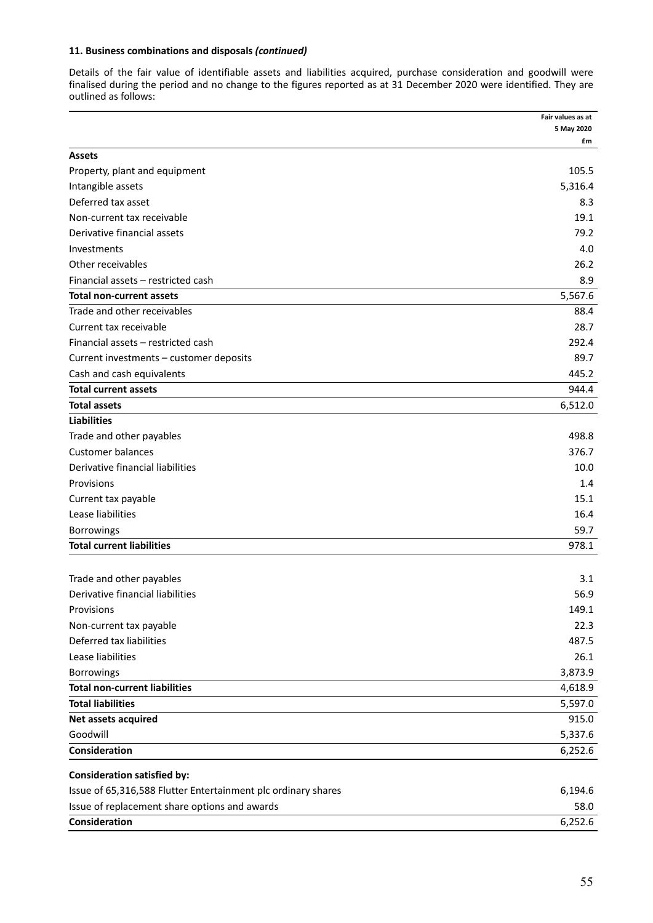Details of the fair value of identifiable assets and liabilities acquired, purchase consideration and goodwill were finalised during the period and no change to the figures reported as at 31 December 2020 were identified. They are outlined as follows:

|                                                               | Fair values as at |
|---------------------------------------------------------------|-------------------|
|                                                               | 5 May 2020        |
| <b>Assets</b>                                                 | £m                |
| Property, plant and equipment                                 | 105.5             |
| Intangible assets                                             | 5,316.4           |
| Deferred tax asset                                            | 8.3               |
| Non-current tax receivable                                    | 19.1              |
| Derivative financial assets                                   | 79.2              |
|                                                               | 4.0               |
| Investments<br>Other receivables                              | 26.2              |
| Financial assets - restricted cash                            | 8.9               |
|                                                               |                   |
| Total non-current assets                                      | 5,567.6           |
| Trade and other receivables                                   | 88.4              |
| Current tax receivable                                        | 28.7              |
| Financial assets - restricted cash                            | 292.4             |
| Current investments – customer deposits                       | 89.7              |
| Cash and cash equivalents                                     | 445.2             |
| Total current assets                                          | 944.4             |
| <b>Total assets</b>                                           | 6,512.0           |
| <b>Liabilities</b>                                            |                   |
| Trade and other payables                                      | 498.8             |
| <b>Customer balances</b>                                      | 376.7             |
| Derivative financial liabilities                              | 10.0              |
| Provisions                                                    | 1.4               |
| Current tax payable                                           | 15.1              |
| Lease liabilities                                             | 16.4              |
| Borrowings                                                    | 59.7              |
| <b>Total current liabilities</b>                              | 978.1             |
|                                                               |                   |
| Trade and other payables                                      | 3.1               |
| Derivative financial liabilities                              | 56.9              |
| Provisions                                                    | 149.1             |
| Non-current tax payable                                       | 22.3              |
| Deferred tax liabilities                                      | 487.5             |
| Lease liabilities                                             | 26.1              |
| <b>Borrowings</b>                                             | 3,873.9           |
| <b>Total non-current liabilities</b>                          | 4,618.9           |
| <b>Total liabilities</b>                                      | 5,597.0           |
| Net assets acquired                                           | 915.0             |
| Goodwill                                                      | 5,337.6           |
| Consideration                                                 | 6,252.6           |
| <b>Consideration satisfied by:</b>                            |                   |
| Issue of 65,316,588 Flutter Entertainment plc ordinary shares | 6,194.6           |
| Issue of replacement share options and awards                 | 58.0              |
| Consideration                                                 | 6,252.6           |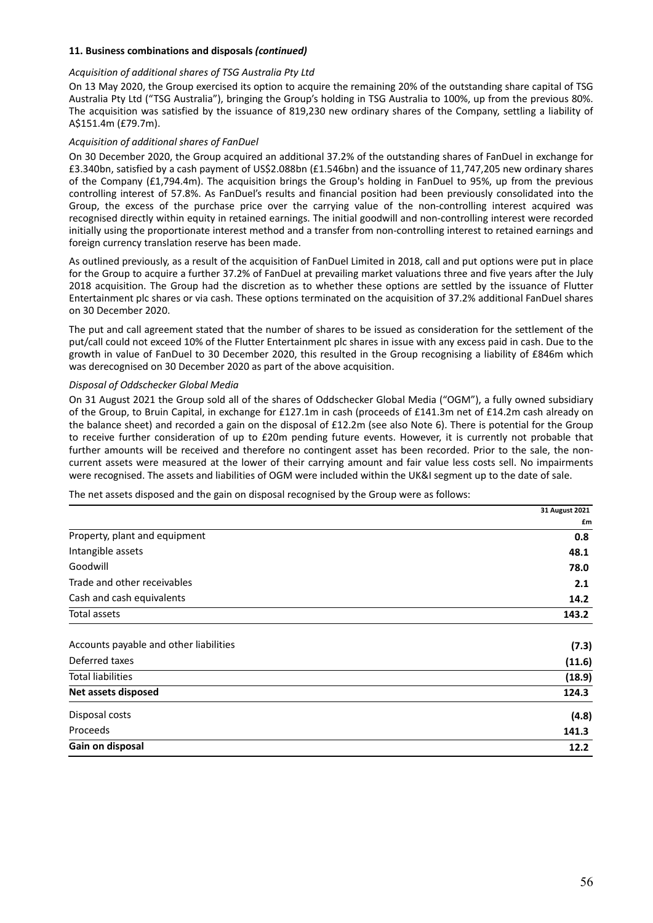#### *Acquisition of additional shares of TSG Australia Pty Ltd*

On 13 May 2020, the Group exercised its option to acquire the remaining 20% of the outstanding share capital of TSG Australia Pty Ltd ("TSG Australia"), bringing the Group's holding in TSG Australia to 100%, up from the previous 80%. The acquisition was satisfied by the issuance of 819,230 new ordinary shares of the Company, settling a liability of A\$151.4m (£79.7m).

#### *Acquisition of additional shares of FanDuel*

On 30 December 2020, the Group acquired an additional 37.2% of the outstanding shares of FanDuel in exchange for £3.340bn, satisfied by a cash payment of US\$2.088bn (£1.546bn) and the issuance of 11,747,205 new ordinary shares of the Company (£1,794.4m). The acquisition brings the Group's holding in FanDuel to 95%, up from the previous controlling interest of 57.8%. As FanDuel's results and financial position had been previously consolidated into the Group, the excess of the purchase price over the carrying value of the non-controlling interest acquired was recognised directly within equity in retained earnings. The initial goodwill and non‐controlling interest were recorded initially using the proportionate interest method and a transfer from non‐controlling interest to retained earnings and foreign currency translation reserve has been made.

As outlined previously, as a result of the acquisition of FanDuel Limited in 2018, call and put options were put in place for the Group to acquire a further 37.2% of FanDuel at prevailing market valuations three and five years after the July 2018 acquisition. The Group had the discretion as to whether these options are settled by the issuance of Flutter Entertainment plc shares or via cash. These options terminated on the acquisition of 37.2% additional FanDuel shares on 30 December 2020.

The put and call agreement stated that the number of shares to be issued as consideration for the settlement of the put/call could not exceed 10% of the Flutter Entertainment plc shares in issue with any excess paid in cash. Due to the growth in value of FanDuel to 30 December 2020, this resulted in the Group recognising a liability of £846m which was derecognised on 30 December 2020 as part of the above acquisition.

#### *Disposal of Oddschecker Global Media*

On 31 August 2021 the Group sold all of the shares of Oddschecker Global Media ("OGM"), a fully owned subsidiary of the Group, to Bruin Capital, in exchange for £127.1m in cash (proceeds of £141.3m net of £14.2m cash already on the balance sheet) and recorded a gain on the disposal of £12.2m (see also Note 6). There is potential for the Group to receive further consideration of up to £20m pending future events. However, it is currently not probable that further amounts will be received and therefore no contingent asset has been recorded. Prior to the sale, the noncurrent assets were measured at the lower of their carrying amount and fair value less costs sell. No impairments were recognised. The assets and liabilities of OGM were included within the UK&I segment up to the date of sale.

The net assets disposed and the gain on disposal recognised by the Group were as follows:

|                                        | 31 August 2021 |
|----------------------------------------|----------------|
|                                        | £m             |
| Property, plant and equipment          | 0.8            |
| Intangible assets                      | 48.1           |
| Goodwill                               | 78.0           |
| Trade and other receivables            | 2.1            |
| Cash and cash equivalents              | 14.2           |
| Total assets                           | 143.2          |
| Accounts payable and other liabilities | (7.3)          |
| Deferred taxes                         | (11.6)         |
| <b>Total liabilities</b>               | (18.9)         |
| Net assets disposed                    | 124.3          |
| Disposal costs                         | (4.8)          |
| Proceeds                               | 141.3          |
| Gain on disposal                       | 12.2           |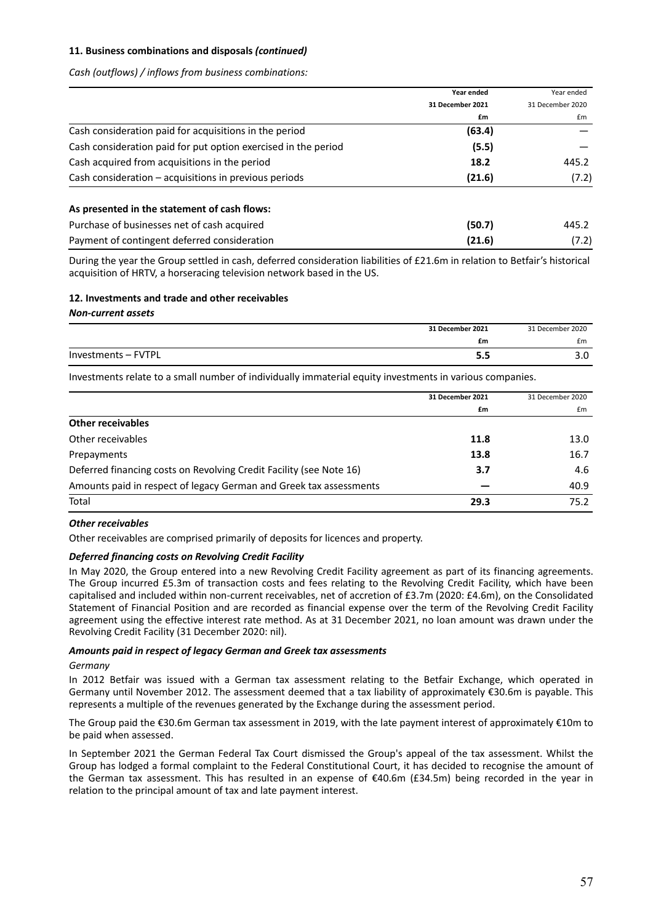*Cash (outflows) / inflows from business combinations:*

|                                                                | Year ended       | Year ended       |
|----------------------------------------------------------------|------------------|------------------|
|                                                                | 31 December 2021 | 31 December 2020 |
|                                                                | £m               | £m               |
| Cash consideration paid for acquisitions in the period         | (63.4)           |                  |
| Cash consideration paid for put option exercised in the period | (5.5)            |                  |
| Cash acquired from acquisitions in the period                  | 18.2             | 445.2            |
| Cash consideration - acquisitions in previous periods          | (21.6)           | (7.2)            |
| As presented in the statement of cash flows:                   |                  |                  |
| Purchase of businesses net of cash acquired                    | (50.7)           | 445.2            |
| Payment of contingent deferred consideration                   | (21.6)           | (7.2)            |

During the year the Group settled in cash, deferred consideration liabilities of £21.6m in relation to Betfair's historical acquisition of HRTV, a horseracing television network based in the US.

# **12. Investments and trade and other receivables**

*Non‐current assets*

|                     | 31 December 2021 | 31 December 2020 |
|---------------------|------------------|------------------|
|                     | £m               | £m               |
| Investments - FVTPL | J.J              | J.U              |

Investments relate to a small number of individually immaterial equity investments in various companies.

|                                                                     | 31 December 2021 | 31 December 2020 |
|---------------------------------------------------------------------|------------------|------------------|
|                                                                     | £m               | £m               |
| <b>Other receivables</b>                                            |                  |                  |
| Other receivables                                                   | 11.8             | 13.0             |
| Prepayments                                                         | 13.8             | 16.7             |
| Deferred financing costs on Revolving Credit Facility (see Note 16) | 3.7              | 4.6              |
| Amounts paid in respect of legacy German and Greek tax assessments  |                  | 40.9             |
| Total                                                               | 29.3             | 75.2             |

#### *Other receivables*

Other receivables are comprised primarily of deposits for licences and property.

#### *Deferred financing costs on Revolving Credit Facility*

In May 2020, the Group entered into a new Revolving Credit Facility agreement as part of its financing agreements. The Group incurred £5.3m of transaction costs and fees relating to the Revolving Credit Facility, which have been capitalised and included within non-current receivables, net of accretion of £3.7m (2020: £4.6m), on the Consolidated Statement of Financial Position and are recorded as financial expense over the term of the Revolving Credit Facility agreement using the effective interest rate method. As at 31 December 2021, no loan amount was drawn under the Revolving Credit Facility (31 December 2020: nil).

#### *Amounts paid in respect of legacy German and Greek tax assessments*

#### *Germany*

In 2012 Betfair was issued with a German tax assessment relating to the Betfair Exchange, which operated in Germany until November 2012. The assessment deemed that a tax liability of approximately €30.6m is payable. This represents a multiple of the revenues generated by the Exchange during the assessment period.

The Group paid the €30.6m German tax assessment in 2019, with the late payment interest of approximately €10m to be paid when assessed.

In September 2021 the German Federal Tax Court dismissed the Group's appeal of the tax assessment. Whilst the Group has lodged a formal complaint to the Federal Constitutional Court, it has decided to recognise the amount of the German tax assessment. This has resulted in an expense of €40.6m (£34.5m) being recorded in the year in relation to the principal amount of tax and late payment interest.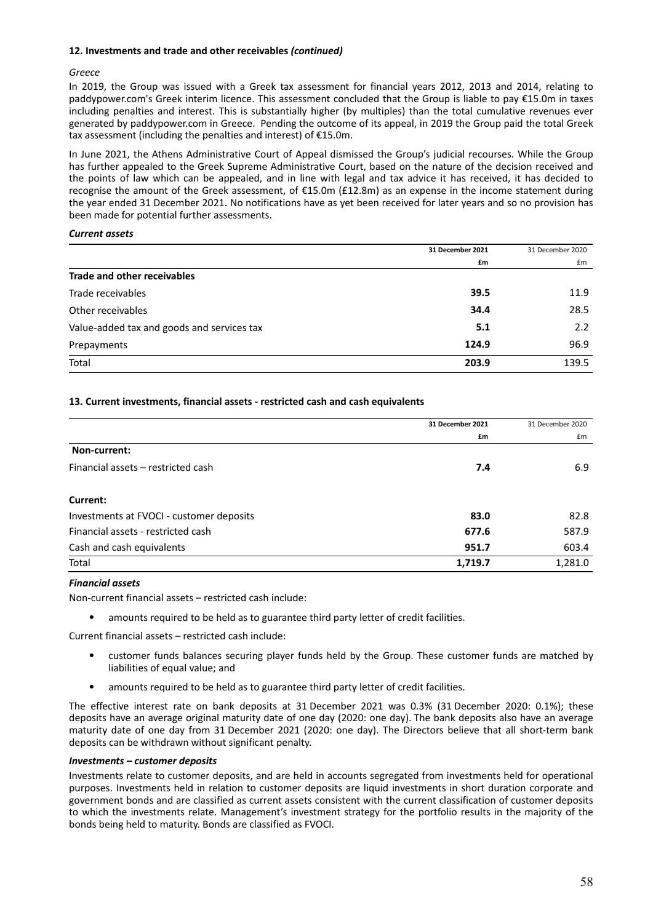#### **12. Investments and trade and other receivables** *(continued)*

#### *Greece*

In 2019, the Group was issued with a Greek tax assessment for financial years 2012, 2013 and 2014, relating to paddypower.com's Greek interim licence. This assessment concluded that the Group is liable to pay €15.0m in taxes including penalties and interest. This is substantially higher (by multiples) than the total cumulative revenues ever generated by paddypower.com in Greece. Pending the outcome of its appeal, in 2019 the Group paid the total Greek tax assessment (including the penalties and interest) of €15.0m.

In June 2021, the Athens Administrative Court of Appeal dismissed the Group's judicial recourses. While the Group has further appealed to the Greek Supreme Administrative Court, based on the nature of the decision received and the points of law which can be appealed, and in line with legal and tax advice it has received, it has decided to recognise the amount of the Greek assessment, of €15.0m (£12.8m) as an expense in the income statement during the year ended 31 December 2021. No notifications have as yet been received for later years and so no provision has been made for potential further assessments.

#### *Current assets*

|                                            | 31 December 2021 | 31 December 2020 |
|--------------------------------------------|------------------|------------------|
|                                            | £m               | £m               |
| Trade and other receivables                |                  |                  |
| Trade receivables                          | 39.5             | 11.9             |
| Other receivables                          | 34.4             | 28.5             |
| Value-added tax and goods and services tax | 5.1              | 2.2              |
| Prepayments                                | 124.9            | 96.9             |
| Total                                      | 203.9            | 139.5            |

#### **13. Current investments, financial assets ‐ restricted cash and cash equivalents**

|                                          | 31 December 2021 | 31 December 2020 |
|------------------------------------------|------------------|------------------|
|                                          | £m               | £m               |
| Non-current:                             |                  |                  |
| Financial assets – restricted cash       | 7.4              | 6.9              |
| Current:                                 |                  |                  |
| Investments at FVOCI - customer deposits | 83.0             | 82.8             |
| Financial assets - restricted cash       | 677.6            | 587.9            |
| Cash and cash equivalents                | 951.7            | 603.4            |
| Total                                    | 1,719.7          | 1,281.0          |

#### *Financial assets*

Non‐current financial assets – restricted cash include:

• amounts required to be held as to guarantee third party letter of credit facilities.

Current financial assets – restricted cash include:

- customer funds balances securing player funds held by the Group. These customer funds are matched by liabilities of equal value; and
- amounts required to be held as to guarantee third party letter of credit facilities.

The effective interest rate on bank deposits at 31 December 2021 was 0.3% (31 December 2020: 0.1%); these deposits have an average original maturity date of one day (2020: one day). The bank deposits also have an average maturity date of one day from 31 December 2021 (2020: one day). The Directors believe that all short‐term bank deposits can be withdrawn without significant penalty.

#### *Investments – customer deposits*

Investments relate to customer deposits, and are held in accounts segregated from investments held for operational purposes. Investments held in relation to customer deposits are liquid investments in short duration corporate and government bonds and are classified as current assets consistent with the current classification of customer deposits to which the investments relate. Management's investment strategy for the portfolio results in the majority of the bonds being held to maturity. Bonds are classified as FVOCI.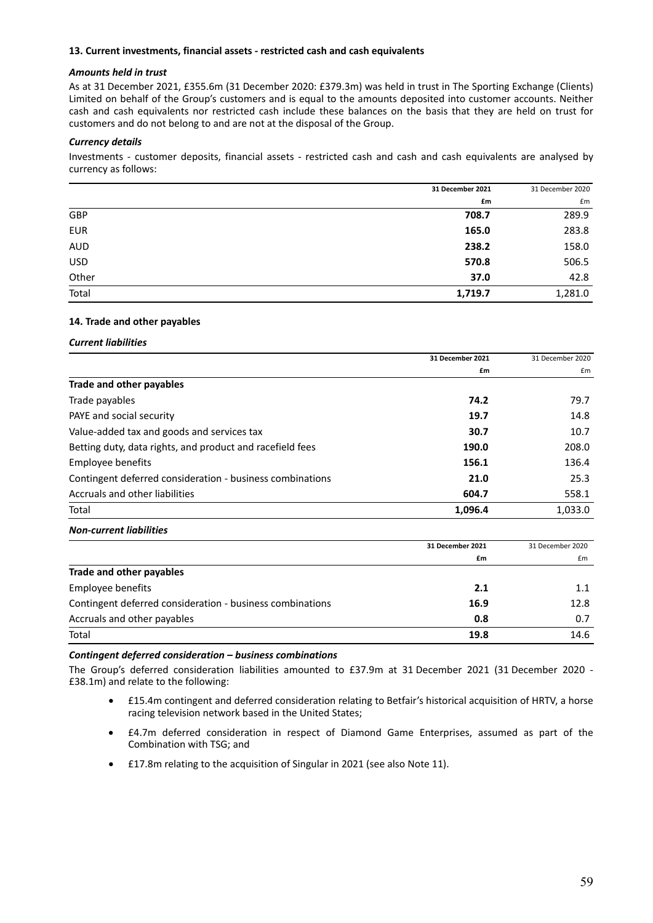#### **13. Current investments, financial assets ‐ restricted cash and cash equivalents**

#### *Amounts held in trust*

As at 31 December 2021, £355.6m (31 December 2020: £379.3m) was held in trust in The Sporting Exchange (Clients) Limited on behalf of the Group's customers and is equal to the amounts deposited into customer accounts. Neither cash and cash equivalents nor restricted cash include these balances on the basis that they are held on trust for customers and do not belong to and are not at the disposal of the Group.

#### *Currency details*

Investments - customer deposits, financial assets - restricted cash and cash and cash equivalents are analysed by currency as follows:

|            | 31 December 2021 | 31 December 2020 |
|------------|------------------|------------------|
|            | £m               | £m               |
| GBP        | 708.7            | 289.9            |
| <b>EUR</b> | 165.0            | 283.8            |
| <b>AUD</b> | 238.2            | 158.0            |
| <b>USD</b> | 570.8            | 506.5            |
| Other      | 37.0             | 42.8             |
| Total      | 1,719.7          | 1,281.0          |

#### **14. Trade and other payables**

*Current liabilities*

|                                                           | 31 December 2021 | 31 December 2020 |
|-----------------------------------------------------------|------------------|------------------|
|                                                           | £m               | £m               |
| Trade and other payables                                  |                  |                  |
| Trade payables                                            | 74.2             | 79.7             |
| PAYE and social security                                  | 19.7             | 14.8             |
| Value-added tax and goods and services tax                | 30.7             | 10.7             |
| Betting duty, data rights, and product and racefield fees | 190.0            | 208.0            |
| Employee benefits                                         | 156.1            | 136.4            |
| Contingent deferred consideration - business combinations | 21.0             | 25.3             |
| Accruals and other liabilities                            | 604.7            | 558.1            |
| Total                                                     | 1,096.4          | 1,033.0          |

#### *Non‐current liabilities*

|                                                           | 31 December 2021 | 31 December 2020 |
|-----------------------------------------------------------|------------------|------------------|
|                                                           | £m               | £m               |
| Trade and other payables                                  |                  |                  |
| Employee benefits                                         | 2.1              | 1.1              |
| Contingent deferred consideration - business combinations | 16.9             | 12.8             |
| Accruals and other payables                               | 0.8              | 0.7              |
| Total                                                     | 19.8             | 14.6             |

#### *Contingent deferred consideration – business combinations*

The Group's deferred consideration liabilities amounted to £37.9m at 31 December 2021 (31 December 2020 -£38.1m) and relate to the following:

- £15.4m contingent and deferred consideration relating to Betfair's historical acquisition of HRTV, a horse racing television network based in the United States;
- £4.7m deferred consideration in respect of Diamond Game Enterprises, assumed as part of the Combination with TSG; and
- £17.8m relating to the acquisition of Singular in 2021 (see also Note 11).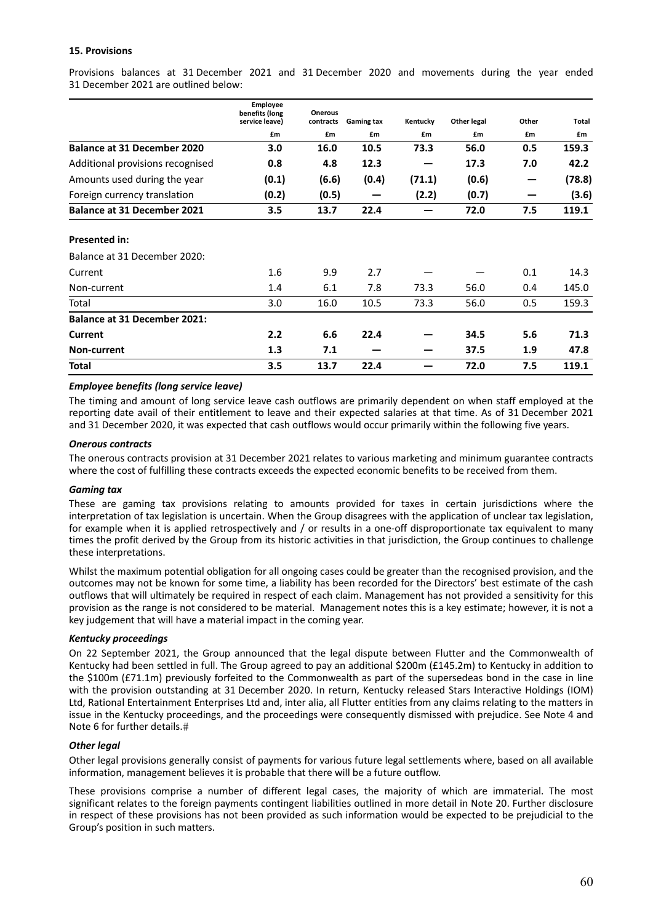#### **15. Provisions**

Provisions balances at 31 December 2021 and 31 December 2020 and movements during the year ended 31 December 2021 are outlined below:

|                                     | <b>Employee</b><br>benefits (long<br>service leave) | <b>Onerous</b><br>contracts | <b>Gaming tax</b> | Kentucky | <b>Other legal</b> | Other | Total  |
|-------------------------------------|-----------------------------------------------------|-----------------------------|-------------------|----------|--------------------|-------|--------|
|                                     | £m                                                  | £m                          | £m                | £m       | £m                 | £m    | £m     |
| <b>Balance at 31 December 2020</b>  | 3.0                                                 | 16.0                        | 10.5              | 73.3     | 56.0               | 0.5   | 159.3  |
| Additional provisions recognised    | 0.8                                                 | 4.8                         | 12.3              |          | 17.3               | 7.0   | 42.2   |
| Amounts used during the year        | (0.1)                                               | (6.6)                       | (0.4)             | (71.1)   | (0.6)              |       | (78.8) |
| Foreign currency translation        | (0.2)                                               | (0.5)                       |                   | (2.2)    | (0.7)              |       | (3.6)  |
| <b>Balance at 31 December 2021</b>  | 3.5                                                 | 13.7                        | 22.4              |          | 72.0               | 7.5   | 119.1  |
| <b>Presented in:</b>                |                                                     |                             |                   |          |                    |       |        |
| Balance at 31 December 2020:        |                                                     |                             |                   |          |                    |       |        |
| Current                             | 1.6                                                 | 9.9                         | 2.7               |          |                    | 0.1   | 14.3   |
| Non-current                         | 1.4                                                 | 6.1                         | 7.8               | 73.3     | 56.0               | 0.4   | 145.0  |
| Total                               | 3.0                                                 | 16.0                        | 10.5              | 73.3     | 56.0               | 0.5   | 159.3  |
| <b>Balance at 31 December 2021:</b> |                                                     |                             |                   |          |                    |       |        |
| <b>Current</b>                      | 2.2                                                 | 6.6                         | 22.4              |          | 34.5               | 5.6   | 71.3   |
| <b>Non-current</b>                  | 1.3                                                 | 7.1                         |                   |          | 37.5               | 1.9   | 47.8   |
| Total                               | 3.5                                                 | 13.7                        | 22.4              |          | 72.0               | 7.5   | 119.1  |

#### *Employee benefits (long service leave)*

The timing and amount of long service leave cash outflows are primarily dependent on when staff employed at the reporting date avail of their entitlement to leave and their expected salaries at that time. As of 31 December 2021 and 31 December 2020, it was expected that cash outflows would occur primarily within the following five years.

#### *Onerous contracts*

The onerous contracts provision at 31 December 2021 relates to various marketing and minimum guarantee contracts where the cost of fulfilling these contracts exceeds the expected economic benefits to be received from them.

#### *Gaming tax*

These are gaming tax provisions relating to amounts provided for taxes in certain jurisdictions where the interpretation of tax legislation is uncertain. When the Group disagrees with the application of unclear tax legislation, for example when it is applied retrospectively and / or results in a one-off disproportionate tax equivalent to many times the profit derived by the Group from its historic activities in that jurisdiction, the Group continues to challenge these interpretations.

Whilst the maximum potential obligation for all ongoing cases could be greater than the recognised provision, and the outcomes may not be known for some time, a liability has been recorded for the Directors' best estimate of the cash outflows that will ultimately be required in respect of each claim. Management has not provided a sensitivity for this provision as the range is not considered to be material. Management notes this is a key estimate; however, it is not a key judgement that will have a material impact in the coming year.

#### *Kentucky proceedings*

On 22 September 2021, the Group announced that the legal dispute between Flutter and the Commonwealth of Kentucky had been settled in full. The Group agreed to pay an additional \$200m (£145.2m) to Kentucky in addition to the \$100m (£71.1m) previously forfeited to the Commonwealth as part of the supersedeas bond in the case in line with the provision outstanding at 31 December 2020. In return, Kentucky released Stars Interactive Holdings (IOM) Ltd, Rational Entertainment Enterprises Ltd and, inter alia, all Flutter entities from any claims relating to the matters in issue in the Kentucky proceedings, and the proceedings were consequently dismissed with prejudice. See Note 4 and Note 6 for further details.

#### *Other legal*

Other legal provisions generally consist of payments for various future legal settlements where, based on all available information, management believes it is probable that there will be a future outflow.

These provisions comprise a number of different legal cases, the majority of which are immaterial. The most significant relates to the foreign payments contingent liabilities outlined in more detail in Note 20. Further disclosure in respect of these provisions has not been provided as such information would be expected to be prejudicial to the Group's position in such matters.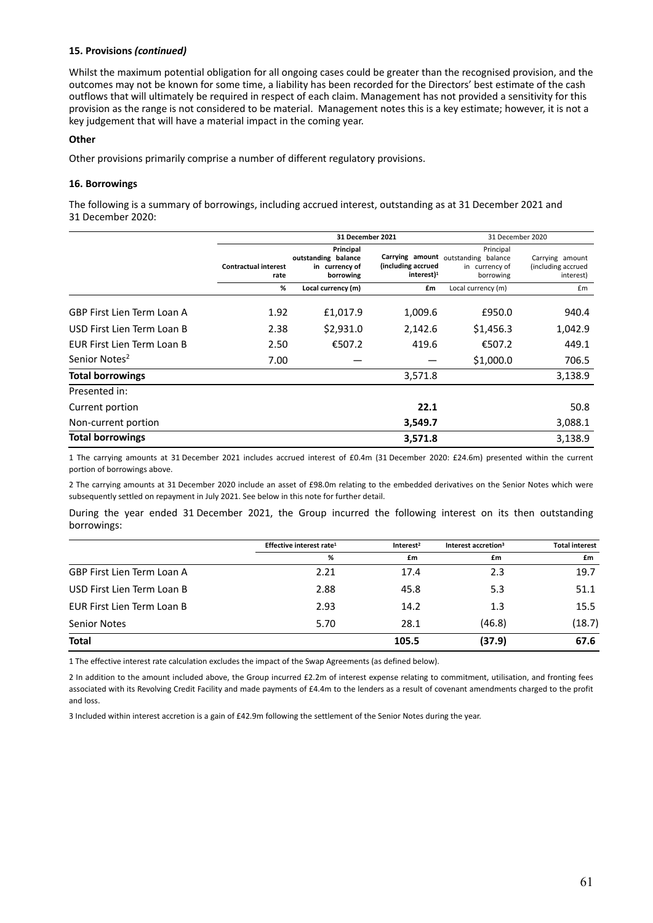#### **15. Provisions** *(continued)*

Whilst the maximum potential obligation for all ongoing cases could be greater than the recognised provision, and the outcomes may not be known for some time, a liability has been recorded for the Directors' best estimate of the cash outflows that will ultimately be required in respect of each claim. Management has not provided a sensitivity for this provision as the range is not considered to be material. Management notes this is a key estimate; however, it is not a key judgement that will have a material impact in the coming year.

#### **Other**

Other provisions primarily comprise a number of different regulatory provisions.

#### **16. Borrowings**

The following is a summary of borrowings, including accrued interest, outstanding as at 31 December 2021 and 31 December 2020:

|                                   |                                     | 31 December 2021                                                | 31 December 2020                              |                                                                                 |                                                    |
|-----------------------------------|-------------------------------------|-----------------------------------------------------------------|-----------------------------------------------|---------------------------------------------------------------------------------|----------------------------------------------------|
|                                   | <b>Contractual interest</b><br>rate | Principal<br>outstanding balance<br>in currency of<br>borrowing | (including accrued<br>$interest$ <sup>1</sup> | Principal<br>Carrying amount outstanding balance<br>in currency of<br>borrowing | Carrying amount<br>(including accrued<br>interest) |
|                                   | %                                   | Local currency (m)                                              | £m                                            | Local currency (m)                                                              | £m                                                 |
| <b>GBP First Lien Term Loan A</b> | 1.92                                | £1,017.9                                                        | 1,009.6                                       | £950.0                                                                          | 940.4                                              |
| USD First Lien Term Loan B        | 2.38                                | \$2,931.0                                                       | 2,142.6                                       | \$1,456.3                                                                       | 1,042.9                                            |
| EUR First Lien Term Loan B        | 2.50                                | €507.2                                                          | 419.6                                         | €507.2                                                                          | 449.1                                              |
| Senior Notes <sup>2</sup>         | 7.00                                |                                                                 |                                               | \$1,000.0                                                                       | 706.5                                              |
| <b>Total borrowings</b>           |                                     |                                                                 | 3,571.8                                       |                                                                                 | 3,138.9                                            |
| Presented in:                     |                                     |                                                                 |                                               |                                                                                 |                                                    |
| Current portion                   |                                     |                                                                 | 22.1                                          |                                                                                 | 50.8                                               |
| Non-current portion               |                                     |                                                                 | 3,549.7                                       |                                                                                 | 3,088.1                                            |
| <b>Total borrowings</b>           |                                     |                                                                 | 3,571.8                                       |                                                                                 | 3,138.9                                            |

1 The carrying amounts at 31 December 2021 includes accrued interest of £0.4m (31 December 2020: £24.6m) presented within the current portion of borrowings above.

2 The carrying amounts at 31 December 2020 include an asset of £98.0m relating to the embedded derivatives on the Senior Notes which were subsequently settled on repayment in July 2021. See below in this note for further detail.

During the year ended 31 December 2021, the Group incurred the following interest on its then outstanding borrowings:

|                                   | Effective interest rate <sup>1</sup> | Interest <sup>2</sup> | Interest accretion <sup>3</sup> | <b>Total interest</b> |
|-----------------------------------|--------------------------------------|-----------------------|---------------------------------|-----------------------|
|                                   | %                                    | £m                    | £m                              | £m                    |
| <b>GBP First Lien Term Loan A</b> | 2.21                                 | 17.4                  | 2.3                             | 19.7                  |
| USD First Lien Term Loan B        | 2.88                                 | 45.8                  | 5.3                             | 51.1                  |
| EUR First Lien Term Loan B        | 2.93                                 | 14.2                  | 1.3                             | 15.5                  |
| <b>Senior Notes</b>               | 5.70                                 | 28.1                  | (46.8)                          | (18.7)                |
| <b>Total</b>                      |                                      | 105.5                 | (37.9)                          | 67.6                  |

1 The effective interest rate calculation excludes the impact of the Swap Agreements (as defined below).

2 In addition to the amount included above, the Group incurred £2.2m of interest expense relating to commitment, utilisation, and fronting fees associated with its Revolving Credit Facility and made payments of £4.4m to the lenders as a result of covenant amendments charged to the profit and loss.

3 Included within interest accretion is a gain of £42.9m following the settlement of the Senior Notes during the year.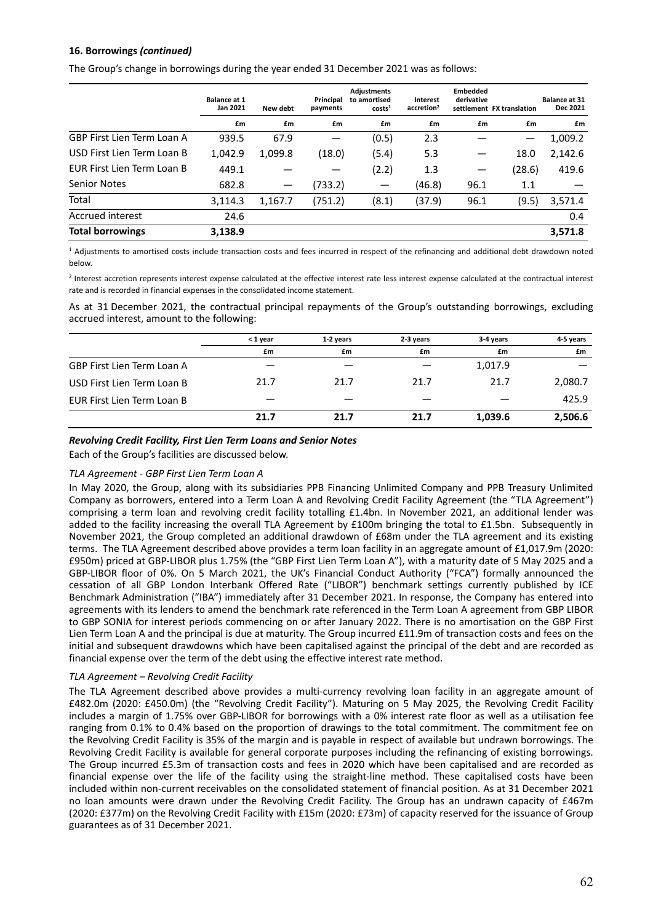# **16. Borrowings** *(continued)*

The Group's change in borrowings during the year ended 31 December 2021 was as follows:

|                            | <b>Balance at 1</b><br>Jan 2021 | New debt        | Principal<br>payments | <b>Adjustments</b><br>to amortised<br>costs <sup>1</sup> | Interest<br>accretion <sup>2</sup> | <b>Embedded</b><br>derivative | settlement FX translation | <b>Balance at 31</b><br>Dec 2021 |
|----------------------------|---------------------------------|-----------------|-----------------------|----------------------------------------------------------|------------------------------------|-------------------------------|---------------------------|----------------------------------|
|                            | £m                              | £m              | £m                    | £m                                                       | £m                                 | £m                            | £m                        | £m                               |
| GBP First Lien Term Loan A | 939.5                           | 67.9            |                       | (0.5)                                                    | 2.3                                |                               | —                         | 1,009.2                          |
| USD First Lien Term Loan B | 1,042.9                         | 1,099.8         | (18.0)                | (5.4)                                                    | 5.3                                |                               | 18.0                      | 2,142.6                          |
| EUR First Lien Term Loan B | 449.1                           |                 |                       | (2.2)                                                    | 1.3                                |                               | (28.6)                    | 419.6                            |
| <b>Senior Notes</b>        | 682.8                           | $\qquad \qquad$ | (733.2)               |                                                          | (46.8)                             | 96.1                          | 1.1                       |                                  |
| Total                      | 3,114.3                         | 1,167.7         | (751.2)               | (8.1)                                                    | (37.9)                             | 96.1                          | (9.5)                     | 3,571.4                          |
| <b>Accrued interest</b>    | 24.6                            |                 |                       |                                                          |                                    |                               |                           | 0.4                              |
| <b>Total borrowings</b>    | 3,138.9                         |                 |                       |                                                          |                                    |                               |                           | 3,571.8                          |

<sup>1</sup> Adjustments to amortised costs include transaction costs and fees incurred in respect of the refinancing and additional debt drawdown noted below.

<sup>2</sup> Interest accretion represents interest expense calculated at the effective interest rate less interest expense calculated at the contractual interest rate and is recorded in financial expenses in the consolidated income statement.

As at 31 December 2021, the contractual principal repayments of the Group's outstanding borrowings, excluding accrued interest, amount to the following:

|                                   | < 1 year | 1-2 years | 2-3 years | 3-4 years | 4-5 years |
|-----------------------------------|----------|-----------|-----------|-----------|-----------|
|                                   | £m       | £m        | £m        | £m        | £m        |
| <b>GBP First Lien Term Loan A</b> |          |           |           | 1,017.9   |           |
| USD First Lien Term Loan B        | 21.7     | 21.7      | 21.7      | 21.7      | 2,080.7   |
| EUR First Lien Term Loan B        |          |           |           |           | 425.9     |
|                                   | 21.7     | 21.7      | 21.7      | 1,039.6   | 2,506.6   |

#### *Revolving Credit Facility, First Lien Term Loans and Senior Notes*

Each of the Group's facilities are discussed below.

#### *TLA Agreement ‐ GBP First Lien Term Loan A*

In May 2020, the Group, along with its subsidiaries PPB Financing Unlimited Company and PPB Treasury Unlimited Company as borrowers, entered into a Term Loan A and Revolving Credit Facility Agreement (the "TLA Agreement") comprising a term loan and revolving credit facility totalling £1.4bn. In November 2021, an additional lender was added to the facility increasing the overall TLA Agreement by £100m bringing the total to £1.5bn. Subsequently in November 2021, the Group completed an additional drawdown of £68m under the TLA agreement and its existing terms. The TLA Agreement described above provides a term loan facility in an aggregate amount of £1,017.9m (2020: £950m) priced at GBP‐LIBOR plus 1.75% (the "GBP First Lien Term Loan A"), with a maturity date of 5 May 2025 and a GBP-LIBOR floor of 0%. On 5 March 2021, the UK's Financial Conduct Authority ("FCA") formally announced the cessation of all GBP London Interbank Offered Rate ("LIBOR") benchmark settings currently published by ICE Benchmark Administration ("IBA") immediately after 31 December 2021. In response, the Company has entered into agreements with its lenders to amend the benchmark rate referenced in the Term Loan A agreement from GBP LIBOR to GBP SONIA for interest periods commencing on or after January 2022. There is no amortisation on the GBP First Lien Term Loan A and the principal is due at maturity. The Group incurred £11.9m of transaction costs and fees on the initial and subsequent drawdowns which have been capitalised against the principal of the debt and are recorded as financial expense over the term of the debt using the effective interest rate method.

#### *TLA Agreement – Revolving Credit Facility*

The TLA Agreement described above provides a multi-currency revolving loan facility in an aggregate amount of £482.0m (2020: £450.0m) (the "Revolving Credit Facility"). Maturing on 5 May 2025, the Revolving Credit Facility includes a margin of 1.75% over GBP-LIBOR for borrowings with a 0% interest rate floor as well as a utilisation fee ranging from 0.1% to 0.4% based on the proportion of drawings to the total commitment. The commitment fee on the Revolving Credit Facility is 35% of the margin and is payable in respect of available but undrawn borrowings. The Revolving Credit Facility is available for general corporate purposes including the refinancing of existing borrowings. The Group incurred £5.3m of transaction costs and fees in 2020 which have been capitalised and are recorded as financial expense over the life of the facility using the straight-line method. These capitalised costs have been included within non‐current receivables on the consolidated statement of financial position. As at 31 December 2021 no loan amounts were drawn under the Revolving Credit Facility. The Group has an undrawn capacity of £467m (2020: £377m) on the Revolving Credit Facility with £15m (2020: £73m) of capacity reserved for the issuance of Group guarantees as of 31 December 2021.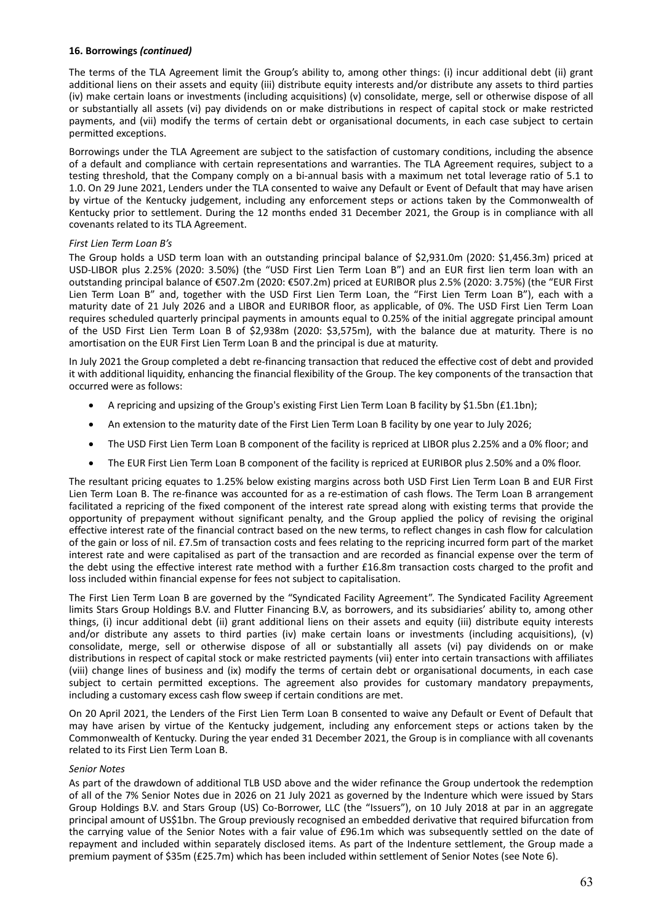#### **16. Borrowings** *(continued)*

The terms of the TLA Agreement limit the Group's ability to, among other things: (i) incur additional debt (ii) grant additional liens on their assets and equity (iii) distribute equity interests and/or distribute any assets to third parties (iv) make certain loans or investments (including acquisitions) (v) consolidate, merge, sell or otherwise dispose of all or substantially all assets (vi) pay dividends on or make distributions in respect of capital stock or make restricted payments, and (vii) modify the terms of certain debt or organisational documents, in each case subject to certain permitted exceptions.

Borrowings under the TLA Agreement are subject to the satisfaction of customary conditions, including the absence of a default and compliance with certain representations and warranties. The TLA Agreement requires, subject to a testing threshold, that the Company comply on a bi‐annual basis with a maximum net total leverage ratio of 5.1 to 1.0. On 29 June 2021, Lenders under the TLA consented to waive any Default or Event of Default that may have arisen by virtue of the Kentucky judgement, including any enforcement steps or actions taken by the Commonwealth of Kentucky prior to settlement. During the 12 months ended 31 December 2021, the Group is in compliance with all covenants related to its TLA Agreement.

#### *First Lien Term Loan B's*

The Group holds a USD term loan with an outstanding principal balance of \$2,931.0m (2020: \$1,456.3m) priced at USD‐LIBOR plus 2.25% (2020: 3.50%) (the "USD First Lien Term Loan B") and an EUR first lien term loan with an outstanding principal balance of €507.2m (2020: €507.2m) priced at EURIBOR plus 2.5% (2020: 3.75%) (the "EUR First Lien Term Loan B" and, together with the USD First Lien Term Loan, the "First Lien Term Loan B"), each with a maturity date of 21 July 2026 and a LIBOR and EURIBOR floor, as applicable, of 0%. The USD First Lien Term Loan requires scheduled quarterly principal payments in amounts equal to 0.25% of the initial aggregate principal amount of the USD First Lien Term Loan B of \$2,938m (2020: \$3,575m), with the balance due at maturity. There is no amortisation on the EUR First Lien Term Loan B and the principal is due at maturity.

In July 2021 the Group completed a debt re-financing transaction that reduced the effective cost of debt and provided it with additional liquidity, enhancing the financial flexibility of the Group. The key components of the transaction that occurred were as follows:

- A repricing and upsizing of the Group's existing First Lien Term Loan B facility by \$1.5bn (£1.1bn);
- An extension to the maturity date of the First Lien Term Loan B facility by one year to July 2026;
- The USD First Lien Term Loan B component of the facility is repriced at LIBOR plus 2.25% and a 0% floor; and
- The EUR First Lien Term Loan B component of the facility is repriced at EURIBOR plus 2.50% and a 0% floor.

The resultant pricing equates to 1.25% below existing margins across both USD First Lien Term Loan B and EUR First Lien Term Loan B. The re-finance was accounted for as a re-estimation of cash flows. The Term Loan B arrangement facilitated a repricing of the fixed component of the interest rate spread along with existing terms that provide the opportunity of prepayment without significant penalty, and the Group applied the policy of revising the original effective interest rate of the financial contract based on the new terms, to reflect changes in cash flow for calculation of the gain or loss of nil. £7.5m of transaction costs and fees relating to the repricing incurred form part of the market interest rate and were capitalised as part of the transaction and are recorded as financial expense over the term of the debt using the effective interest rate method with a further £16.8m transaction costs charged to the profit and loss included within financial expense for fees not subject to capitalisation.

The First Lien Term Loan B are governed by the "Syndicated Facility Agreement". The Syndicated Facility Agreement limits Stars Group Holdings B.V. and Flutter Financing B.V, as borrowers, and its subsidiaries' ability to, among other things, (i) incur additional debt (ii) grant additional liens on their assets and equity (iii) distribute equity interests and/or distribute any assets to third parties (iv) make certain loans or investments (including acquisitions), (v) consolidate, merge, sell or otherwise dispose of all or substantially all assets (vi) pay dividends on or make distributions in respect of capital stock or make restricted payments (vii) enter into certain transactions with affiliates (viii) change lines of business and (ix) modify the terms of certain debt or organisational documents, in each case subject to certain permitted exceptions. The agreement also provides for customary mandatory prepayments, including a customary excess cash flow sweep if certain conditions are met.

On 20 April 2021, the Lenders of the First Lien Term Loan B consented to waive any Default or Event of Default that may have arisen by virtue of the Kentucky judgement, including any enforcement steps or actions taken by the Commonwealth of Kentucky. During the year ended 31 December 2021, the Group is in compliance with all covenants related to its First Lien Term Loan B.

#### *Senior Notes*

As part of the drawdown of additional TLB USD above and the wider refinance the Group undertook the redemption of all of the 7% Senior Notes due in 2026 on 21 July 2021 as governed by the Indenture which were issued by Stars Group Holdings B.V. and Stars Group (US) Co‐Borrower, LLC (the "Issuers"), on 10 July 2018 at par in an aggregate principal amount of US\$1bn. The Group previously recognised an embedded derivative that required bifurcation from the carrying value of the Senior Notes with a fair value of £96.1m which was subsequently settled on the date of repayment and included within separately disclosed items. As part of the Indenture settlement, the Group made a premium payment of \$35m (£25.7m) which has been included within settlement of Senior Notes (see Note 6).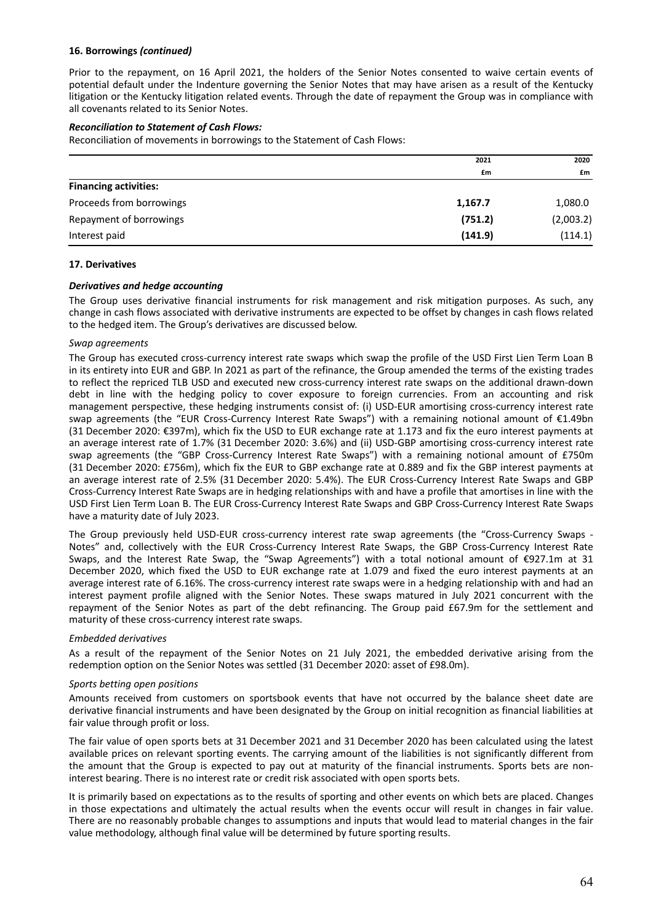#### **16. Borrowings** *(continued)*

Prior to the repayment, on 16 April 2021, the holders of the Senior Notes consented to waive certain events of potential default under the Indenture governing the Senior Notes that may have arisen as a result of the Kentucky litigation or the Kentucky litigation related events. Through the date of repayment the Group was in compliance with all covenants related to its Senior Notes.

#### *Reconciliation to Statement of Cash Flows:*

Reconciliation of movements in borrowings to the Statement of Cash Flows:

|                              | 2021    | 2020      |
|------------------------------|---------|-----------|
|                              | £m      | £m        |
| <b>Financing activities:</b> |         |           |
| Proceeds from borrowings     | 1,167.7 | 1,080.0   |
| Repayment of borrowings      | (751.2) | (2,003.2) |
| Interest paid                | (141.9) | (114.1)   |

#### **17. Derivatives**

#### *Derivatives and hedge accounting*

The Group uses derivative financial instruments for risk management and risk mitigation purposes. As such, any change in cash flows associated with derivative instruments are expected to be offset by changes in cash flows related to the hedged item. The Group's derivatives are discussed below.

#### *Swap agreements*

The Group has executed cross-currency interest rate swaps which swap the profile of the USD First Lien Term Loan B in its entirety into EUR and GBP. In 2021 as part of the refinance, the Group amended the terms of the existing trades to reflect the repriced TLB USD and executed new cross-currency interest rate swaps on the additional drawn-down debt in line with the hedging policy to cover exposure to foreign currencies. From an accounting and risk management perspective, these hedging instruments consist of: (i) USD-EUR amortising cross-currency interest rate swap agreements (the "EUR Cross-Currency Interest Rate Swaps") with a remaining notional amount of €1.49bn (31 December 2020: €397m), which fix the USD to EUR exchange rate at 1.173 and fix the euro interest payments at an average interest rate of 1.7% (31 December 2020: 3.6%) and (ii) USD‐GBP amortising cross‐currency interest rate swap agreements (the "GBP Cross-Currency Interest Rate Swaps") with a remaining notional amount of £750m (31 December 2020: £756m), which fix the EUR to GBP exchange rate at 0.889 and fix the GBP interest payments at an average interest rate of 2.5% (31 December 2020: 5.4%). The EUR Cross-Currency Interest Rate Swaps and GBP Cross‐Currency Interest Rate Swaps are in hedging relationships with and have a profile that amortises in line with the USD First Lien Term Loan B. The EUR Cross‐Currency Interest Rate Swaps and GBP Cross‐Currency Interest Rate Swaps have a maturity date of July 2023.

The Group previously held USD-EUR cross-currency interest rate swap agreements (the "Cross-Currency Swaps -Notes" and, collectively with the EUR Cross‐Currency Interest Rate Swaps, the GBP Cross‐Currency Interest Rate Swaps, and the Interest Rate Swap, the "Swap Agreements") with a total notional amount of €927.1m at 31 December 2020, which fixed the USD to EUR exchange rate at 1.079 and fixed the euro interest payments at an average interest rate of 6.16%. The cross-currency interest rate swaps were in a hedging relationship with and had an interest payment profile aligned with the Senior Notes. These swaps matured in July 2021 concurrent with the repayment of the Senior Notes as part of the debt refinancing. The Group paid £67.9m for the settlement and maturity of these cross‐currency interest rate swaps.

#### *Embedded derivatives*

As a result of the repayment of the Senior Notes on 21 July 2021, the embedded derivative arising from the redemption option on the Senior Notes was settled (31 December 2020: asset of £98.0m).

#### *Sports betting open positions*

Amounts received from customers on sportsbook events that have not occurred by the balance sheet date are derivative financial instruments and have been designated by the Group on initial recognition as financial liabilities at fair value through profit or loss.

The fair value of open sports bets at 31 December 2021 and 31 December 2020 has been calculated using the latest available prices on relevant sporting events. The carrying amount of the liabilities is not significantly different from the amount that the Group is expected to pay out at maturity of the financial instruments. Sports bets are non‐ interest bearing. There is no interest rate or credit risk associated with open sports bets.

It is primarily based on expectations as to the results of sporting and other events on which bets are placed. Changes in those expectations and ultimately the actual results when the events occur will result in changes in fair value. There are no reasonably probable changes to assumptions and inputs that would lead to material changes in the fair value methodology, although final value will be determined by future sporting results.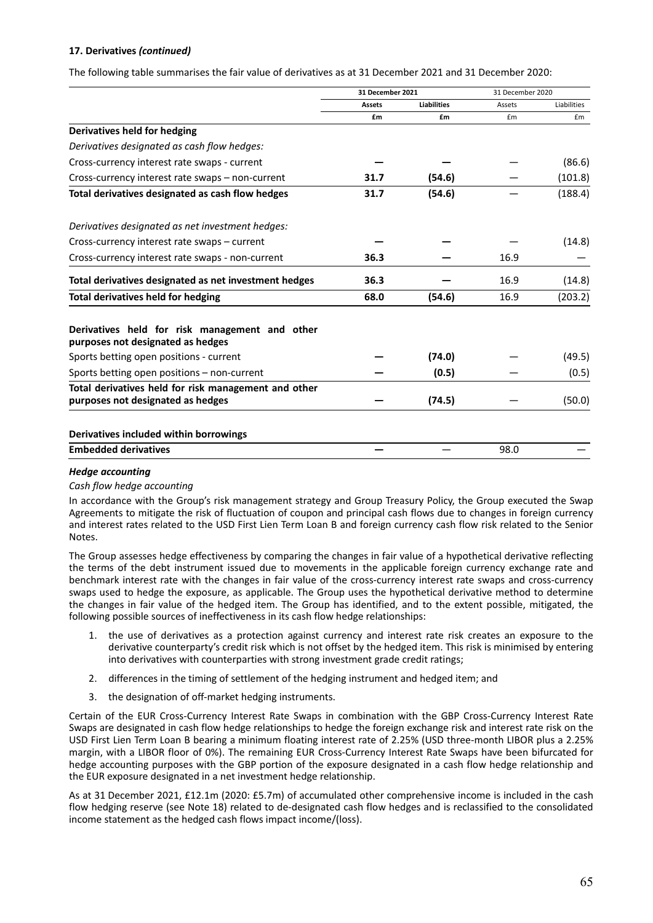# **17. Derivatives** *(continued)*

The following table summarises the fair value of derivatives as at 31 December 2021 and 31 December 2020:

|                                                                                     | 31 December 2021 |                    | 31 December 2020 |             |
|-------------------------------------------------------------------------------------|------------------|--------------------|------------------|-------------|
|                                                                                     | <b>Assets</b>    | <b>Liabilities</b> | Assets           | Liabilities |
|                                                                                     | £m               | £m                 | £m               | £m          |
| Derivatives held for hedging                                                        |                  |                    |                  |             |
| Derivatives designated as cash flow hedges:                                         |                  |                    |                  |             |
| Cross-currency interest rate swaps - current                                        |                  |                    |                  | (86.6)      |
| Cross-currency interest rate swaps - non-current                                    | 31.7             | (54.6)             |                  | (101.8)     |
| Total derivatives designated as cash flow hedges                                    | 31.7             | (54.6)             |                  | (188.4)     |
| Derivatives designated as net investment hedges:                                    |                  |                    |                  |             |
| Cross-currency interest rate swaps - current                                        |                  |                    |                  | (14.8)      |
| Cross-currency interest rate swaps - non-current                                    | 36.3             |                    | 16.9             |             |
| Total derivatives designated as net investment hedges                               | 36.3             |                    | 16.9             | (14.8)      |
| <b>Total derivatives held for hedging</b>                                           | 68.0             | (54.6)             | 16.9             | (203.2)     |
| Derivatives held for risk management and other<br>purposes not designated as hedges |                  |                    |                  |             |
| Sports betting open positions - current                                             |                  | (74.0)             |                  | (49.5)      |
| Sports betting open positions - non-current                                         |                  | (0.5)              |                  | (0.5)       |
| Total derivatives held for risk management and other                                |                  |                    |                  |             |
| purposes not designated as hedges                                                   |                  | (74.5)             |                  | (50.0)      |
| Derivatives included within borrowings                                              |                  |                    |                  |             |
| <b>Embedded derivatives</b>                                                         |                  |                    | 98.0             |             |

#### *Hedge accounting*

#### *Cash flow hedge accounting*

In accordance with the Group's risk management strategy and Group Treasury Policy, the Group executed the Swap Agreements to mitigate the risk of fluctuation of coupon and principal cash flows due to changes in foreign currency and interest rates related to the USD First Lien Term Loan B and foreign currency cash flow risk related to the Senior Notes.

The Group assesses hedge effectiveness by comparing the changes in fair value of a hypothetical derivative reflecting the terms of the debt instrument issued due to movements in the applicable foreign currency exchange rate and benchmark interest rate with the changes in fair value of the cross‐currency interest rate swaps and cross‐currency swaps used to hedge the exposure, as applicable. The Group uses the hypothetical derivative method to determine the changes in fair value of the hedged item. The Group has identified, and to the extent possible, mitigated, the following possible sources of ineffectiveness in its cash flow hedge relationships:

- 1. the use of derivatives as a protection against currency and interest rate risk creates an exposure to the derivative counterparty's credit risk which is not offset by the hedged item. This risk is minimised by entering into derivatives with counterparties with strong investment grade credit ratings;
- 2. differences in the timing of settlement of the hedging instrument and hedged item; and
- 3. the designation of off‐market hedging instruments.

Certain of the EUR Cross‐Currency Interest Rate Swaps in combination with the GBP Cross‐Currency Interest Rate Swaps are designated in cash flow hedge relationships to hedge the foreign exchange risk and interest rate risk on the USD First Lien Term Loan B bearing a minimum floating interest rate of 2.25% (USD three-month LIBOR plus a 2.25% margin, with a LIBOR floor of 0%). The remaining EUR Cross‐Currency Interest Rate Swaps have been bifurcated for hedge accounting purposes with the GBP portion of the exposure designated in a cash flow hedge relationship and the EUR exposure designated in a net investment hedge relationship.

As at 31 December 2021, £12.1m (2020: £5.7m) of accumulated other comprehensive income is included in the cash flow hedging reserve (see Note 18) related to de-designated cash flow hedges and is reclassified to the consolidated income statement as the hedged cash flows impact income/(loss).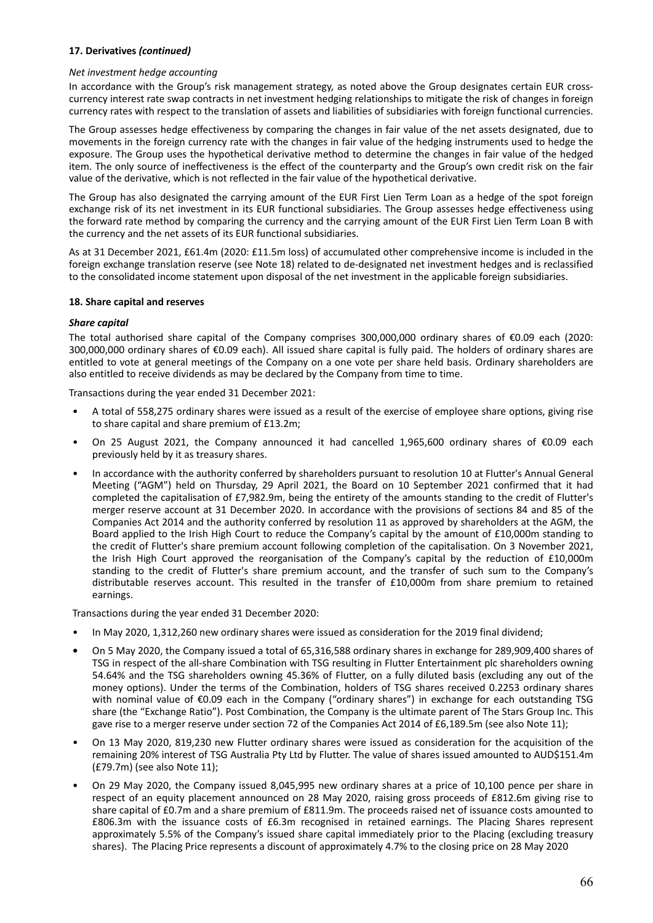# **17. Derivatives** *(continued)*

#### *Net investment hedge accounting*

In accordance with the Group's risk management strategy, as noted above the Group designates certain EUR crosscurrency interest rate swap contracts in net investment hedging relationships to mitigate the risk of changes in foreign currency rates with respect to the translation of assets and liabilities of subsidiaries with foreign functional currencies.

The Group assesses hedge effectiveness by comparing the changes in fair value of the net assets designated, due to movements in the foreign currency rate with the changes in fair value of the hedging instruments used to hedge the exposure. The Group uses the hypothetical derivative method to determine the changes in fair value of the hedged item. The only source of ineffectiveness is the effect of the counterparty and the Group's own credit risk on the fair value of the derivative, which is not reflected in the fair value of the hypothetical derivative.

The Group has also designated the carrying amount of the EUR First Lien Term Loan as a hedge of the spot foreign exchange risk of its net investment in its EUR functional subsidiaries. The Group assesses hedge effectiveness using the forward rate method by comparing the currency and the carrying amount of the EUR First Lien Term Loan B with the currency and the net assets of its EUR functional subsidiaries.

As at 31 December 2021, £61.4m (2020: £11.5m loss) of accumulated other comprehensive income is included in the foreign exchange translation reserve (see Note 18) related to de‐designated net investment hedges and is reclassified to the consolidated income statement upon disposal of the net investment in the applicable foreign subsidiaries.

#### **18. Share capital and reserves**

#### *Share capital*

The total authorised share capital of the Company comprises 300,000,000 ordinary shares of €0.09 each (2020: 300,000,000 ordinary shares of €0.09 each). All issued share capital is fully paid. The holders of ordinary shares are entitled to vote at general meetings of the Company on a one vote per share held basis. Ordinary shareholders are also entitled to receive dividends as may be declared by the Company from time to time.

Transactions during the year ended 31 December 2021:

- A total of 558,275 ordinary shares were issued as a result of the exercise of employee share options, giving rise to share capital and share premium of £13.2m;
- On 25 August 2021, the Company announced it had cancelled 1,965,600 ordinary shares of €0.09 each previously held by it as treasury shares.
- In accordance with the authority conferred by shareholders pursuant to resolution 10 at Flutter's Annual General Meeting ("AGM") held on Thursday, 29 April 2021, the Board on 10 September 2021 confirmed that it had completed the capitalisation of £7,982.9m, being the entirety of the amounts standing to the credit of Flutter's merger reserve account at 31 December 2020. In accordance with the provisions of sections 84 and 85 of the Companies Act 2014 and the authority conferred by resolution 11 as approved by shareholders at the AGM, the Board applied to the Irish High Court to reduce the Company's capital by the amount of £10,000m standing to the credit of Flutter's share premium account following completion of the capitalisation. On 3 November 2021, the Irish High Court approved the reorganisation of the Company's capital by the reduction of £10,000m standing to the credit of Flutter's share premium account, and the transfer of such sum to the Company's distributable reserves account. This resulted in the transfer of £10,000m from share premium to retained earnings.

Transactions during the year ended 31 December 2020:

- In May 2020, 1,312,260 new ordinary shares were issued as consideration for the 2019 final dividend;
- **•** On 5 May 2020, the Company issued a total of 65,316,588 ordinary shares in exchange for 289,909,400 shares of TSG in respect of the all‐share Combination with TSG resulting in Flutter Entertainment plc shareholders owning 54.64% and the TSG shareholders owning 45.36% of Flutter, on a fully diluted basis (excluding any out of the money options). Under the terms of the Combination, holders of TSG shares received 0.2253 ordinary shares with nominal value of €0.09 each in the Company ("ordinary shares") in exchange for each outstanding TSG share (the "Exchange Ratio"). Post Combination, the Company is the ultimate parent of The Stars Group Inc. This gave rise to a merger reserve under section 72 of the Companies Act 2014 of £6,189.5m (see also Note 11);
- On 13 May 2020, 819,230 new Flutter ordinary shares were issued as consideration for the acquisition of the remaining 20% interest of TSG Australia Pty Ltd by Flutter. The value of shares issued amounted to AUD\$151.4m (£79.7m) (see also Note 11);
- On 29 May 2020, the Company issued 8,045,995 new ordinary shares at a price of 10,100 pence per share in respect of an equity placement announced on 28 May 2020, raising gross proceeds of £812.6m giving rise to share capital of £0.7m and a share premium of £811.9m. The proceeds raised net of issuance costs amounted to £806.3m with the issuance costs of £6.3m recognised in retained earnings. The Placing Shares represent approximately 5.5% of the Company's issued share capital immediately prior to the Placing (excluding treasury shares). The Placing Price represents a discount of approximately 4.7% to the closing price on 28 May 2020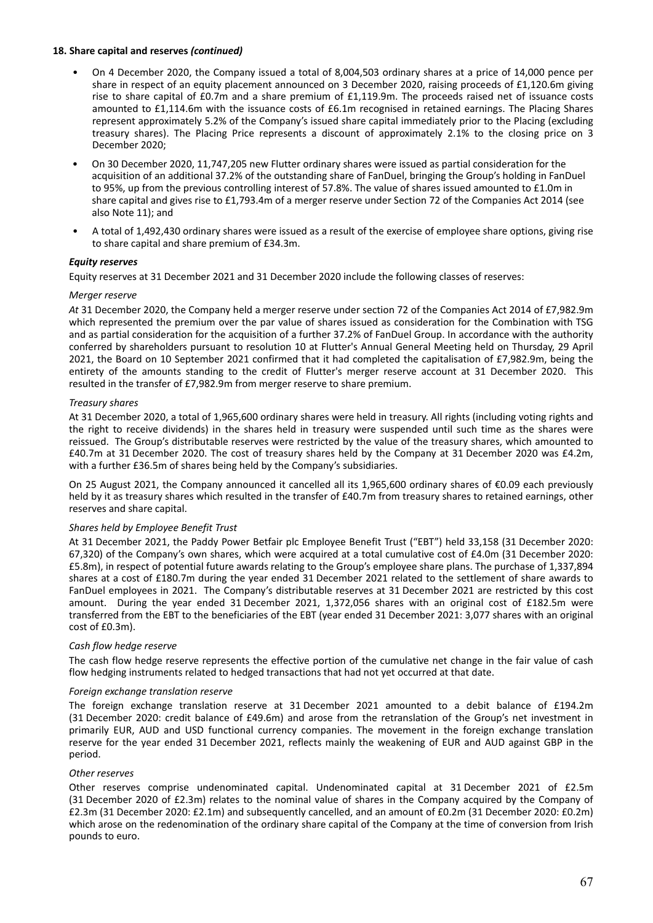#### **18. Share capital and reserves** *(continued)*

- On 4 December 2020, the Company issued a total of 8,004,503 ordinary shares at a price of 14,000 pence per share in respect of an equity placement announced on 3 December 2020, raising proceeds of £1,120.6m giving rise to share capital of £0.7m and a share premium of £1,119.9m. The proceeds raised net of issuance costs amounted to £1,114.6m with the issuance costs of £6.1m recognised in retained earnings. The Placing Shares represent approximately 5.2% of the Company's issued share capital immediately prior to the Placing (excluding treasury shares). The Placing Price represents a discount of approximately 2.1% to the closing price on 3 December 2020;
- On 30 December 2020, 11,747,205 new Flutter ordinary shares were issued as partial consideration for the acquisition of an additional 37.2% of the outstanding share of FanDuel, bringing the Group's holding in FanDuel to 95%, up from the previous controlling interest of 57.8%. The value of shares issued amounted to £1.0m in share capital and gives rise to £1,793.4m of a merger reserve under Section 72 of the Companies Act 2014 (see also Note 11); and
- A total of 1,492,430 ordinary shares were issued as a result of the exercise of employee share options, giving rise to share capital and share premium of £34.3m.

#### *Equity reserves*

Equity reserves at 31 December 2021 and 31 December 2020 include the following classes of reserves:

#### *Merger reserve*

*At* 31 December 2020, the Company held a merger reserve under section 72 of the Companies Act 2014 of £7,982.9m which represented the premium over the par value of shares issued as consideration for the Combination with TSG and as partial consideration for the acquisition of a further 37.2% of FanDuel Group. In accordance with the authority conferred by shareholders pursuant to resolution 10 at Flutter's Annual General Meeting held on Thursday, 29 April 2021, the Board on 10 September 2021 confirmed that it had completed the capitalisation of £7,982.9m, being the entirety of the amounts standing to the credit of Flutter's merger reserve account at 31 December 2020. This resulted in the transfer of £7,982.9m from merger reserve to share premium.

#### *Treasury shares*

At 31 December 2020, a total of 1,965,600 ordinary shares were held in treasury. All rights (including voting rights and the right to receive dividends) in the shares held in treasury were suspended until such time as the shares were reissued. The Group's distributable reserves were restricted by the value of the treasury shares, which amounted to £40.7m at 31 December 2020. The cost of treasury shares held by the Company at 31 December 2020 was £4.2m, with a further £36.5m of shares being held by the Company's subsidiaries.

On 25 August 2021, the Company announced it cancelled all its 1,965,600 ordinary shares of €0.09 each previously held by it as treasury shares which resulted in the transfer of £40.7m from treasury shares to retained earnings, other reserves and share capital.

#### *Shares held by Employee Benefit Trust*

At 31 December 2021, the Paddy Power Betfair plc Employee Benefit Trust ("EBT") held 33,158 (31 December 2020: 67,320) of the Company's own shares, which were acquired at a total cumulative cost of £4.0m (31 December 2020: £5.8m), in respect of potential future awards relating to the Group's employee share plans. The purchase of 1,337,894 shares at a cost of £180.7m during the year ended 31 December 2021 related to the settlement of share awards to FanDuel employees in 2021. The Company's distributable reserves at 31 December 2021 are restricted by this cost amount. During the year ended 31 December 2021, 1,372,056 shares with an original cost of £182.5m were transferred from the EBT to the beneficiaries of the EBT (year ended 31 December 2021: 3,077 shares with an original cost of £0.3m).

#### *Cash flow hedge reserve*

The cash flow hedge reserve represents the effective portion of the cumulative net change in the fair value of cash flow hedging instruments related to hedged transactions that had not yet occurred at that date.

#### *Foreign exchange translation reserve*

The foreign exchange translation reserve at 31 December 2021 amounted to a debit balance of £194.2m (31 December 2020: credit balance of £49.6m) and arose from the retranslation of the Group's net investment in primarily EUR, AUD and USD functional currency companies. The movement in the foreign exchange translation reserve for the year ended 31 December 2021, reflects mainly the weakening of EUR and AUD against GBP in the period.

#### *Other reserves*

Other reserves comprise undenominated capital. Undenominated capital at 31 December 2021 of £2.5m (31 December 2020 of £2.3m) relates to the nominal value of shares in the Company acquired by the Company of £2.3m (31 December 2020: £2.1m) and subsequently cancelled, and an amount of £0.2m (31 December 2020: £0.2m) which arose on the redenomination of the ordinary share capital of the Company at the time of conversion from Irish pounds to euro.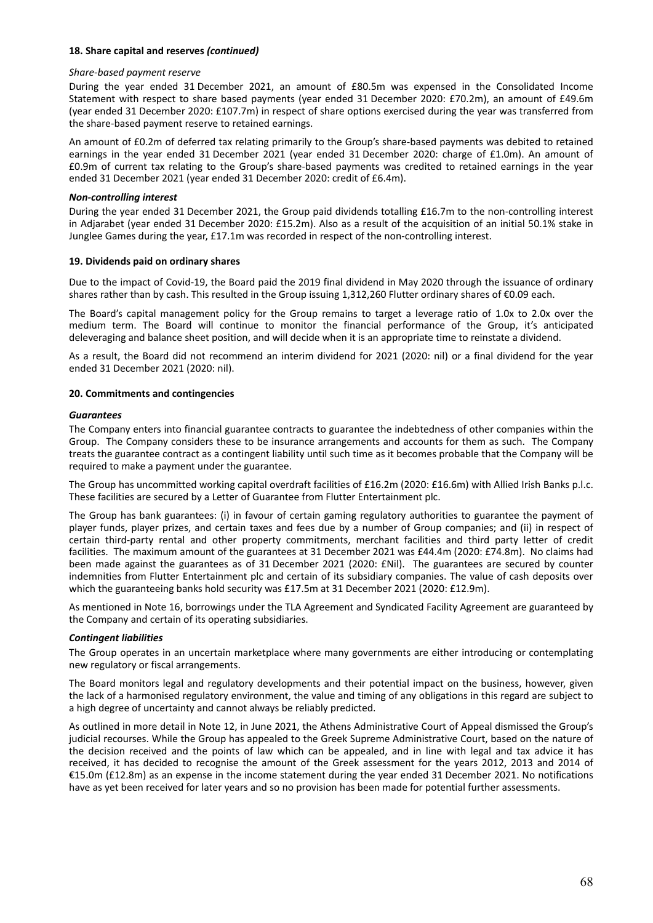#### **18. Share capital and reserves** *(continued)*

#### *Share‐based payment reserve*

During the year ended 31 December 2021, an amount of £80.5m was expensed in the Consolidated Income Statement with respect to share based payments (year ended 31 December 2020: £70.2m), an amount of £49.6m (year ended 31 December 2020: £107.7m) in respect of share options exercised during the year was transferred from the share‐based payment reserve to retained earnings.

An amount of £0.2m of deferred tax relating primarily to the Group's share‐based payments was debited to retained earnings in the year ended 31 December 2021 (year ended 31 December 2020: charge of £1.0m). An amount of £0.9m of current tax relating to the Group's share‐based payments was credited to retained earnings in the year ended 31 December 2021 (year ended 31 December 2020: credit of £6.4m).

#### *Non‐controlling interest*

During the year ended 31 December 2021, the Group paid dividends totalling £16.7m to the non-controlling interest in Adjarabet (year ended 31 December 2020: £15.2m). Also as a result of the acquisition of an initial 50.1% stake in Junglee Games during the year, £17.1m was recorded in respect of the non-controlling interest.

#### **19. Dividends paid on ordinary shares**

Due to the impact of Covid‐19, the Board paid the 2019 final dividend in May 2020 through the issuance of ordinary shares rather than by cash. This resulted in the Group issuing 1,312,260 Flutter ordinary shares of €0.09 each.

The Board's capital management policy for the Group remains to target a leverage ratio of 1.0x to 2.0x over the medium term. The Board will continue to monitor the financial performance of the Group, it's anticipated deleveraging and balance sheet position, and will decide when it is an appropriate time to reinstate a dividend.

As a result, the Board did not recommend an interim dividend for 2021 (2020: nil) or a final dividend for the year ended 31 December 2021 (2020: nil).

#### **20. Commitments and contingencies**

#### *Guarantees*

The Company enters into financial guarantee contracts to guarantee the indebtedness of other companies within the Group. The Company considers these to be insurance arrangements and accounts for them as such. The Company treats the guarantee contract as a contingent liability until such time as it becomes probable that the Company will be required to make a payment under the guarantee.

The Group has uncommitted working capital overdraft facilities of £16.2m (2020: £16.6m) with Allied Irish Banks p.l.c. These facilities are secured by a Letter of Guarantee from Flutter Entertainment plc.

The Group has bank guarantees: (i) in favour of certain gaming regulatory authorities to guarantee the payment of player funds, player prizes, and certain taxes and fees due by a number of Group companies; and (ii) in respect of certain third‐party rental and other property commitments, merchant facilities and third party letter of credit facilities. The maximum amount of the guarantees at 31 December 2021 was £44.4m (2020: £74.8m). No claims had been made against the guarantees as of 31 December 2021 (2020: £Nil). The guarantees are secured by counter indemnities from Flutter Entertainment plc and certain of its subsidiary companies. The value of cash deposits over which the guaranteeing banks hold security was £17.5m at 31 December 2021 (2020: £12.9m).

As mentioned in Note 16, borrowings under the TLA Agreement and Syndicated Facility Agreement are guaranteed by the Company and certain of its operating subsidiaries.

#### *Contingent liabilities*

The Group operates in an uncertain marketplace where many governments are either introducing or contemplating new regulatory or fiscal arrangements.

The Board monitors legal and regulatory developments and their potential impact on the business, however, given the lack of a harmonised regulatory environment, the value and timing of any obligations in this regard are subject to a high degree of uncertainty and cannot always be reliably predicted.

As outlined in more detail in Note 12, in June 2021, the Athens Administrative Court of Appeal dismissed the Group's judicial recourses. While the Group has appealed to the Greek Supreme Administrative Court, based on the nature of the decision received and the points of law which can be appealed, and in line with legal and tax advice it has received, it has decided to recognise the amount of the Greek assessment for the years 2012, 2013 and 2014 of €15.0m (£12.8m) as an expense in the income statement during the year ended 31 December 2021. No notifications have as yet been received for later years and so no provision has been made for potential further assessments.